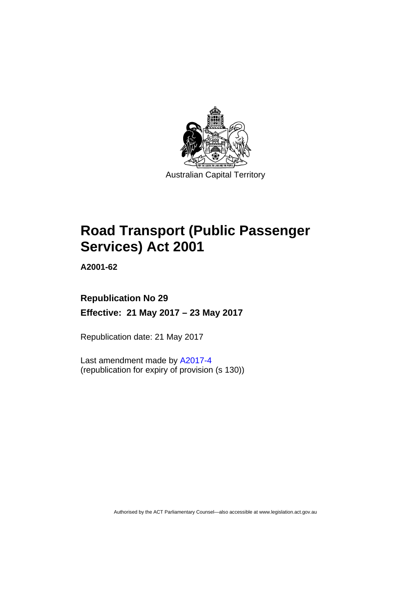

# **Road Transport (Public Passenger Services) Act 2001**

**A2001-62** 

# **Republication No 29 Effective: 21 May 2017 – 23 May 2017**

Republication date: 21 May 2017

Last amendment made by [A2017-4](http://www.legislation.act.gov.au/a/2017-4/default.asp) (republication for expiry of provision (s 130))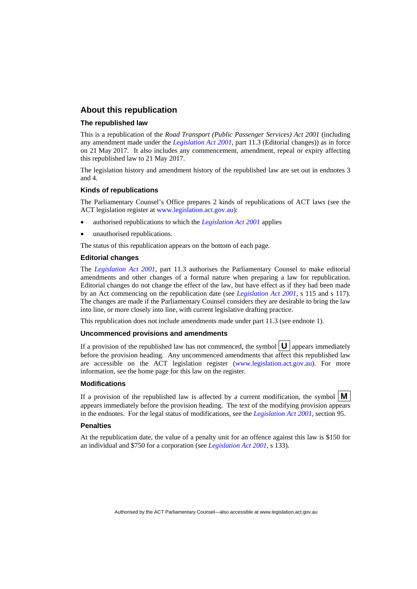### **About this republication**

#### **The republished law**

This is a republication of the *Road Transport (Public Passenger Services) Act 2001* (including any amendment made under the *[Legislation Act 2001](http://www.legislation.act.gov.au/a/2001-14)*, part 11.3 (Editorial changes)) as in force on 21 May 2017*.* It also includes any commencement, amendment, repeal or expiry affecting this republished law to 21 May 2017.

The legislation history and amendment history of the republished law are set out in endnotes 3 and 4.

#### **Kinds of republications**

The Parliamentary Counsel's Office prepares 2 kinds of republications of ACT laws (see the ACT legislation register at [www.legislation.act.gov.au](http://www.legislation.act.gov.au/)):

- authorised republications to which the *[Legislation Act 2001](http://www.legislation.act.gov.au/a/2001-14)* applies
- unauthorised republications.

The status of this republication appears on the bottom of each page.

#### **Editorial changes**

The *[Legislation Act 2001](http://www.legislation.act.gov.au/a/2001-14)*, part 11.3 authorises the Parliamentary Counsel to make editorial amendments and other changes of a formal nature when preparing a law for republication. Editorial changes do not change the effect of the law, but have effect as if they had been made by an Act commencing on the republication date (see *[Legislation Act 2001](http://www.legislation.act.gov.au/a/2001-14)*, s 115 and s 117). The changes are made if the Parliamentary Counsel considers they are desirable to bring the law into line, or more closely into line, with current legislative drafting practice.

This republication does not include amendments made under part 11.3 (see endnote 1).

#### **Uncommenced provisions and amendments**

If a provision of the republished law has not commenced, the symbol  $\mathbf{U}$  appears immediately before the provision heading. Any uncommenced amendments that affect this republished law are accessible on the ACT legislation register [\(www.legislation.act.gov.au\)](http://www.legislation.act.gov.au/). For more information, see the home page for this law on the register.

#### **Modifications**

If a provision of the republished law is affected by a current modification, the symbol  $\mathbf{M}$ appears immediately before the provision heading. The text of the modifying provision appears in the endnotes. For the legal status of modifications, see the *[Legislation Act 2001](http://www.legislation.act.gov.au/a/2001-14)*, section 95.

#### **Penalties**

At the republication date, the value of a penalty unit for an offence against this law is \$150 for an individual and \$750 for a corporation (see *[Legislation Act 2001](http://www.legislation.act.gov.au/a/2001-14)*, s 133).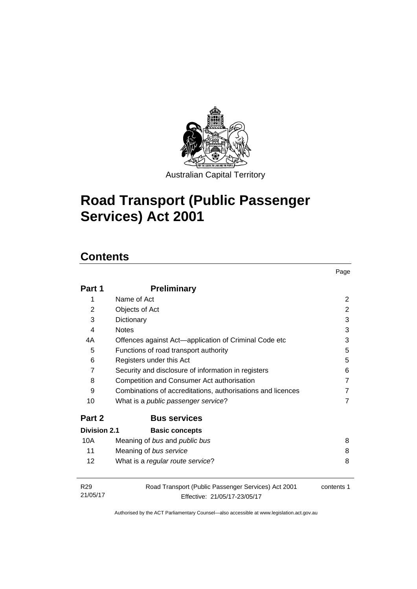

Australian Capital Territory

Page

# **Road Transport (Public Passenger Services) Act 2001**

# **Contents**

| Part 1                      | <b>Preliminary</b>                                                                  |            |
|-----------------------------|-------------------------------------------------------------------------------------|------------|
| 1                           | Name of Act                                                                         | 2          |
| 2                           | Objects of Act                                                                      | 2          |
| 3                           | Dictionary                                                                          | 3          |
| 4                           | <b>Notes</b>                                                                        | 3          |
| 4A                          | Offences against Act—application of Criminal Code etc                               | 3          |
| 5                           | Functions of road transport authority                                               | 5          |
| 6                           | Registers under this Act                                                            | 5          |
| $\overline{7}$              | Security and disclosure of information in registers                                 | 6          |
| 8                           | Competition and Consumer Act authorisation                                          | 7          |
| 9                           | Combinations of accreditations, authorisations and licences                         | 7          |
| 10                          | What is a <i>public passenger service</i> ?                                         | 7          |
| Part 2                      | <b>Bus services</b>                                                                 |            |
| <b>Division 2.1</b>         | <b>Basic concepts</b>                                                               |            |
| 10A                         | Meaning of bus and public bus                                                       | 8          |
| 11                          | Meaning of bus service                                                              | 8          |
| 12                          | What is a regular route service?                                                    | 8          |
| R <sub>29</sub><br>21/05/17 | Road Transport (Public Passenger Services) Act 2001<br>Effective: 21/05/17-23/05/17 | contents 1 |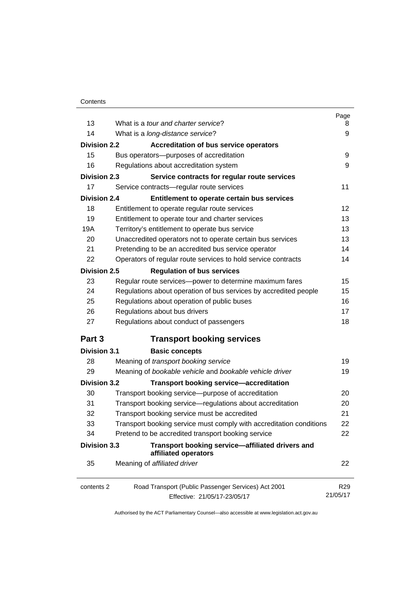|                                                                  | Page                                                                                                                                                                                                                                                                                                                                                                                                                                                                                                                                                                                                                                                                                                                                                                                                                                                                             |
|------------------------------------------------------------------|----------------------------------------------------------------------------------------------------------------------------------------------------------------------------------------------------------------------------------------------------------------------------------------------------------------------------------------------------------------------------------------------------------------------------------------------------------------------------------------------------------------------------------------------------------------------------------------------------------------------------------------------------------------------------------------------------------------------------------------------------------------------------------------------------------------------------------------------------------------------------------|
|                                                                  | 8<br>9                                                                                                                                                                                                                                                                                                                                                                                                                                                                                                                                                                                                                                                                                                                                                                                                                                                                           |
|                                                                  |                                                                                                                                                                                                                                                                                                                                                                                                                                                                                                                                                                                                                                                                                                                                                                                                                                                                                  |
|                                                                  |                                                                                                                                                                                                                                                                                                                                                                                                                                                                                                                                                                                                                                                                                                                                                                                                                                                                                  |
|                                                                  | 9                                                                                                                                                                                                                                                                                                                                                                                                                                                                                                                                                                                                                                                                                                                                                                                                                                                                                |
|                                                                  | 9                                                                                                                                                                                                                                                                                                                                                                                                                                                                                                                                                                                                                                                                                                                                                                                                                                                                                |
|                                                                  |                                                                                                                                                                                                                                                                                                                                                                                                                                                                                                                                                                                                                                                                                                                                                                                                                                                                                  |
|                                                                  | 11                                                                                                                                                                                                                                                                                                                                                                                                                                                                                                                                                                                                                                                                                                                                                                                                                                                                               |
| Entitlement to operate certain bus services                      |                                                                                                                                                                                                                                                                                                                                                                                                                                                                                                                                                                                                                                                                                                                                                                                                                                                                                  |
| Entitlement to operate regular route services                    | 12                                                                                                                                                                                                                                                                                                                                                                                                                                                                                                                                                                                                                                                                                                                                                                                                                                                                               |
| Entitlement to operate tour and charter services                 | 13                                                                                                                                                                                                                                                                                                                                                                                                                                                                                                                                                                                                                                                                                                                                                                                                                                                                               |
| Territory's entitlement to operate bus service                   | 13                                                                                                                                                                                                                                                                                                                                                                                                                                                                                                                                                                                                                                                                                                                                                                                                                                                                               |
| Unaccredited operators not to operate certain bus services       | 13                                                                                                                                                                                                                                                                                                                                                                                                                                                                                                                                                                                                                                                                                                                                                                                                                                                                               |
| Pretending to be an accredited bus service operator              | 14                                                                                                                                                                                                                                                                                                                                                                                                                                                                                                                                                                                                                                                                                                                                                                                                                                                                               |
| Operators of regular route services to hold service contracts    | 14                                                                                                                                                                                                                                                                                                                                                                                                                                                                                                                                                                                                                                                                                                                                                                                                                                                                               |
| <b>Regulation of bus services</b>                                |                                                                                                                                                                                                                                                                                                                                                                                                                                                                                                                                                                                                                                                                                                                                                                                                                                                                                  |
| Regular route services-power to determine maximum fares          | 15                                                                                                                                                                                                                                                                                                                                                                                                                                                                                                                                                                                                                                                                                                                                                                                                                                                                               |
| Regulations about operation of bus services by accredited people | 15                                                                                                                                                                                                                                                                                                                                                                                                                                                                                                                                                                                                                                                                                                                                                                                                                                                                               |
| Regulations about operation of public buses                      | 16                                                                                                                                                                                                                                                                                                                                                                                                                                                                                                                                                                                                                                                                                                                                                                                                                                                                               |
| Regulations about bus drivers                                    | 17                                                                                                                                                                                                                                                                                                                                                                                                                                                                                                                                                                                                                                                                                                                                                                                                                                                                               |
| Regulations about conduct of passengers                          | 18                                                                                                                                                                                                                                                                                                                                                                                                                                                                                                                                                                                                                                                                                                                                                                                                                                                                               |
| <b>Transport booking services</b>                                |                                                                                                                                                                                                                                                                                                                                                                                                                                                                                                                                                                                                                                                                                                                                                                                                                                                                                  |
| <b>Basic concepts</b>                                            |                                                                                                                                                                                                                                                                                                                                                                                                                                                                                                                                                                                                                                                                                                                                                                                                                                                                                  |
| Meaning of transport booking service                             | 19                                                                                                                                                                                                                                                                                                                                                                                                                                                                                                                                                                                                                                                                                                                                                                                                                                                                               |
| Meaning of bookable vehicle and bookable vehicle driver          | 19                                                                                                                                                                                                                                                                                                                                                                                                                                                                                                                                                                                                                                                                                                                                                                                                                                                                               |
|                                                                  |                                                                                                                                                                                                                                                                                                                                                                                                                                                                                                                                                                                                                                                                                                                                                                                                                                                                                  |
|                                                                  | 20                                                                                                                                                                                                                                                                                                                                                                                                                                                                                                                                                                                                                                                                                                                                                                                                                                                                               |
|                                                                  | 20                                                                                                                                                                                                                                                                                                                                                                                                                                                                                                                                                                                                                                                                                                                                                                                                                                                                               |
|                                                                  | 21                                                                                                                                                                                                                                                                                                                                                                                                                                                                                                                                                                                                                                                                                                                                                                                                                                                                               |
|                                                                  | 22                                                                                                                                                                                                                                                                                                                                                                                                                                                                                                                                                                                                                                                                                                                                                                                                                                                                               |
|                                                                  | 22                                                                                                                                                                                                                                                                                                                                                                                                                                                                                                                                                                                                                                                                                                                                                                                                                                                                               |
| Transport booking service-affiliated drivers and                 |                                                                                                                                                                                                                                                                                                                                                                                                                                                                                                                                                                                                                                                                                                                                                                                                                                                                                  |
| Meaning of affiliated driver                                     | 22                                                                                                                                                                                                                                                                                                                                                                                                                                                                                                                                                                                                                                                                                                                                                                                                                                                                               |
| Road Transport (Public Passenger Services) Act 2001              | R <sub>29</sub><br>21/05/17                                                                                                                                                                                                                                                                                                                                                                                                                                                                                                                                                                                                                                                                                                                                                                                                                                                      |
|                                                                  | What is a tour and charter service?<br>What is a long-distance service?<br><b>Division 2.2</b><br><b>Accreditation of bus service operators</b><br>Bus operators--- purposes of accreditation<br>Regulations about accreditation system<br><b>Division 2.3</b><br>Service contracts for regular route services<br>Service contracts-regular route services<br><b>Division 2.4</b><br>Division 2.5<br><b>Division 3.1</b><br><b>Division 3.2</b><br><b>Transport booking service-accreditation</b><br>Transport booking service-purpose of accreditation<br>Transport booking service-regulations about accreditation<br>Transport booking service must be accredited<br>Transport booking service must comply with accreditation conditions<br>Pretend to be accredited transport booking service<br><b>Division 3.3</b><br>affiliated operators<br>Effective: 21/05/17-23/05/17 |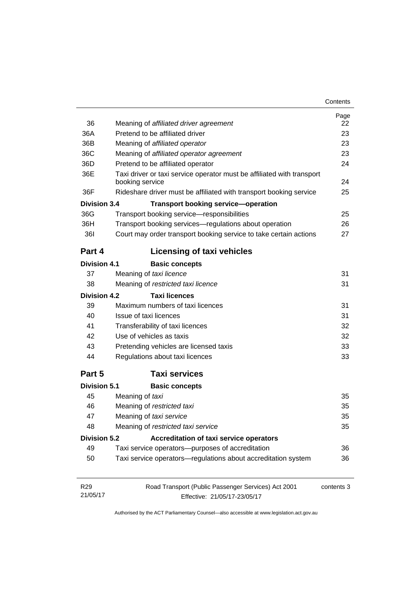| Contents |
|----------|
|----------|

| 36<br>36A                   | Meaning of affiliated driver agreement<br>Pretend to be affiliated driver                 | Page<br>22<br>23 |
|-----------------------------|-------------------------------------------------------------------------------------------|------------------|
| 36B                         | Meaning of affiliated operator                                                            | 23               |
| 36C                         | Meaning of affiliated operator agreement                                                  | 23               |
| 36D                         | Pretend to be affiliated operator                                                         | 24               |
| 36E                         | Taxi driver or taxi service operator must be affiliated with transport<br>booking service | 24               |
| 36F                         | Rideshare driver must be affiliated with transport booking service                        | 25               |
| Division 3.4                | <b>Transport booking service-operation</b>                                                |                  |
| 36G                         | Transport booking service-responsibilities                                                | 25               |
| 36H                         | Transport booking services-regulations about operation                                    | 26               |
| <b>361</b>                  | Court may order transport booking service to take certain actions                         | 27               |
| Part 4                      | <b>Licensing of taxi vehicles</b>                                                         |                  |
| <b>Division 4.1</b>         | <b>Basic concepts</b>                                                                     |                  |
| 37                          | Meaning of taxi licence                                                                   | 31               |
| 38                          | Meaning of restricted taxi licence                                                        | 31               |
| Division 4.2                | <b>Taxi licences</b>                                                                      |                  |
| 39                          | Maximum numbers of taxi licences                                                          | 31               |
| 40                          | Issue of taxi licences                                                                    | 31               |
| 41                          | Transferability of taxi licences                                                          | 32               |
| 42                          | Use of vehicles as taxis                                                                  | 32               |
| 43                          | Pretending vehicles are licensed taxis                                                    | 33               |
| 44                          | Regulations about taxi licences                                                           | 33               |
| Part 5                      | <b>Taxi services</b>                                                                      |                  |
| <b>Division 5.1</b>         | <b>Basic concepts</b>                                                                     |                  |
| 45                          | Meaning of taxi                                                                           | 35               |
| 46                          | Meaning of restricted taxi                                                                | 35               |
| 47                          | Meaning of taxi service                                                                   | 35               |
| 48                          | Meaning of restricted taxi service                                                        | 35               |
| <b>Division 5.2</b>         | Accreditation of taxi service operators                                                   |                  |
| 49                          | Taxi service operators-purposes of accreditation                                          | 36               |
| 50                          | Taxi service operators-regulations about accreditation system                             | 36               |
| R <sub>29</sub><br>21/05/17 | Road Transport (Public Passenger Services) Act 2001<br>Effective: 21/05/17-23/05/17       | contents 3       |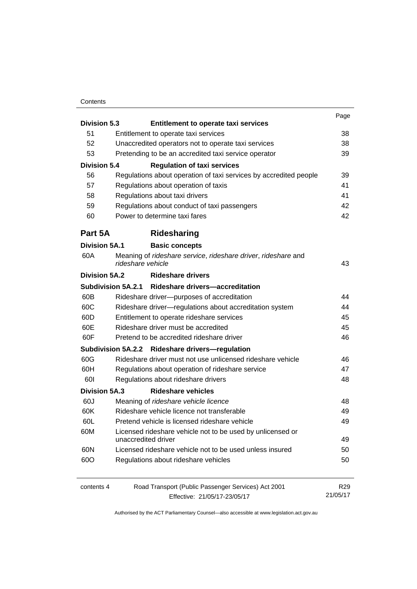### **Contents**

|                      |                                           |                                                                                  | Page            |  |
|----------------------|-------------------------------------------|----------------------------------------------------------------------------------|-----------------|--|
| <b>Division 5.3</b>  |                                           | <b>Entitlement to operate taxi services</b>                                      |                 |  |
| 51                   |                                           | Entitlement to operate taxi services                                             | 38              |  |
| 52                   |                                           | Unaccredited operators not to operate taxi services                              | 38              |  |
| 53                   |                                           | Pretending to be an accredited taxi service operator                             | 39              |  |
| <b>Division 5.4</b>  |                                           | <b>Regulation of taxi services</b>                                               |                 |  |
| 56                   |                                           | Regulations about operation of taxi services by accredited people                | 39              |  |
| 57                   |                                           | Regulations about operation of taxis                                             | 41              |  |
| 58                   |                                           | Regulations about taxi drivers                                                   | 41              |  |
| 59                   |                                           | Regulations about conduct of taxi passengers                                     |                 |  |
| 60                   |                                           | Power to determine taxi fares                                                    | 42              |  |
| Part 5A              |                                           | Ridesharing                                                                      |                 |  |
| <b>Division 5A.1</b> |                                           | <b>Basic concepts</b>                                                            |                 |  |
| 60A                  | rideshare vehicle                         | Meaning of rideshare service, rideshare driver, rideshare and                    | 43              |  |
| Division 5A.2        |                                           | <b>Rideshare drivers</b>                                                         |                 |  |
|                      |                                           | Subdivision 5A.2.1 Rideshare drivers-accreditation                               |                 |  |
| 60B                  |                                           | Rideshare driver--purposes of accreditation                                      | 44              |  |
| 60C                  |                                           | Rideshare driver-regulations about accreditation system                          | 44              |  |
| 60D<br>60E           |                                           | Entitlement to operate rideshare services<br>Rideshare driver must be accredited | 45              |  |
|                      |                                           |                                                                                  | 45              |  |
| 60F                  | Pretend to be accredited rideshare driver | 46                                                                               |                 |  |
|                      |                                           | Subdivision 5A.2.2 Rideshare drivers-regulation                                  |                 |  |
| 60G                  |                                           | Rideshare driver must not use unlicensed rideshare vehicle                       | 46              |  |
| 60H                  |                                           | Regulations about operation of rideshare service                                 | 47              |  |
| 60I                  |                                           | Regulations about rideshare drivers                                              | 48              |  |
| <b>Division 5A.3</b> |                                           | <b>Rideshare vehicles</b>                                                        |                 |  |
| 60J                  |                                           | Meaning of rideshare vehicle licence                                             | 48              |  |
| 60K                  |                                           | Rideshare vehicle licence not transferable                                       | 49              |  |
| 60L                  |                                           | Pretend vehicle is licensed rideshare vehicle                                    | 49              |  |
| 60M                  |                                           | Licensed rideshare vehicle not to be used by unlicensed or                       |                 |  |
|                      |                                           | unaccredited driver                                                              | 49              |  |
| 60N                  |                                           | Licensed rideshare vehicle not to be used unless insured                         | 50              |  |
| 60O                  |                                           | Regulations about rideshare vehicles                                             | 50              |  |
| contents 4           |                                           | Road Transport (Public Passenger Services) Act 2001                              | R <sub>29</sub> |  |
|                      |                                           | Effective: 21/05/17-23/05/17                                                     | 21/05/17        |  |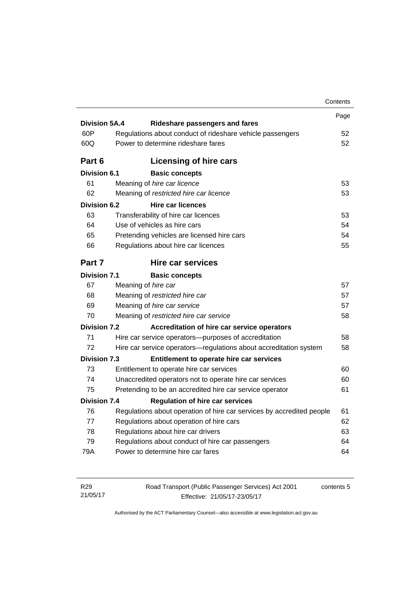|                      |                                    |                                                                                        | Contents |
|----------------------|------------------------------------|----------------------------------------------------------------------------------------|----------|
|                      |                                    |                                                                                        | Page     |
| <b>Division 5A.4</b> |                                    | Rideshare passengers and fares                                                         |          |
| 60P                  |                                    | Regulations about conduct of rideshare vehicle passengers                              | 52       |
| 60Q                  | Power to determine rideshare fares |                                                                                        | 52       |
| Part 6               |                                    | Licensing of hire cars                                                                 |          |
| <b>Division 6.1</b>  |                                    | <b>Basic concepts</b>                                                                  |          |
| 61                   |                                    | Meaning of hire car licence                                                            | 53       |
| 62                   |                                    | Meaning of restricted hire car licence                                                 | 53       |
| <b>Division 6.2</b>  |                                    | <b>Hire car licences</b>                                                               |          |
| 63                   |                                    | Transferability of hire car licences                                                   | 53       |
| 64                   |                                    | Use of vehicles as hire cars                                                           | 54       |
| 65                   |                                    | Pretending vehicles are licensed hire cars                                             | 54       |
| 66                   |                                    | Regulations about hire car licences                                                    | 55       |
| Part 7               |                                    | <b>Hire car services</b>                                                               |          |
| <b>Division 7.1</b>  |                                    | <b>Basic concepts</b>                                                                  |          |
| 67                   |                                    | Meaning of hire car                                                                    | 57       |
| 68                   |                                    | Meaning of restricted hire car                                                         | 57       |
| 69                   |                                    | Meaning of hire car service                                                            | 57       |
| 70                   |                                    | Meaning of restricted hire car service                                                 | 58       |
| <b>Division 7.2</b>  |                                    | Accreditation of hire car service operators                                            |          |
| 71                   |                                    | Hire car service operators—purposes of accreditation                                   | 58       |
| 72                   |                                    | Hire car service operators-regulations about accreditation system                      | 58       |
| <b>Division 7.3</b>  |                                    | Entitlement to operate hire car services                                               |          |
| 73                   |                                    | Entitlement to operate hire car services                                               | 60       |
| 74                   |                                    | Unaccredited operators not to operate hire car services                                | 60       |
| 75                   |                                    | Pretending to be an accredited hire car service operator                               | 61       |
| <b>Division 7.4</b>  |                                    | <b>Regulation of hire car services</b>                                                 |          |
|                      |                                    | Regulations about operation of hire car services by accredited people                  | 61       |
| 76                   |                                    |                                                                                        | 62       |
| 77                   |                                    | Regulations about operation of hire cars                                               |          |
| 78                   |                                    |                                                                                        | 63       |
| 79                   |                                    | Regulations about hire car drivers<br>Regulations about conduct of hire car passengers | 64       |

| R <sub>29</sub> | Road Transport (Public Passenger Services) Act 2001 | contents 5 |
|-----------------|-----------------------------------------------------|------------|
| 21/05/17        | Effective: 21/05/17-23/05/17                        |            |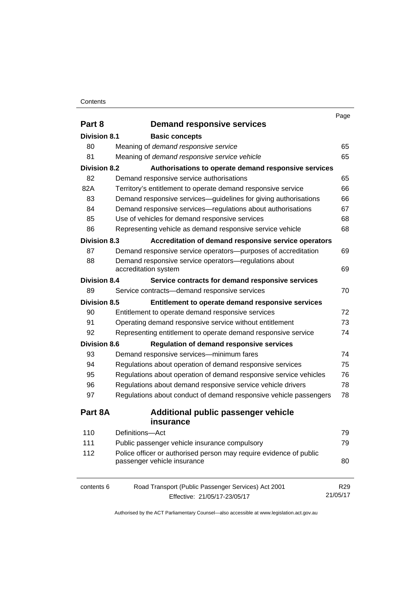#### **Contents**

| Part 8<br><b>Demand responsive services</b><br>Division 8.1<br><b>Basic concepts</b><br>80<br>Meaning of demand responsive service<br>81<br>Meaning of demand responsive service vehicle<br><b>Division 8.2</b><br>Authorisations to operate demand responsive services | 65<br>65<br>65<br>66 |
|-------------------------------------------------------------------------------------------------------------------------------------------------------------------------------------------------------------------------------------------------------------------------|----------------------|
|                                                                                                                                                                                                                                                                         |                      |
|                                                                                                                                                                                                                                                                         |                      |
|                                                                                                                                                                                                                                                                         |                      |
|                                                                                                                                                                                                                                                                         |                      |
|                                                                                                                                                                                                                                                                         |                      |
| 82<br>Demand responsive service authorisations                                                                                                                                                                                                                          |                      |
| 82A<br>Territory's entitlement to operate demand responsive service                                                                                                                                                                                                     |                      |
| 83<br>Demand responsive services-guidelines for giving authorisations                                                                                                                                                                                                   | 66                   |
| 84<br>Demand responsive services—regulations about authorisations                                                                                                                                                                                                       | 67                   |
| 85<br>Use of vehicles for demand responsive services                                                                                                                                                                                                                    | 68                   |
| 86<br>Representing vehicle as demand responsive service vehicle                                                                                                                                                                                                         | 68                   |
| <b>Division 8.3</b><br>Accreditation of demand responsive service operators                                                                                                                                                                                             |                      |
| 87<br>Demand responsive service operators-purposes of accreditation                                                                                                                                                                                                     | 69                   |
| 88<br>Demand responsive service operators-regulations about                                                                                                                                                                                                             |                      |
| accreditation system                                                                                                                                                                                                                                                    | 69                   |
| <b>Division 8.4</b><br>Service contracts for demand responsive services                                                                                                                                                                                                 |                      |
| 89<br>Service contracts-demand responsive services                                                                                                                                                                                                                      | 70                   |
| <b>Division 8.5</b><br>Entitlement to operate demand responsive services                                                                                                                                                                                                |                      |
| 90<br>Entitlement to operate demand responsive services                                                                                                                                                                                                                 | 72                   |
| 91<br>Operating demand responsive service without entitlement                                                                                                                                                                                                           | 73                   |
| 92<br>Representing entitlement to operate demand responsive service                                                                                                                                                                                                     | 74                   |
| <b>Division 8.6</b><br><b>Regulation of demand responsive services</b>                                                                                                                                                                                                  |                      |
| 93<br>Demand responsive services-minimum fares                                                                                                                                                                                                                          | 74                   |
| 94<br>Regulations about operation of demand responsive services                                                                                                                                                                                                         | 75                   |
| 95<br>Regulations about operation of demand responsive service vehicles                                                                                                                                                                                                 | 76                   |
| 96<br>Regulations about demand responsive service vehicle drivers                                                                                                                                                                                                       | 78                   |
| 97<br>Regulations about conduct of demand responsive vehicle passengers                                                                                                                                                                                                 | 78                   |
| Part 8A<br><b>Additional public passenger vehicle</b>                                                                                                                                                                                                                   |                      |
| insurance                                                                                                                                                                                                                                                               |                      |
| 110<br>Definitions-Act                                                                                                                                                                                                                                                  | 79                   |
| 111<br>Public passenger vehicle insurance compulsory                                                                                                                                                                                                                    | 79                   |
| Police officer or authorised person may require evidence of public<br>112                                                                                                                                                                                               |                      |
| passenger vehicle insurance                                                                                                                                                                                                                                             | 80                   |
| Road Transport (Public Passenger Services) Act 2001<br>contents 6                                                                                                                                                                                                       | R <sub>29</sub>      |
| 21/05/17<br>Effective: 21/05/17-23/05/17                                                                                                                                                                                                                                |                      |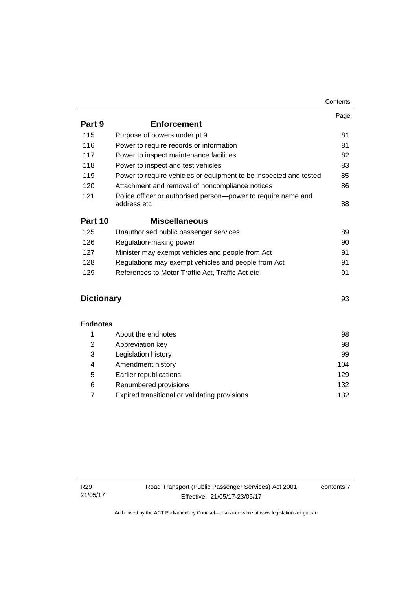|                   |                                                                              | Page |
|-------------------|------------------------------------------------------------------------------|------|
| Part 9            | <b>Enforcement</b>                                                           |      |
| 115               | Purpose of powers under pt 9                                                 | 81   |
| 116               | Power to require records or information                                      | 81   |
| 117               | Power to inspect maintenance facilities                                      | 82   |
| 118               | Power to inspect and test vehicles                                           | 83   |
| 119               | Power to require vehicles or equipment to be inspected and tested            | 85   |
| 120               | Attachment and removal of noncompliance notices                              | 86   |
| 121               | Police officer or authorised person-power to require name and<br>address etc | 88   |
| Part 10           | <b>Miscellaneous</b>                                                         |      |
| 125               | Unauthorised public passenger services                                       | 89   |
| 126               | Regulation-making power                                                      | 90   |
| 127               | Minister may exempt vehicles and people from Act                             | 91   |
| 128               | Regulations may exempt vehicles and people from Act                          | 91   |
| 129               | References to Motor Traffic Act, Traffic Act etc                             | 91   |
| <b>Dictionary</b> |                                                                              | 93   |
| <b>Endnotes</b>   |                                                                              |      |
| 1                 | About the endnotes                                                           | 98   |
| 2                 | Abbreviation key                                                             | 98   |
| 3                 | Legislation history                                                          | 99   |
| 4                 | Amendment history                                                            | 104  |
| 5                 | Earlier republications                                                       | 129  |
| 6                 | Renumbered provisions                                                        | 132  |

7 [Expired transitional or validating provisions 132](#page-141-1)

contents 7

**Contents**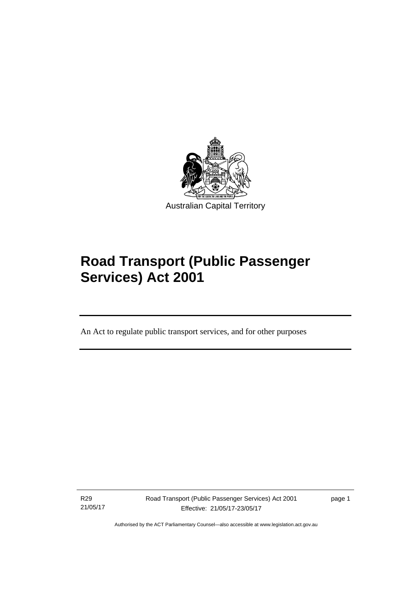

# **Road Transport (Public Passenger Services) Act 2001**

An Act to regulate public transport services, and for other purposes

R29 21/05/17

l

Road Transport (Public Passenger Services) Act 2001 Effective: 21/05/17-23/05/17

page 1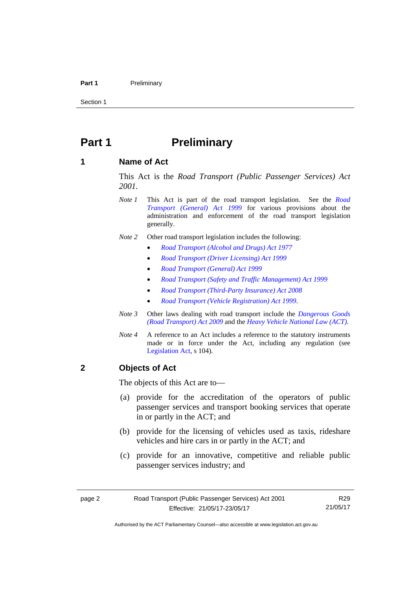#### Part 1 **Preliminary**

Section 1

# <span id="page-11-0"></span>**Part 1** Preliminary

### <span id="page-11-1"></span>**1 Name of Act**

This Act is the *Road Transport (Public Passenger Services) Act 2001.* 

- *Note 1* This Act is part of the road transport legislation. See the *[Road](http://www.legislation.act.gov.au/a/1999-77)  [Transport \(General\) Act 1999](http://www.legislation.act.gov.au/a/1999-77)* for various provisions about the administration and enforcement of the road transport legislation generally.
- *Note 2* Other road transport legislation includes the following:
	- *[Road Transport \(Alcohol and Drugs\) Act 1977](http://www.legislation.act.gov.au/a/1977-17)*
	- *[Road Transport \(Driver Licensing\) Act 1999](http://www.legislation.act.gov.au/a/1999-78)*
	- *[Road Transport \(General\) Act 1999](http://www.legislation.act.gov.au/a/1999-77)*
	- *[Road Transport \(Safety and Traffic Management\) Act 1999](http://www.legislation.act.gov.au/a/1999-80)*
	- *[Road Transport \(Third-Party Insurance\) Act 2008](http://www.legislation.act.gov.au/a/2008-1)*
	- *[Road Transport \(Vehicle Registration\) Act 1999](http://www.legislation.act.gov.au/a/1999-81)*.
- *Note 3* Other laws dealing with road transport include the *[Dangerous Goods](http://www.legislation.act.gov.au/a/2009-34)  [\(Road Transport\) Act 2009](http://www.legislation.act.gov.au/a/2009-34)* and the *[Heavy Vehicle National Law \(ACT\).](http://www.legislation.act.gov.au/a/db_49155/default.asp)*
- *Note 4* A reference to an Act includes a reference to the statutory instruments made or in force under the Act, including any regulation (see [Legislation Act,](http://www.legislation.act.gov.au/a/2001-14) s 104).

# <span id="page-11-2"></span>**2 Objects of Act**

The objects of this Act are to—

- (a) provide for the accreditation of the operators of public passenger services and transport booking services that operate in or partly in the ACT; and
- (b) provide for the licensing of vehicles used as taxis, rideshare vehicles and hire cars in or partly in the ACT; and
- (c) provide for an innovative, competitive and reliable public passenger services industry; and

R29 21/05/17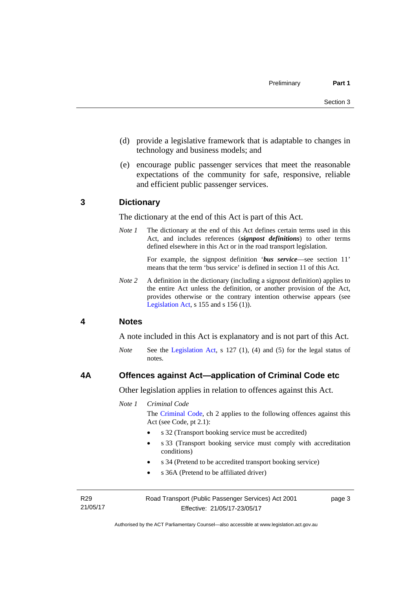- (d) provide a legislative framework that is adaptable to changes in technology and business models; and
- (e) encourage public passenger services that meet the reasonable expectations of the community for safe, responsive, reliable and efficient public passenger services.

### <span id="page-12-0"></span>**3 Dictionary**

The dictionary at the end of this Act is part of this Act.

*Note 1* The dictionary at the end of this Act defines certain terms used in this Act, and includes references (*signpost definitions*) to other terms defined elsewhere in this Act or in the road transport legislation.

> For example, the signpost definition '*bus service*—see section 11' means that the term 'bus service' is defined in section 11 of this Act.

*Note 2* A definition in the dictionary (including a signpost definition) applies to the entire Act unless the definition, or another provision of the Act, provides otherwise or the contrary intention otherwise appears (see [Legislation Act,](http://www.legislation.act.gov.au/a/2001-14) s  $155$  and s  $156$  (1)).

### <span id="page-12-1"></span>**4 Notes**

A note included in this Act is explanatory and is not part of this Act.

*Note* See the [Legislation Act](http://www.legislation.act.gov.au/a/2001-14), s 127 (1), (4) and (5) for the legal status of notes.

#### <span id="page-12-2"></span>**4A Offences against Act—application of Criminal Code etc**

Other legislation applies in relation to offences against this Act.

*Note 1 Criminal Code*

The [Criminal Code](http://www.legislation.act.gov.au/a/2002-51), ch 2 applies to the following offences against this Act (see Code, pt 2.1):

- s 32 (Transport booking service must be accredited)
- s 33 (Transport booking service must comply with accreditation conditions)
- s 34 (Pretend to be accredited transport booking service)
- s 36A (Pretend to be affiliated driver)

R29 21/05/17 Road Transport (Public Passenger Services) Act 2001 Effective: 21/05/17-23/05/17

page 3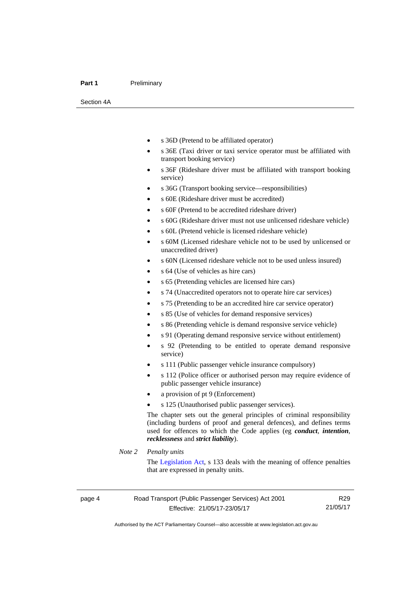#### Part 1 **Preliminary**

Section 4A

- s 36D (Pretend to be affiliated operator)
- s 36E (Taxi driver or taxi service operator must be affiliated with transport booking service)
- s 36F (Rideshare driver must be affiliated with transport booking service)
- s 36G (Transport booking service—responsibilities)
- s 60E (Rideshare driver must be accredited)
- s 60F (Pretend to be accredited rideshare driver)
- s 60G (Rideshare driver must not use unlicensed rideshare vehicle)
- s 60L (Pretend vehicle is licensed rideshare vehicle)
- s 60M (Licensed rideshare vehicle not to be used by unlicensed or unaccredited driver)
- s 60N (Licensed rideshare vehicle not to be used unless insured)
- s 64 (Use of vehicles as hire cars)
- s 65 (Pretending vehicles are licensed hire cars)
- s 74 (Unaccredited operators not to operate hire car services)
- s 75 (Pretending to be an accredited hire car service operator)
- s 85 (Use of vehicles for demand responsive services)
- s 86 (Pretending vehicle is demand responsive service vehicle)
- s 91 (Operating demand responsive service without entitlement)
- s 92 (Pretending to be entitled to operate demand responsive service)
- s 111 (Public passenger vehicle insurance compulsory)
- s 112 (Police officer or authorised person may require evidence of public passenger vehicle insurance)
- a provision of pt 9 (Enforcement)
- s 125 (Unauthorised public passenger services).

The chapter sets out the general principles of criminal responsibility (including burdens of proof and general defences), and defines terms used for offences to which the Code applies (eg *conduct*, *intention*, *recklessness* and *strict liability*).

#### *Note 2 Penalty units*

The [Legislation Act](http://www.legislation.act.gov.au/a/2001-14), s 133 deals with the meaning of offence penalties that are expressed in penalty units.

Authorised by the ACT Parliamentary Counsel—also accessible at www.legislation.act.gov.au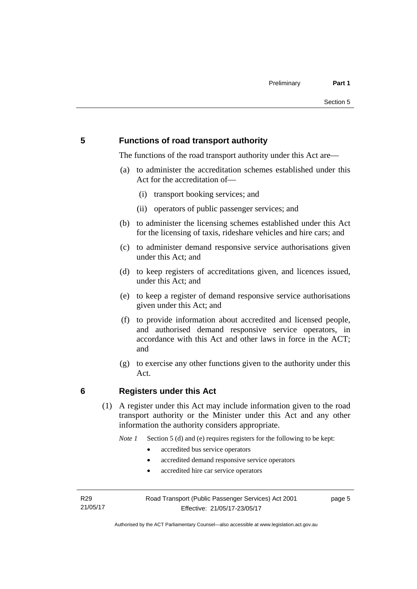# <span id="page-14-0"></span>**5 Functions of road transport authority**

The functions of the road transport authority under this Act are—

- (a) to administer the accreditation schemes established under this Act for the accreditation of—
	- (i) transport booking services; and
	- (ii) operators of public passenger services; and
- (b) to administer the licensing schemes established under this Act for the licensing of taxis, rideshare vehicles and hire cars; and
- (c) to administer demand responsive service authorisations given under this Act; and
- (d) to keep registers of accreditations given, and licences issued, under this Act; and
- (e) to keep a register of demand responsive service authorisations given under this Act; and
- (f) to provide information about accredited and licensed people, and authorised demand responsive service operators, in accordance with this Act and other laws in force in the ACT; and
- (g) to exercise any other functions given to the authority under this Act.

# <span id="page-14-1"></span>**6 Registers under this Act**

(1) A register under this Act may include information given to the road transport authority or the Minister under this Act and any other information the authority considers appropriate.

*Note 1* Section 5 (d) and (e) requires registers for the following to be kept:

- accredited bus service operators
- accredited demand responsive service operators
- accredited hire car service operators

R29 21/05/17 page 5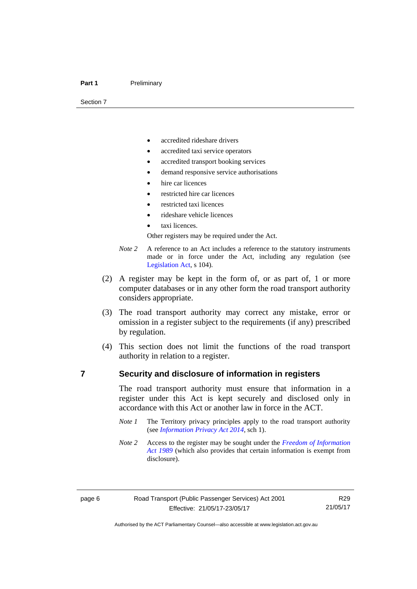#### Part 1 **Preliminary**

Section 7

- accredited rideshare drivers
- accredited taxi service operators
- accredited transport booking services
- demand responsive service authorisations
- hire car licences
- restricted hire car licences
- restricted taxi licences
- rideshare vehicle licences
- taxi licences.

Other registers may be required under the Act.

- *Note 2* A reference to an Act includes a reference to the statutory instruments made or in force under the Act, including any regulation (see [Legislation Act,](http://www.legislation.act.gov.au/a/2001-14) s 104).
- (2) A register may be kept in the form of, or as part of, 1 or more computer databases or in any other form the road transport authority considers appropriate.
- (3) The road transport authority may correct any mistake, error or omission in a register subject to the requirements (if any) prescribed by regulation.
- (4) This section does not limit the functions of the road transport authority in relation to a register.

## <span id="page-15-0"></span>**7 Security and disclosure of information in registers**

The road transport authority must ensure that information in a register under this Act is kept securely and disclosed only in accordance with this Act or another law in force in the ACT.

- *Note 1* The Territory privacy principles apply to the road transport authority (see *[Information Privacy Act 2014](http://www.legislation.act.gov.au/a/2014-24/default.asp)*, sch 1).
- *Note 2* Access to the register may be sought under the *[Freedom of Information](http://www.legislation.act.gov.au/a/alt_a1989-46co)  [Act 1989](http://www.legislation.act.gov.au/a/alt_a1989-46co)* (which also provides that certain information is exempt from disclosure).

R29 21/05/17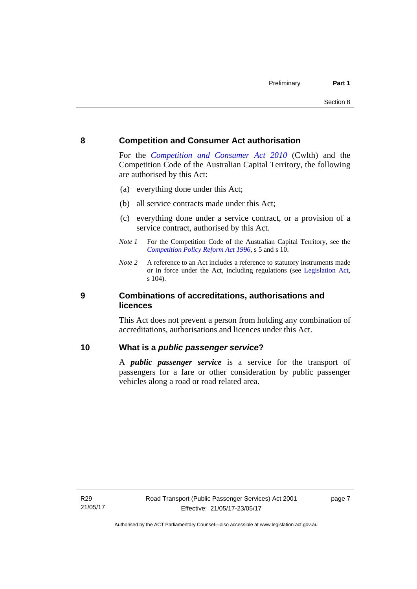### <span id="page-16-0"></span>**8 Competition and Consumer Act authorisation**

For the *[Competition and Consumer Act 2010](http://www.comlaw.gov.au/Details/C2013C00004)* (Cwlth) and the Competition Code of the Australian Capital Territory, the following are authorised by this Act:

- (a) everything done under this Act;
- (b) all service contracts made under this Act;
- (c) everything done under a service contract, or a provision of a service contract, authorised by this Act.
- *Note 1* For the Competition Code of the Australian Capital Territory, see the *[Competition Policy Reform Act 1996](http://www.legislation.act.gov.au/a/1996-21)*, s 5 and s 10.
- *Note 2* A reference to an Act includes a reference to statutory instruments made or in force under the Act, including regulations (see [Legislation Act,](http://www.legislation.act.gov.au/a/2001-14) s 104).

## <span id="page-16-1"></span>**9 Combinations of accreditations, authorisations and licences**

This Act does not prevent a person from holding any combination of accreditations, authorisations and licences under this Act.

## <span id="page-16-2"></span>**10 What is a** *public passenger service***?**

A *public passenger service* is a service for the transport of passengers for a fare or other consideration by public passenger vehicles along a road or road related area.

page 7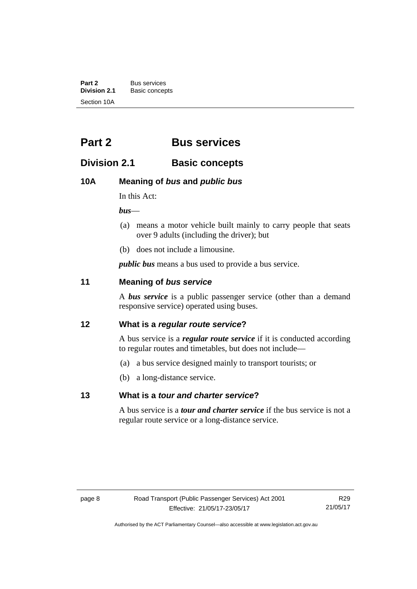**Part 2** Bus services<br> **Division 2.1** Basic concer **Division 2.1** Basic concepts Section 10A

# <span id="page-17-0"></span>**Part 2 Bus services**

# <span id="page-17-1"></span>**Division 2.1 Basic concepts**

# <span id="page-17-2"></span>**10A Meaning of** *bus* **and** *public bus*

In this Act:

*bus*—

- (a) means a motor vehicle built mainly to carry people that seats over 9 adults (including the driver); but
- (b) does not include a limousine.

*public bus* means a bus used to provide a bus service.

# <span id="page-17-3"></span>**11 Meaning of** *bus service*

A *bus service* is a public passenger service (other than a demand responsive service) operated using buses.

# <span id="page-17-4"></span>**12 What is a** *regular route service***?**

A bus service is a *regular route service* if it is conducted according to regular routes and timetables, but does not include—

- (a) a bus service designed mainly to transport tourists; or
- (b) a long-distance service.

# <span id="page-17-5"></span>**13 What is a** *tour and charter service***?**

A bus service is a *tour and charter service* if the bus service is not a regular route service or a long-distance service.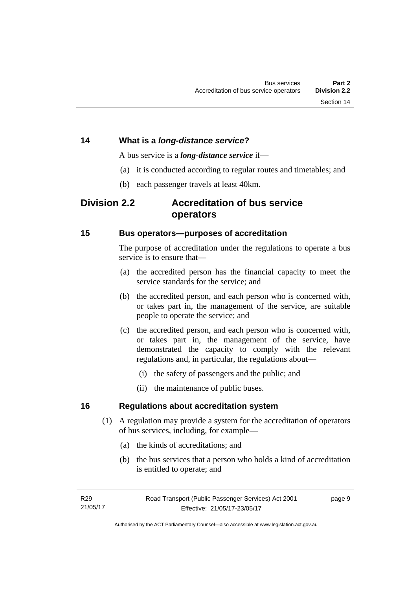# <span id="page-18-0"></span>**14 What is a** *long-distance service***?**

A bus service is a *long-distance service* if—

- (a) it is conducted according to regular routes and timetables; and
- (b) each passenger travels at least 40km.

# <span id="page-18-1"></span>**Division 2.2 Accreditation of bus service operators**

## <span id="page-18-2"></span>**15 Bus operators—purposes of accreditation**

The purpose of accreditation under the regulations to operate a bus service is to ensure that-

- (a) the accredited person has the financial capacity to meet the service standards for the service; and
- (b) the accredited person, and each person who is concerned with, or takes part in, the management of the service, are suitable people to operate the service; and
- (c) the accredited person, and each person who is concerned with, or takes part in, the management of the service, have demonstrated the capacity to comply with the relevant regulations and, in particular, the regulations about—
	- (i) the safety of passengers and the public; and
	- (ii) the maintenance of public buses.

# <span id="page-18-3"></span>**16 Regulations about accreditation system**

- (1) A regulation may provide a system for the accreditation of operators of bus services, including, for example—
	- (a) the kinds of accreditations; and
	- (b) the bus services that a person who holds a kind of accreditation is entitled to operate; and

page 9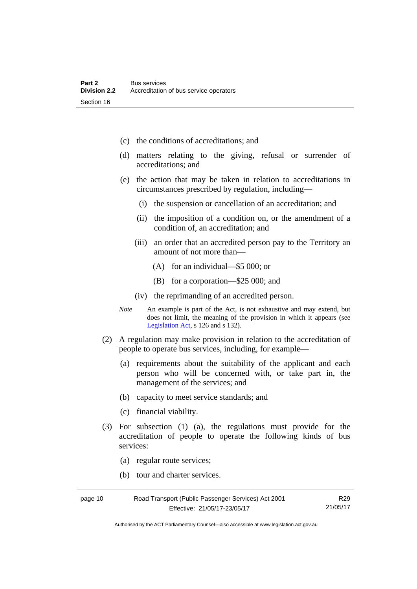- (c) the conditions of accreditations; and
- (d) matters relating to the giving, refusal or surrender of accreditations; and
- (e) the action that may be taken in relation to accreditations in circumstances prescribed by regulation, including—
	- (i) the suspension or cancellation of an accreditation; and
	- (ii) the imposition of a condition on, or the amendment of a condition of, an accreditation; and
	- (iii) an order that an accredited person pay to the Territory an amount of not more than—
		- (A) for an individual—\$5 000; or
		- (B) for a corporation—\$25 000; and
	- (iv) the reprimanding of an accredited person.
- *Note* An example is part of the Act, is not exhaustive and may extend, but does not limit, the meaning of the provision in which it appears (see [Legislation Act,](http://www.legislation.act.gov.au/a/2001-14) s 126 and s 132).
- (2) A regulation may make provision in relation to the accreditation of people to operate bus services, including, for example—
	- (a) requirements about the suitability of the applicant and each person who will be concerned with, or take part in, the management of the services; and
	- (b) capacity to meet service standards; and
	- (c) financial viability.
- (3) For subsection (1) (a), the regulations must provide for the accreditation of people to operate the following kinds of bus services:
	- (a) regular route services;
	- (b) tour and charter services.

| page 10 | Road Transport (Public Passenger Services) Act 2001 | R29      |
|---------|-----------------------------------------------------|----------|
|         | Effective: 21/05/17-23/05/17                        | 21/05/17 |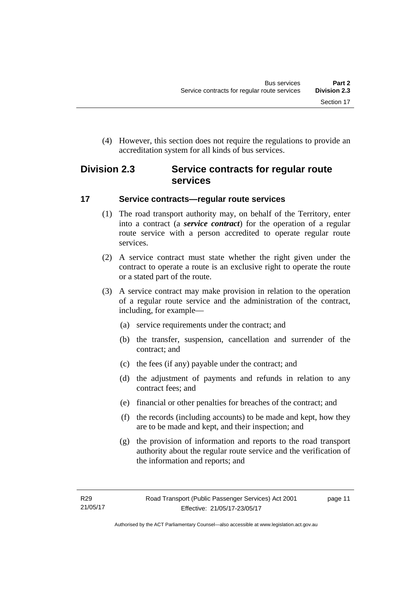(4) However, this section does not require the regulations to provide an accreditation system for all kinds of bus services.

# <span id="page-20-0"></span>**Division 2.3 Service contracts for regular route services**

# <span id="page-20-1"></span>**17 Service contracts—regular route services**

- (1) The road transport authority may, on behalf of the Territory, enter into a contract (a *service contract*) for the operation of a regular route service with a person accredited to operate regular route services.
- (2) A service contract must state whether the right given under the contract to operate a route is an exclusive right to operate the route or a stated part of the route.
- (3) A service contract may make provision in relation to the operation of a regular route service and the administration of the contract, including, for example—
	- (a) service requirements under the contract; and
	- (b) the transfer, suspension, cancellation and surrender of the contract; and
	- (c) the fees (if any) payable under the contract; and
	- (d) the adjustment of payments and refunds in relation to any contract fees; and
	- (e) financial or other penalties for breaches of the contract; and
	- (f) the records (including accounts) to be made and kept, how they are to be made and kept, and their inspection; and
	- (g) the provision of information and reports to the road transport authority about the regular route service and the verification of the information and reports; and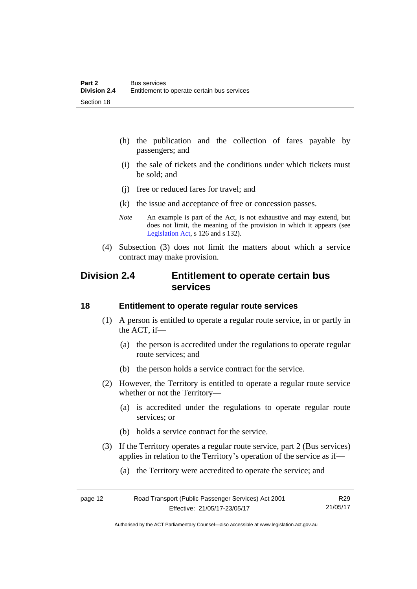- (h) the publication and the collection of fares payable by passengers; and
- (i) the sale of tickets and the conditions under which tickets must be sold; and
- (j) free or reduced fares for travel; and
- (k) the issue and acceptance of free or concession passes.
- *Note* An example is part of the Act, is not exhaustive and may extend, but does not limit, the meaning of the provision in which it appears (see [Legislation Act,](http://www.legislation.act.gov.au/a/2001-14) s 126 and s 132).
- (4) Subsection (3) does not limit the matters about which a service contract may make provision.

# <span id="page-21-0"></span>**Division 2.4 Entitlement to operate certain bus services**

### <span id="page-21-1"></span>**18 Entitlement to operate regular route services**

- (1) A person is entitled to operate a regular route service, in or partly in the ACT, if—
	- (a) the person is accredited under the regulations to operate regular route services; and
	- (b) the person holds a service contract for the service.
- (2) However, the Territory is entitled to operate a regular route service whether or not the Territory—
	- (a) is accredited under the regulations to operate regular route services; or
	- (b) holds a service contract for the service.
- (3) If the Territory operates a regular route service, part 2 (Bus services) applies in relation to the Territory's operation of the service as if—
	- (a) the Territory were accredited to operate the service; and

| page 12 | Road Transport (Public Passenger Services) Act 2001 | R <sub>29</sub> |
|---------|-----------------------------------------------------|-----------------|
|         | Effective: 21/05/17-23/05/17                        | 21/05/17        |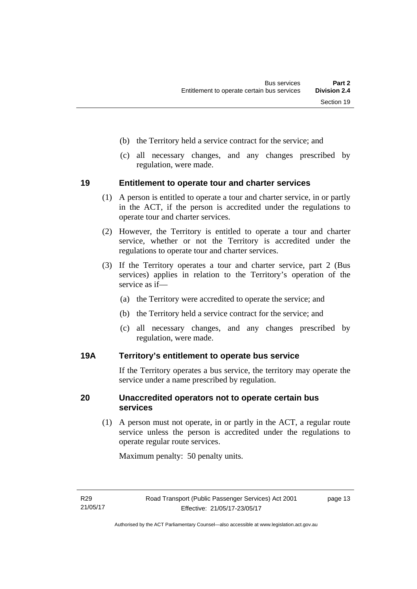- (b) the Territory held a service contract for the service; and
- (c) all necessary changes, and any changes prescribed by regulation, were made.

### <span id="page-22-0"></span>**19 Entitlement to operate tour and charter services**

- (1) A person is entitled to operate a tour and charter service, in or partly in the ACT, if the person is accredited under the regulations to operate tour and charter services.
- (2) However, the Territory is entitled to operate a tour and charter service, whether or not the Territory is accredited under the regulations to operate tour and charter services.
- (3) If the Territory operates a tour and charter service, part 2 (Bus services) applies in relation to the Territory's operation of the service as if—
	- (a) the Territory were accredited to operate the service; and
	- (b) the Territory held a service contract for the service; and
	- (c) all necessary changes, and any changes prescribed by regulation, were made.

# <span id="page-22-1"></span>**19A Territory's entitlement to operate bus service**

If the Territory operates a bus service, the territory may operate the service under a name prescribed by regulation.

# <span id="page-22-2"></span>**20 Unaccredited operators not to operate certain bus services**

(1) A person must not operate, in or partly in the ACT, a regular route service unless the person is accredited under the regulations to operate regular route services.

Maximum penalty: 50 penalty units.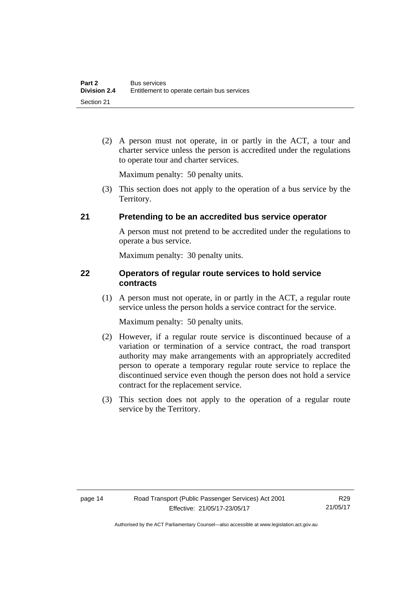(2) A person must not operate, in or partly in the ACT, a tour and charter service unless the person is accredited under the regulations to operate tour and charter services.

Maximum penalty: 50 penalty units.

 (3) This section does not apply to the operation of a bus service by the Territory.

# <span id="page-23-0"></span>**21 Pretending to be an accredited bus service operator**

A person must not pretend to be accredited under the regulations to operate a bus service.

Maximum penalty: 30 penalty units.

# <span id="page-23-1"></span>**22 Operators of regular route services to hold service contracts**

(1) A person must not operate, in or partly in the ACT, a regular route service unless the person holds a service contract for the service.

Maximum penalty: 50 penalty units.

- (2) However, if a regular route service is discontinued because of a variation or termination of a service contract, the road transport authority may make arrangements with an appropriately accredited person to operate a temporary regular route service to replace the discontinued service even though the person does not hold a service contract for the replacement service.
- (3) This section does not apply to the operation of a regular route service by the Territory.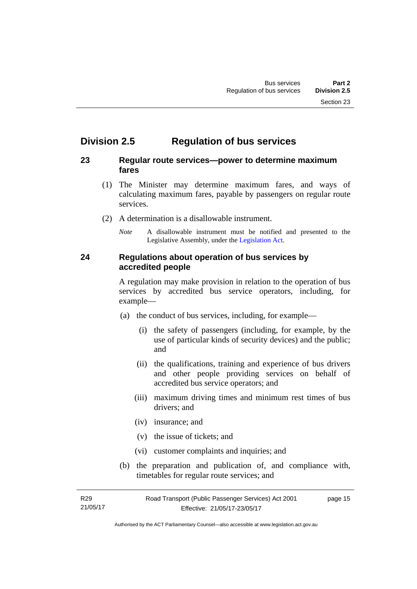# <span id="page-24-0"></span>**Division 2.5 Regulation of bus services**

# <span id="page-24-1"></span>**23 Regular route services—power to determine maximum fares**

- (1) The Minister may determine maximum fares, and ways of calculating maximum fares, payable by passengers on regular route services.
- (2) A determination is a disallowable instrument.
	- *Note* A disallowable instrument must be notified and presented to the Legislative Assembly, under the [Legislation Act.](http://www.legislation.act.gov.au/a/2001-14)

# <span id="page-24-2"></span>**24 Regulations about operation of bus services by accredited people**

A regulation may make provision in relation to the operation of bus services by accredited bus service operators, including, for example—

- (a) the conduct of bus services, including, for example—
	- (i) the safety of passengers (including, for example, by the use of particular kinds of security devices) and the public; and
	- (ii) the qualifications, training and experience of bus drivers and other people providing services on behalf of accredited bus service operators; and
	- (iii) maximum driving times and minimum rest times of bus drivers; and
	- (iv) insurance; and
	- (v) the issue of tickets; and
	- (vi) customer complaints and inquiries; and
- (b) the preparation and publication of, and compliance with, timetables for regular route services; and

R29 21/05/17 Road Transport (Public Passenger Services) Act 2001 Effective: 21/05/17-23/05/17 page 15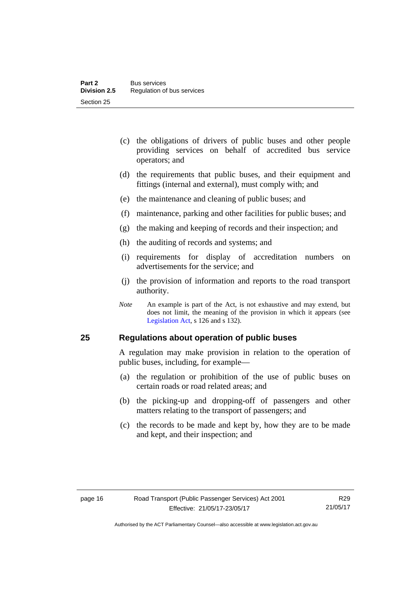- (c) the obligations of drivers of public buses and other people providing services on behalf of accredited bus service operators; and
- (d) the requirements that public buses, and their equipment and fittings (internal and external), must comply with; and
- (e) the maintenance and cleaning of public buses; and
- (f) maintenance, parking and other facilities for public buses; and
- (g) the making and keeping of records and their inspection; and
- (h) the auditing of records and systems; and
- (i) requirements for display of accreditation numbers on advertisements for the service; and
- (j) the provision of information and reports to the road transport authority.
- *Note* An example is part of the Act, is not exhaustive and may extend, but does not limit, the meaning of the provision in which it appears (see [Legislation Act,](http://www.legislation.act.gov.au/a/2001-14) s 126 and s 132).

### <span id="page-25-0"></span>**25 Regulations about operation of public buses**

A regulation may make provision in relation to the operation of public buses, including, for example—

- (a) the regulation or prohibition of the use of public buses on certain roads or road related areas; and
- (b) the picking-up and dropping-off of passengers and other matters relating to the transport of passengers; and
- (c) the records to be made and kept by, how they are to be made and kept, and their inspection; and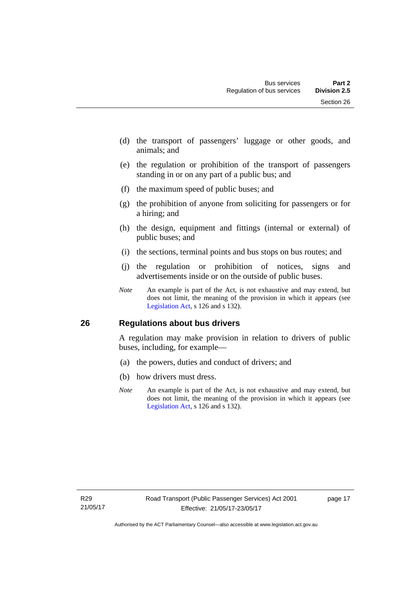- (d) the transport of passengers' luggage or other goods, and animals; and
- (e) the regulation or prohibition of the transport of passengers standing in or on any part of a public bus; and
- (f) the maximum speed of public buses; and
- (g) the prohibition of anyone from soliciting for passengers or for a hiring; and
- (h) the design, equipment and fittings (internal or external) of public buses; and
- (i) the sections, terminal points and bus stops on bus routes; and
- (j) the regulation or prohibition of notices, signs and advertisements inside or on the outside of public buses.
- *Note* An example is part of the Act, is not exhaustive and may extend, but does not limit, the meaning of the provision in which it appears (see [Legislation Act,](http://www.legislation.act.gov.au/a/2001-14) s 126 and s 132).

# <span id="page-26-0"></span>**26 Regulations about bus drivers**

A regulation may make provision in relation to drivers of public buses, including, for example—

- (a) the powers, duties and conduct of drivers; and
- (b) how drivers must dress.
- *Note* An example is part of the Act, is not exhaustive and may extend, but does not limit, the meaning of the provision in which it appears (see [Legislation Act,](http://www.legislation.act.gov.au/a/2001-14) s 126 and s 132).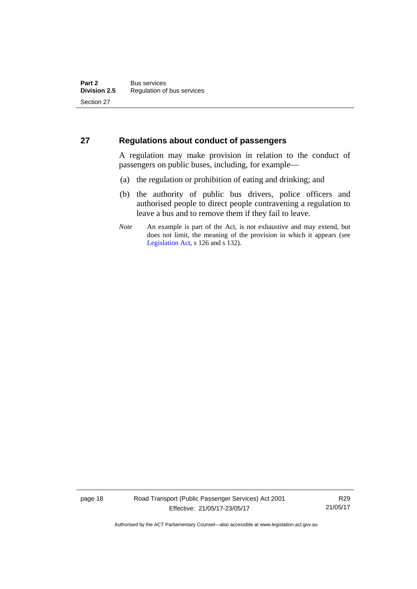# <span id="page-27-0"></span>**27 Regulations about conduct of passengers**

A regulation may make provision in relation to the conduct of passengers on public buses, including, for example—

- (a) the regulation or prohibition of eating and drinking; and
- (b) the authority of public bus drivers, police officers and authorised people to direct people contravening a regulation to leave a bus and to remove them if they fail to leave.
- *Note* An example is part of the Act, is not exhaustive and may extend, but does not limit, the meaning of the provision in which it appears (see [Legislation Act,](http://www.legislation.act.gov.au/a/2001-14) s 126 and s 132).

page 18 Road Transport (Public Passenger Services) Act 2001 Effective: 21/05/17-23/05/17

R29 21/05/17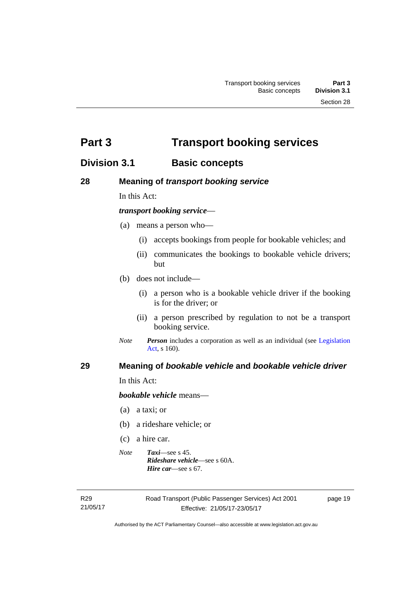<span id="page-28-0"></span>**Part 3 Transport booking services** 

# <span id="page-28-1"></span>**Division 3.1 Basic concepts**

# <span id="page-28-2"></span>**28 Meaning of** *transport booking service*

In this Act:

## *transport booking service*—

- (a) means a person who—
	- (i) accepts bookings from people for bookable vehicles; and
	- (ii) communicates the bookings to bookable vehicle drivers; but
- (b) does not include—
	- (i) a person who is a bookable vehicle driver if the booking is for the driver; or
	- (ii) a person prescribed by regulation to not be a transport booking service.
- *Note Person* includes a corporation as well as an individual (see [Legislation](http://www.legislation.act.gov.au/a/2001-14)  [Act](http://www.legislation.act.gov.au/a/2001-14), s 160).

# <span id="page-28-3"></span>**29 Meaning of** *bookable vehicle* **and** *bookable vehicle driver*

In this Act:

*bookable vehicle* means—

- (a) a taxi; or
- (b) a rideshare vehicle; or
- (c) a hire car.
- *Note Taxi*—see s 45. *Rideshare vehicle*—see s 60A. *Hire car*—see s 67.

R29 21/05/17 page 19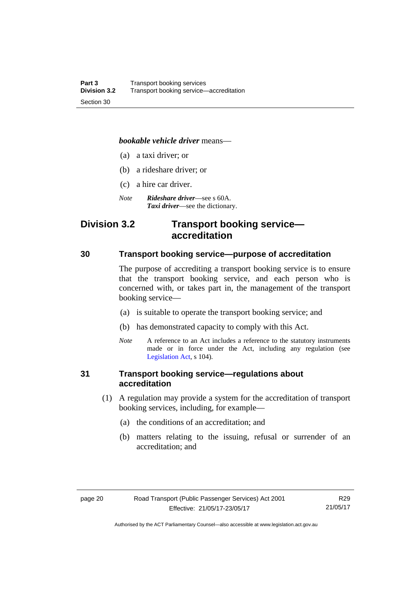#### *bookable vehicle driver* means—

- (a) a taxi driver; or
- (b) a rideshare driver; or
- (c) a hire car driver.
- *Note Rideshare driver*—see s 60A. *Taxi driver*—see the dictionary.

# <span id="page-29-0"></span>**Division 3.2 Transport booking service accreditation**

## <span id="page-29-1"></span>**30 Transport booking service—purpose of accreditation**

The purpose of accrediting a transport booking service is to ensure that the transport booking service, and each person who is concerned with, or takes part in, the management of the transport booking service—

- (a) is suitable to operate the transport booking service; and
- (b) has demonstrated capacity to comply with this Act.
- *Note* A reference to an Act includes a reference to the statutory instruments made or in force under the Act, including any regulation (see [Legislation Act,](http://www.legislation.act.gov.au/a/2001-14) s 104).

# <span id="page-29-2"></span>**31 Transport booking service—regulations about accreditation**

- (1) A regulation may provide a system for the accreditation of transport booking services, including, for example—
	- (a) the conditions of an accreditation; and
	- (b) matters relating to the issuing, refusal or surrender of an accreditation; and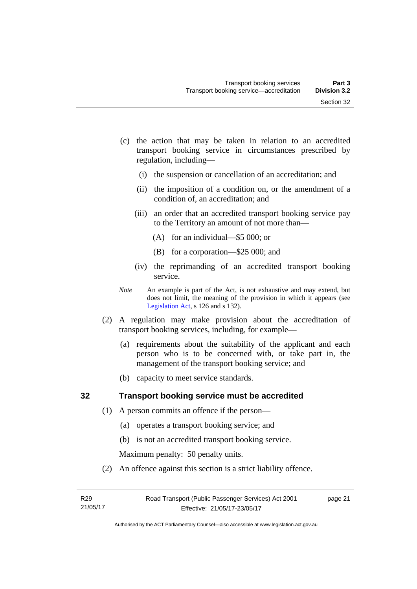- (c) the action that may be taken in relation to an accredited transport booking service in circumstances prescribed by regulation, including—
	- (i) the suspension or cancellation of an accreditation; and
	- (ii) the imposition of a condition on, or the amendment of a condition of, an accreditation; and
	- (iii) an order that an accredited transport booking service pay to the Territory an amount of not more than—
		- (A) for an individual—\$5 000; or
		- (B) for a corporation—\$25 000; and
	- (iv) the reprimanding of an accredited transport booking service.
- *Note* An example is part of the Act, is not exhaustive and may extend, but does not limit, the meaning of the provision in which it appears (see [Legislation Act,](http://www.legislation.act.gov.au/a/2001-14) s 126 and s 132).
- (2) A regulation may make provision about the accreditation of transport booking services, including, for example—
	- (a) requirements about the suitability of the applicant and each person who is to be concerned with, or take part in, the management of the transport booking service; and
	- (b) capacity to meet service standards.

# <span id="page-30-0"></span>**32 Transport booking service must be accredited**

- (1) A person commits an offence if the person—
	- (a) operates a transport booking service; and
	- (b) is not an accredited transport booking service.

Maximum penalty: 50 penalty units.

(2) An offence against this section is a strict liability offence.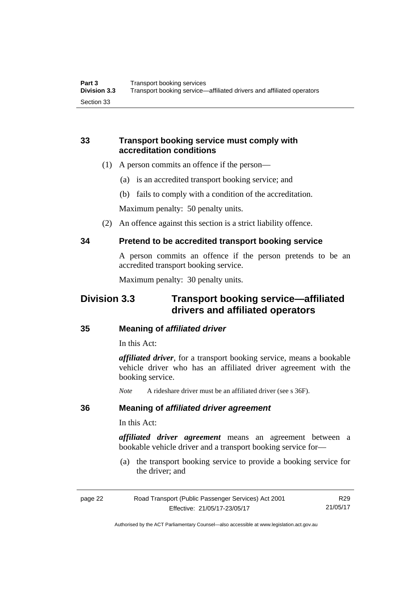# <span id="page-31-0"></span>**33 Transport booking service must comply with accreditation conditions**

- (1) A person commits an offence if the person—
	- (a) is an accredited transport booking service; and
	- (b) fails to comply with a condition of the accreditation.

Maximum penalty: 50 penalty units.

(2) An offence against this section is a strict liability offence.

# <span id="page-31-1"></span>**34 Pretend to be accredited transport booking service**

A person commits an offence if the person pretends to be an accredited transport booking service.

Maximum penalty: 30 penalty units.

# <span id="page-31-2"></span>**Division 3.3 Transport booking service—affiliated drivers and affiliated operators**

# <span id="page-31-3"></span>**35 Meaning of** *affiliated driver*

In this Act:

*affiliated driver*, for a transport booking service, means a bookable vehicle driver who has an affiliated driver agreement with the booking service.

*Note* A rideshare driver must be an affiliated driver (see s 36F).

# <span id="page-31-4"></span>**36 Meaning of** *affiliated driver agreement*

In this Act:

*affiliated driver agreement* means an agreement between a bookable vehicle driver and a transport booking service for—

 (a) the transport booking service to provide a booking service for the driver; and

| page 22 | Road Transport (Public Passenger Services) Act 2001 | R29      |
|---------|-----------------------------------------------------|----------|
|         | Effective: 21/05/17-23/05/17                        | 21/05/17 |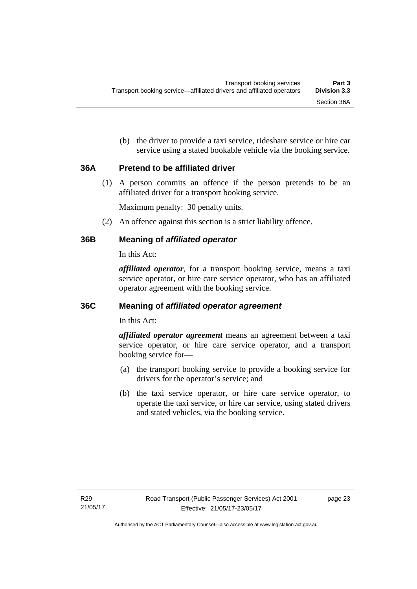(b) the driver to provide a taxi service, rideshare service or hire car service using a stated bookable vehicle via the booking service.

# <span id="page-32-0"></span>**36A Pretend to be affiliated driver**

(1) A person commits an offence if the person pretends to be an affiliated driver for a transport booking service.

Maximum penalty: 30 penalty units.

(2) An offence against this section is a strict liability offence.

# <span id="page-32-1"></span>**36B Meaning of** *affiliated operator*

In this Act:

*affiliated operator*, for a transport booking service, means a taxi service operator, or hire care service operator, who has an affiliated operator agreement with the booking service.

# <span id="page-32-2"></span>**36C Meaning of** *affiliated operator agreement*

In this Act:

*affiliated operator agreement* means an agreement between a taxi service operator, or hire care service operator, and a transport booking service for—

- (a) the transport booking service to provide a booking service for drivers for the operator's service; and
- (b) the taxi service operator, or hire care service operator, to operate the taxi service, or hire car service, using stated drivers and stated vehicles, via the booking service.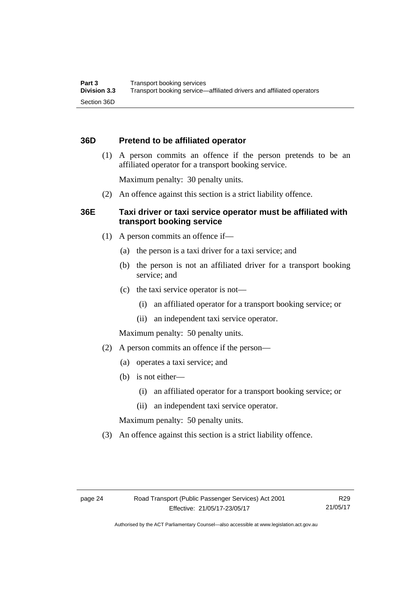# <span id="page-33-0"></span>**36D Pretend to be affiliated operator**

 (1) A person commits an offence if the person pretends to be an affiliated operator for a transport booking service.

Maximum penalty: 30 penalty units.

(2) An offence against this section is a strict liability offence.

# <span id="page-33-1"></span>**36E Taxi driver or taxi service operator must be affiliated with transport booking service**

- (1) A person commits an offence if—
	- (a) the person is a taxi driver for a taxi service; and
	- (b) the person is not an affiliated driver for a transport booking service; and
	- (c) the taxi service operator is not—
		- (i) an affiliated operator for a transport booking service; or
		- (ii) an independent taxi service operator.

Maximum penalty: 50 penalty units.

- (2) A person commits an offence if the person—
	- (a) operates a taxi service; and
	- (b) is not either—
		- (i) an affiliated operator for a transport booking service; or
		- (ii) an independent taxi service operator.

Maximum penalty: 50 penalty units.

(3) An offence against this section is a strict liability offence.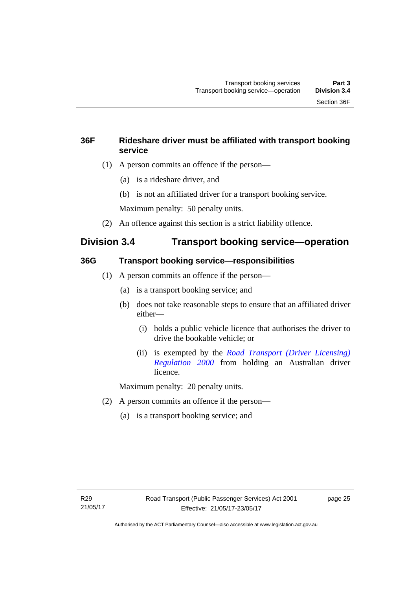# <span id="page-34-0"></span>**36F Rideshare driver must be affiliated with transport booking service**

- (1) A person commits an offence if the person—
	- (a) is a rideshare driver, and
	- (b) is not an affiliated driver for a transport booking service.

Maximum penalty: 50 penalty units.

(2) An offence against this section is a strict liability offence.

# <span id="page-34-1"></span>**Division 3.4 Transport booking service—operation**

# <span id="page-34-2"></span>**36G Transport booking service—responsibilities**

- (1) A person commits an offence if the person—
	- (a) is a transport booking service; and
	- (b) does not take reasonable steps to ensure that an affiliated driver either—
		- (i) holds a public vehicle licence that authorises the driver to drive the bookable vehicle; or
		- (ii) is exempted by the *[Road Transport \(Driver Licensing\)](http://www.legislation.act.gov.au/sl/2000-14)  [Regulation 2000](http://www.legislation.act.gov.au/sl/2000-14)* from holding an Australian driver licence.

Maximum penalty: 20 penalty units.

- (2) A person commits an offence if the person—
	- (a) is a transport booking service; and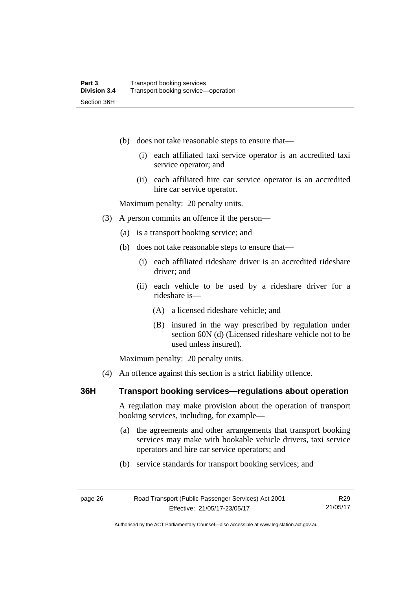- (b) does not take reasonable steps to ensure that—
	- (i) each affiliated taxi service operator is an accredited taxi service operator; and
	- (ii) each affiliated hire car service operator is an accredited hire car service operator.

Maximum penalty: 20 penalty units.

- (3) A person commits an offence if the person—
	- (a) is a transport booking service; and
	- (b) does not take reasonable steps to ensure that—
		- (i) each affiliated rideshare driver is an accredited rideshare driver; and
		- (ii) each vehicle to be used by a rideshare driver for a rideshare is—
			- (A) a licensed rideshare vehicle; and
			- (B) insured in the way prescribed by regulation under section 60N (d) (Licensed rideshare vehicle not to be used unless insured).

Maximum penalty: 20 penalty units.

(4) An offence against this section is a strict liability offence.

## <span id="page-35-0"></span>**36H Transport booking services—regulations about operation**

A regulation may make provision about the operation of transport booking services, including, for example—

- (a) the agreements and other arrangements that transport booking services may make with bookable vehicle drivers, taxi service operators and hire car service operators; and
- (b) service standards for transport booking services; and

Authorised by the ACT Parliamentary Counsel—also accessible at www.legislation.act.gov.au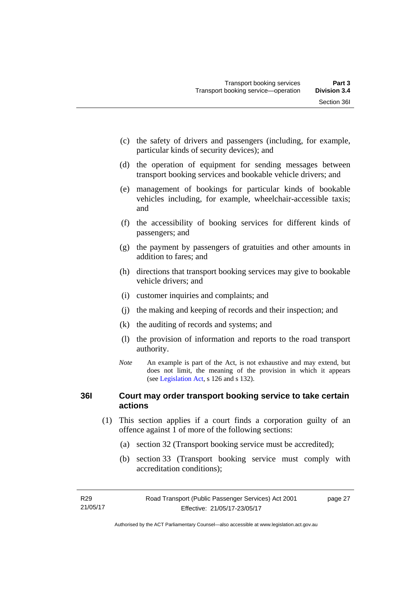- (c) the safety of drivers and passengers (including, for example, particular kinds of security devices); and
- (d) the operation of equipment for sending messages between transport booking services and bookable vehicle drivers; and
- (e) management of bookings for particular kinds of bookable vehicles including, for example, wheelchair-accessible taxis; and
- (f) the accessibility of booking services for different kinds of passengers; and
- (g) the payment by passengers of gratuities and other amounts in addition to fares; and
- (h) directions that transport booking services may give to bookable vehicle drivers; and
- (i) customer inquiries and complaints; and
- (j) the making and keeping of records and their inspection; and
- (k) the auditing of records and systems; and
- (l) the provision of information and reports to the road transport authority.
- *Note* An example is part of the Act, is not exhaustive and may extend, but does not limit, the meaning of the provision in which it appears (see [Legislation Act,](http://www.legislation.act.gov.au/a/2001-14) s 126 and s 132).

# **36I Court may order transport booking service to take certain actions**

- (1) This section applies if a court finds a corporation guilty of an offence against 1 of more of the following sections:
	- (a) section 32 (Transport booking service must be accredited);
	- (b) section 33 (Transport booking service must comply with accreditation conditions);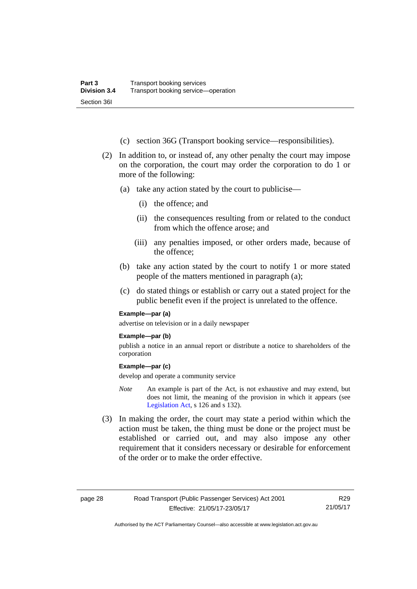- (c) section 36G (Transport booking service—responsibilities).
- (2) In addition to, or instead of, any other penalty the court may impose on the corporation, the court may order the corporation to do 1 or more of the following:
	- (a) take any action stated by the court to publicise—
		- (i) the offence; and
		- (ii) the consequences resulting from or related to the conduct from which the offence arose; and
		- (iii) any penalties imposed, or other orders made, because of the offence;
	- (b) take any action stated by the court to notify 1 or more stated people of the matters mentioned in paragraph (a);
	- (c) do stated things or establish or carry out a stated project for the public benefit even if the project is unrelated to the offence.

#### **Example—par (a)**

advertise on television or in a daily newspaper

#### **Example—par (b)**

publish a notice in an annual report or distribute a notice to shareholders of the corporation

#### **Example—par (c)**

develop and operate a community service

- *Note* An example is part of the Act, is not exhaustive and may extend, but does not limit, the meaning of the provision in which it appears (see [Legislation Act,](http://www.legislation.act.gov.au/a/2001-14) s 126 and s 132).
- (3) In making the order, the court may state a period within which the action must be taken, the thing must be done or the project must be established or carried out, and may also impose any other requirement that it considers necessary or desirable for enforcement of the order or to make the order effective.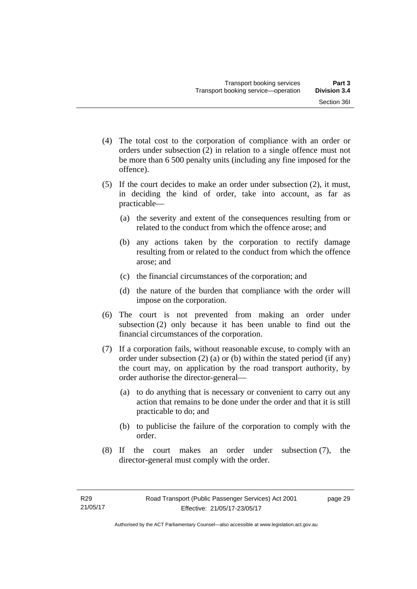- (4) The total cost to the corporation of compliance with an order or orders under subsection (2) in relation to a single offence must not be more than 6 500 penalty units (including any fine imposed for the offence).
- (5) If the court decides to make an order under subsection (2), it must, in deciding the kind of order, take into account, as far as practicable—
	- (a) the severity and extent of the consequences resulting from or related to the conduct from which the offence arose; and
	- (b) any actions taken by the corporation to rectify damage resulting from or related to the conduct from which the offence arose; and
	- (c) the financial circumstances of the corporation; and
	- (d) the nature of the burden that compliance with the order will impose on the corporation.
- (6) The court is not prevented from making an order under subsection (2) only because it has been unable to find out the financial circumstances of the corporation.
- (7) If a corporation fails, without reasonable excuse, to comply with an order under subsection (2) (a) or (b) within the stated period (if any) the court may, on application by the road transport authority, by order authorise the director-general—
	- (a) to do anything that is necessary or convenient to carry out any action that remains to be done under the order and that it is still practicable to do; and
	- (b) to publicise the failure of the corporation to comply with the order.
- (8) If the court makes an order under subsection (7), the director-general must comply with the order.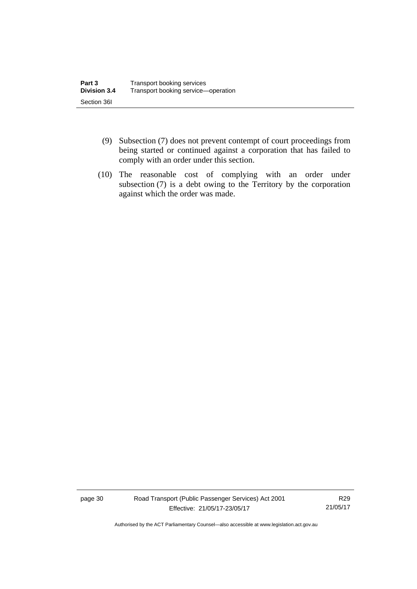- (9) Subsection (7) does not prevent contempt of court proceedings from being started or continued against a corporation that has failed to comply with an order under this section.
- (10) The reasonable cost of complying with an order under subsection (7) is a debt owing to the Territory by the corporation against which the order was made.

page 30 Road Transport (Public Passenger Services) Act 2001 Effective: 21/05/17-23/05/17

R29 21/05/17

Authorised by the ACT Parliamentary Counsel—also accessible at www.legislation.act.gov.au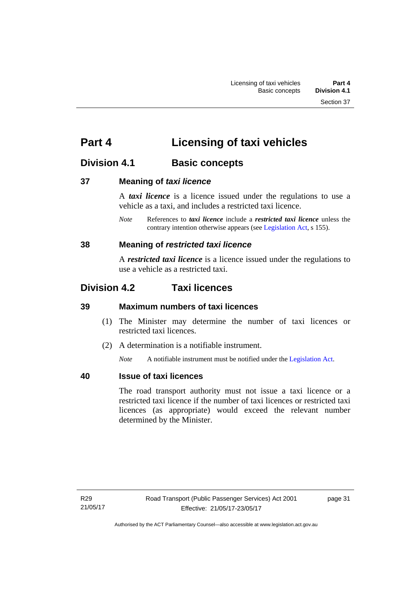# **Part 4 Licensing of taxi vehicles**

# **Division 4.1 Basic concepts**

# **37 Meaning of** *taxi licence*

A *taxi licence* is a licence issued under the regulations to use a vehicle as a taxi, and includes a restricted taxi licence.

*Note* References to *taxi licence* include a *restricted taxi licence* unless the contrary intention otherwise appears (see [Legislation Act,](http://www.legislation.act.gov.au/a/2001-14) s 155).

# **38 Meaning of** *restricted taxi licence*

A *restricted taxi licence* is a licence issued under the regulations to use a vehicle as a restricted taxi.

# **Division 4.2 Taxi licences**

# **39 Maximum numbers of taxi licences**

- (1) The Minister may determine the number of taxi licences or restricted taxi licences.
- (2) A determination is a notifiable instrument.

*Note* A notifiable instrument must be notified under the [Legislation Act](http://www.legislation.act.gov.au/a/2001-14).

# **40 Issue of taxi licences**

The road transport authority must not issue a taxi licence or a restricted taxi licence if the number of taxi licences or restricted taxi licences (as appropriate) would exceed the relevant number determined by the Minister.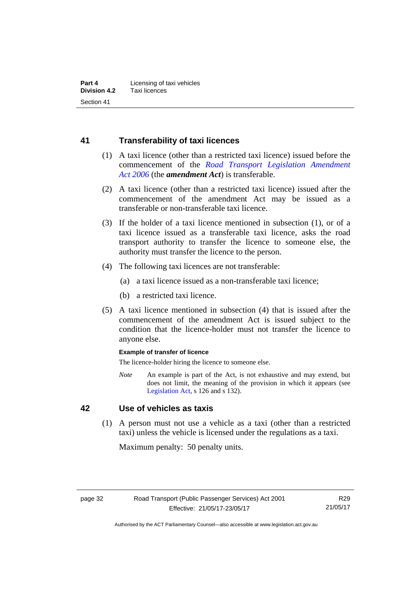# **41 Transferability of taxi licences**

- (1) A taxi licence (other than a restricted taxi licence) issued before the commencement of the *[Road Transport Legislation Amendment](http://www.legislation.act.gov.au/a/2006-26)  [Act 2006](http://www.legislation.act.gov.au/a/2006-26)* (the *amendment Act*) is transferable.
- (2) A taxi licence (other than a restricted taxi licence) issued after the commencement of the amendment Act may be issued as a transferable or non-transferable taxi licence.
- (3) If the holder of a taxi licence mentioned in subsection (1), or of a taxi licence issued as a transferable taxi licence, asks the road transport authority to transfer the licence to someone else, the authority must transfer the licence to the person.
- (4) The following taxi licences are not transferable:
	- (a) a taxi licence issued as a non-transferable taxi licence;
	- (b) a restricted taxi licence.
- (5) A taxi licence mentioned in subsection (4) that is issued after the commencement of the amendment Act is issued subject to the condition that the licence-holder must not transfer the licence to anyone else.

#### **Example of transfer of licence**

The licence-holder hiring the licence to someone else.

*Note* An example is part of the Act, is not exhaustive and may extend, but does not limit, the meaning of the provision in which it appears (see [Legislation Act,](http://www.legislation.act.gov.au/a/2001-14) s 126 and s 132).

# **42 Use of vehicles as taxis**

 (1) A person must not use a vehicle as a taxi (other than a restricted taxi) unless the vehicle is licensed under the regulations as a taxi.

Maximum penalty: 50 penalty units.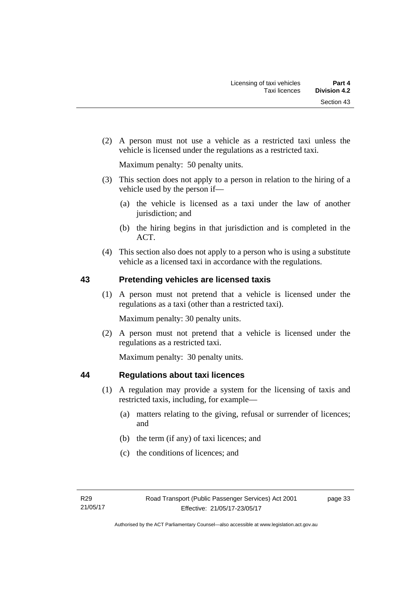(2) A person must not use a vehicle as a restricted taxi unless the vehicle is licensed under the regulations as a restricted taxi.

Maximum penalty: 50 penalty units.

- (3) This section does not apply to a person in relation to the hiring of a vehicle used by the person if—
	- (a) the vehicle is licensed as a taxi under the law of another jurisdiction; and
	- (b) the hiring begins in that jurisdiction and is completed in the ACT.
- (4) This section also does not apply to a person who is using a substitute vehicle as a licensed taxi in accordance with the regulations.

# **43 Pretending vehicles are licensed taxis**

(1) A person must not pretend that a vehicle is licensed under the regulations as a taxi (other than a restricted taxi).

Maximum penalty: 30 penalty units.

 (2) A person must not pretend that a vehicle is licensed under the regulations as a restricted taxi.

Maximum penalty: 30 penalty units.

# **44 Regulations about taxi licences**

- (1) A regulation may provide a system for the licensing of taxis and restricted taxis, including, for example—
	- (a) matters relating to the giving, refusal or surrender of licences; and
	- (b) the term (if any) of taxi licences; and
	- (c) the conditions of licences; and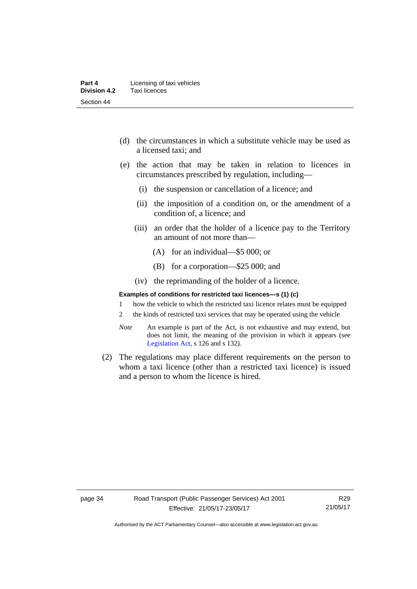- (d) the circumstances in which a substitute vehicle may be used as a licensed taxi; and
- (e) the action that may be taken in relation to licences in circumstances prescribed by regulation, including—
	- (i) the suspension or cancellation of a licence; and
	- (ii) the imposition of a condition on, or the amendment of a condition of, a licence; and
	- (iii) an order that the holder of a licence pay to the Territory an amount of not more than—
		- (A) for an individual—\$5 000; or
		- (B) for a corporation—\$25 000; and
	- (iv) the reprimanding of the holder of a licence.

#### **Examples of conditions for restricted taxi licences—s (1) (c)**

- 1 how the vehicle to which the restricted taxi licence relates must be equipped
- 2 the kinds of restricted taxi services that may be operated using the vehicle
- *Note* An example is part of the Act, is not exhaustive and may extend, but does not limit, the meaning of the provision in which it appears (see [Legislation Act,](http://www.legislation.act.gov.au/a/2001-14) s 126 and s 132).
- (2) The regulations may place different requirements on the person to whom a taxi licence (other than a restricted taxi licence) is issued and a person to whom the licence is hired.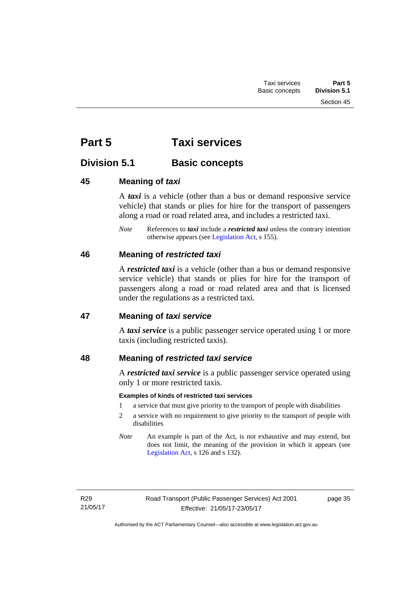# **Part 5 Taxi services**

# **Division 5.1 Basic concepts**

# **45 Meaning of** *taxi*

A *taxi* is a vehicle (other than a bus or demand responsive service vehicle) that stands or plies for hire for the transport of passengers along a road or road related area, and includes a restricted taxi.

*Note* References to *taxi* include a *restricted taxi* unless the contrary intention otherwise appears (see [Legislation Act,](http://www.legislation.act.gov.au/a/2001-14) s 155).

# **46 Meaning of** *restricted taxi*

A *restricted taxi* is a vehicle (other than a bus or demand responsive service vehicle) that stands or plies for hire for the transport of passengers along a road or road related area and that is licensed under the regulations as a restricted taxi.

# **47 Meaning of** *taxi service*

A *taxi service* is a public passenger service operated using 1 or more taxis (including restricted taxis).

# **48 Meaning of** *restricted taxi service*

A *restricted taxi service* is a public passenger service operated using only 1 or more restricted taxis.

# **Examples of kinds of restricted taxi services**

- 1 a service that must give priority to the transport of people with disabilities
- 2 a service with no requirement to give priority to the transport of people with disabilities
- *Note* An example is part of the Act, is not exhaustive and may extend, but does not limit, the meaning of the provision in which it appears (see [Legislation Act,](http://www.legislation.act.gov.au/a/2001-14) s 126 and s 132).

page 35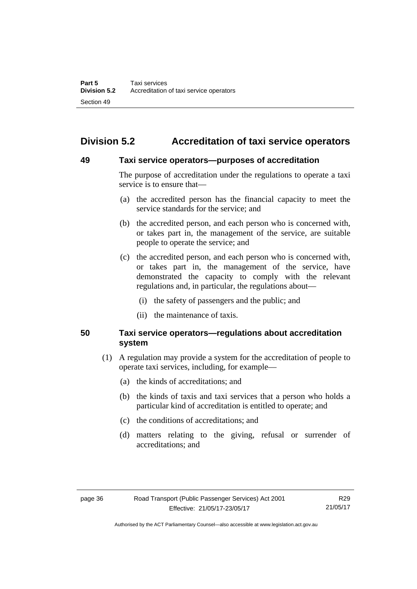# **Division 5.2 Accreditation of taxi service operators**

### **49 Taxi service operators—purposes of accreditation**

The purpose of accreditation under the regulations to operate a taxi service is to ensure that—

- (a) the accredited person has the financial capacity to meet the service standards for the service; and
- (b) the accredited person, and each person who is concerned with, or takes part in, the management of the service, are suitable people to operate the service; and
- (c) the accredited person, and each person who is concerned with, or takes part in, the management of the service, have demonstrated the capacity to comply with the relevant regulations and, in particular, the regulations about—
	- (i) the safety of passengers and the public; and
	- (ii) the maintenance of taxis.

# **50 Taxi service operators—regulations about accreditation system**

- (1) A regulation may provide a system for the accreditation of people to operate taxi services, including, for example—
	- (a) the kinds of accreditations; and
	- (b) the kinds of taxis and taxi services that a person who holds a particular kind of accreditation is entitled to operate; and
	- (c) the conditions of accreditations; and
	- (d) matters relating to the giving, refusal or surrender of accreditations; and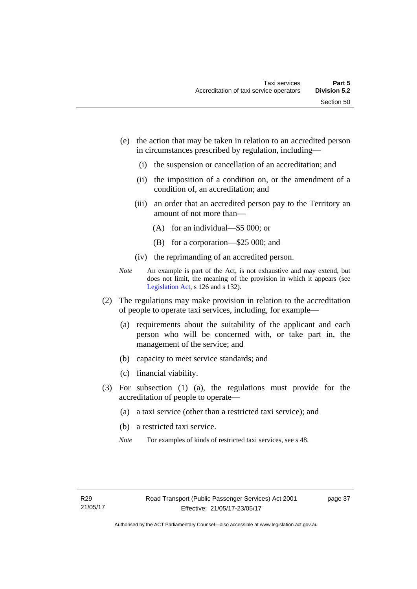- (e) the action that may be taken in relation to an accredited person in circumstances prescribed by regulation, including—
	- (i) the suspension or cancellation of an accreditation; and
	- (ii) the imposition of a condition on, or the amendment of a condition of, an accreditation; and
	- (iii) an order that an accredited person pay to the Territory an amount of not more than—
		- (A) for an individual—\$5 000; or
		- (B) for a corporation—\$25 000; and
	- (iv) the reprimanding of an accredited person.
- *Note* An example is part of the Act, is not exhaustive and may extend, but does not limit, the meaning of the provision in which it appears (see [Legislation Act,](http://www.legislation.act.gov.au/a/2001-14) s 126 and s 132).
- (2) The regulations may make provision in relation to the accreditation of people to operate taxi services, including, for example—
	- (a) requirements about the suitability of the applicant and each person who will be concerned with, or take part in, the management of the service; and
	- (b) capacity to meet service standards; and
	- (c) financial viability.
- (3) For subsection (1) (a), the regulations must provide for the accreditation of people to operate—
	- (a) a taxi service (other than a restricted taxi service); and
	- (b) a restricted taxi service.
	- *Note* For examples of kinds of restricted taxi services, see s 48.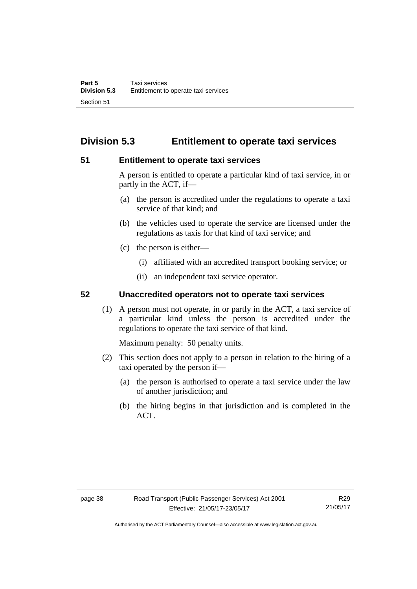# **Division 5.3 Entitlement to operate taxi services**

### **51 Entitlement to operate taxi services**

A person is entitled to operate a particular kind of taxi service, in or partly in the ACT, if—

- (a) the person is accredited under the regulations to operate a taxi service of that kind; and
- (b) the vehicles used to operate the service are licensed under the regulations as taxis for that kind of taxi service; and
- (c) the person is either—
	- (i) affiliated with an accredited transport booking service; or
	- (ii) an independent taxi service operator.

# **52 Unaccredited operators not to operate taxi services**

(1) A person must not operate, in or partly in the ACT, a taxi service of a particular kind unless the person is accredited under the regulations to operate the taxi service of that kind.

Maximum penalty: 50 penalty units.

- (2) This section does not apply to a person in relation to the hiring of a taxi operated by the person if—
	- (a) the person is authorised to operate a taxi service under the law of another jurisdiction; and
	- (b) the hiring begins in that jurisdiction and is completed in the ACT.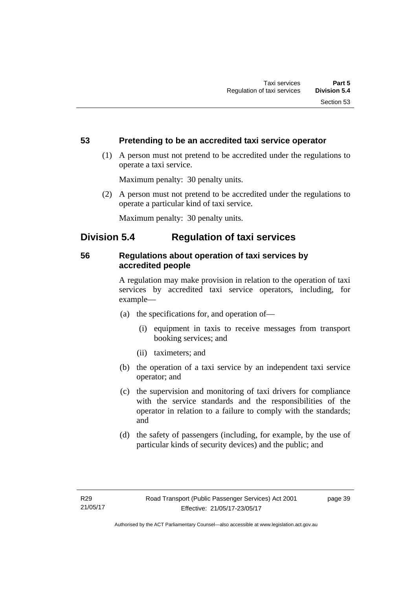# **53 Pretending to be an accredited taxi service operator**

 (1) A person must not pretend to be accredited under the regulations to operate a taxi service.

Maximum penalty: 30 penalty units.

 (2) A person must not pretend to be accredited under the regulations to operate a particular kind of taxi service.

Maximum penalty: 30 penalty units.

# **Division 5.4 Regulation of taxi services**

# **56 Regulations about operation of taxi services by accredited people**

A regulation may make provision in relation to the operation of taxi services by accredited taxi service operators, including, for example—

- (a) the specifications for, and operation of—
	- (i) equipment in taxis to receive messages from transport booking services; and
	- (ii) taximeters; and
- (b) the operation of a taxi service by an independent taxi service operator; and
- (c) the supervision and monitoring of taxi drivers for compliance with the service standards and the responsibilities of the operator in relation to a failure to comply with the standards; and
- (d) the safety of passengers (including, for example, by the use of particular kinds of security devices) and the public; and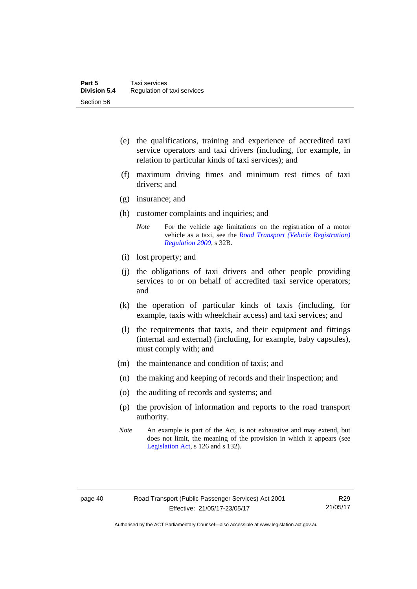- (e) the qualifications, training and experience of accredited taxi service operators and taxi drivers (including, for example, in relation to particular kinds of taxi services); and
- (f) maximum driving times and minimum rest times of taxi drivers; and
- (g) insurance; and
- (h) customer complaints and inquiries; and
	- *Note* For the vehicle age limitations on the registration of a motor vehicle as a taxi, see the *[Road Transport \(Vehicle Registration\)](http://www.legislation.act.gov.au/sl/2000-12)  [Regulation 2000](http://www.legislation.act.gov.au/sl/2000-12)*, s 32B.
- (i) lost property; and
- (j) the obligations of taxi drivers and other people providing services to or on behalf of accredited taxi service operators; and
- (k) the operation of particular kinds of taxis (including, for example, taxis with wheelchair access) and taxi services; and
- (l) the requirements that taxis, and their equipment and fittings (internal and external) (including, for example, baby capsules), must comply with; and
- (m) the maintenance and condition of taxis; and
- (n) the making and keeping of records and their inspection; and
- (o) the auditing of records and systems; and
- (p) the provision of information and reports to the road transport authority.
- *Note* An example is part of the Act, is not exhaustive and may extend, but does not limit, the meaning of the provision in which it appears (see [Legislation Act,](http://www.legislation.act.gov.au/a/2001-14) s 126 and s 132).

Authorised by the ACT Parliamentary Counsel—also accessible at www.legislation.act.gov.au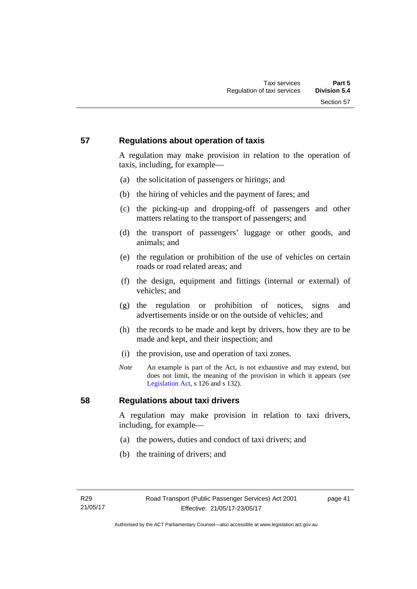# **57 Regulations about operation of taxis**

A regulation may make provision in relation to the operation of taxis, including, for example—

- (a) the solicitation of passengers or hirings; and
- (b) the hiring of vehicles and the payment of fares; and
- (c) the picking-up and dropping-off of passengers and other matters relating to the transport of passengers; and
- (d) the transport of passengers' luggage or other goods, and animals; and
- (e) the regulation or prohibition of the use of vehicles on certain roads or road related areas; and
- (f) the design, equipment and fittings (internal or external) of vehicles; and
- (g) the regulation or prohibition of notices, signs and advertisements inside or on the outside of vehicles; and
- (h) the records to be made and kept by drivers, how they are to be made and kept, and their inspection; and
- (i) the provision, use and operation of taxi zones.
- *Note* An example is part of the Act, is not exhaustive and may extend, but does not limit, the meaning of the provision in which it appears (see [Legislation Act,](http://www.legislation.act.gov.au/a/2001-14) s 126 and s 132).

# **58 Regulations about taxi drivers**

A regulation may make provision in relation to taxi drivers, including, for example—

- (a) the powers, duties and conduct of taxi drivers; and
- (b) the training of drivers; and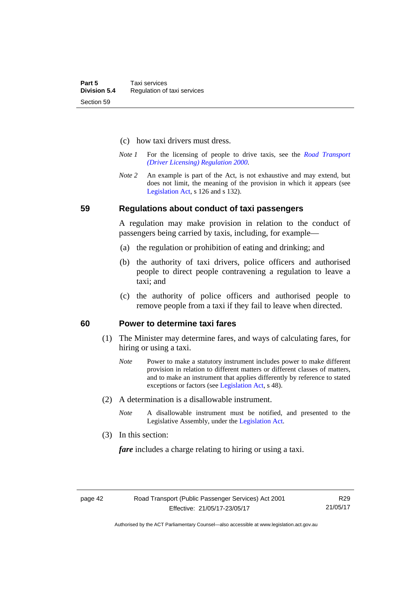- (c) how taxi drivers must dress.
- *Note 1* For the licensing of people to drive taxis, see the *[Road Transport](http://www.legislation.act.gov.au/sl/2000-14)  [\(Driver Licensing\) Regulation 2000](http://www.legislation.act.gov.au/sl/2000-14)*.
- *Note 2* An example is part of the Act, is not exhaustive and may extend, but does not limit, the meaning of the provision in which it appears (see [Legislation Act,](http://www.legislation.act.gov.au/a/2001-14) s 126 and s 132).

#### **59 Regulations about conduct of taxi passengers**

A regulation may make provision in relation to the conduct of passengers being carried by taxis, including, for example—

- (a) the regulation or prohibition of eating and drinking; and
- (b) the authority of taxi drivers, police officers and authorised people to direct people contravening a regulation to leave a taxi; and
- (c) the authority of police officers and authorised people to remove people from a taxi if they fail to leave when directed.

### **60 Power to determine taxi fares**

- (1) The Minister may determine fares, and ways of calculating fares, for hiring or using a taxi.
	- *Note* Power to make a statutory instrument includes power to make different provision in relation to different matters or different classes of matters, and to make an instrument that applies differently by reference to stated exceptions or factors (see [Legislation Act](http://www.legislation.act.gov.au/a/2001-14), s 48).
- (2) A determination is a disallowable instrument.
	- *Note* A disallowable instrument must be notified, and presented to the Legislative Assembly, under the [Legislation Act.](http://www.legislation.act.gov.au/a/2001-14)
- (3) In this section:

*fare* includes a charge relating to hiring or using a taxi.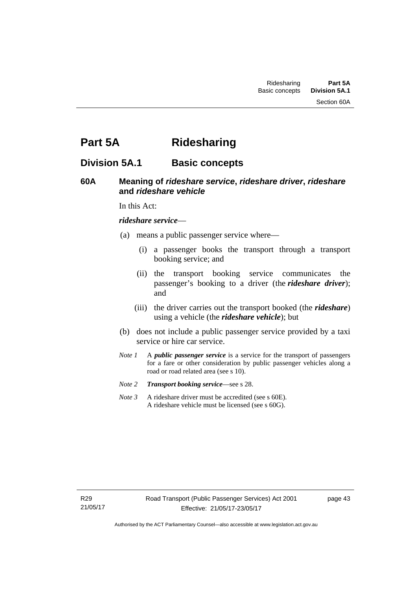Section 60A

# **Part 5A Ridesharing**

# **Division 5A.1 Basic concepts**

# **60A Meaning of** *rideshare service***,** *rideshare driver***,** *rideshare* **and** *rideshare vehicle*

In this Act:

#### *rideshare service*—

- (a) means a public passenger service where—
	- (i) a passenger books the transport through a transport booking service; and
	- (ii) the transport booking service communicates the passenger's booking to a driver (the *rideshare driver*); and
	- (iii) the driver carries out the transport booked (the *rideshare*) using a vehicle (the *rideshare vehicle*); but
- (b) does not include a public passenger service provided by a taxi service or hire car service.
- *Note 1* A *public passenger service* is a service for the transport of passengers for a fare or other consideration by public passenger vehicles along a road or road related area (see s 10).
- *Note 2 Transport booking service*—see s 28.
- *Note 3* A rideshare driver must be accredited (see s 60E). A rideshare vehicle must be licensed (see s 60G).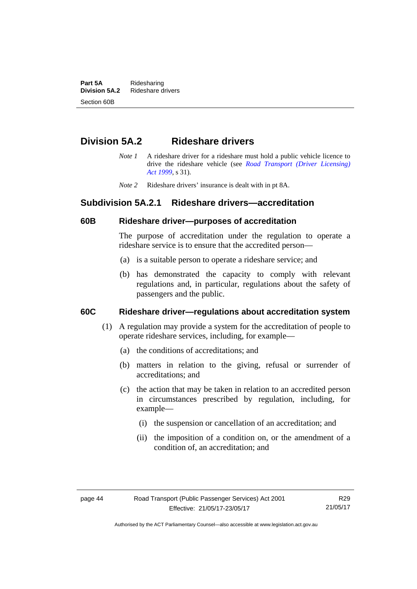**Part 5A** Ridesharing<br>**Division 5A.2** Rideshare d **Division 5A.2** Rideshare drivers Section 60B

# **Division 5A.2 Rideshare drivers**

- *Note 1* A rideshare driver for a rideshare must hold a public vehicle licence to drive the rideshare vehicle (see *[Road Transport \(Driver Licensing\)](http://www.legislation.act.gov.au/a/1999-78)  [Act 1999](http://www.legislation.act.gov.au/a/1999-78)*, s 31).
- *Note 2* Rideshare drivers' insurance is dealt with in pt 8A.

# **Subdivision 5A.2.1 Rideshare drivers—accreditation**

### **60B Rideshare driver—purposes of accreditation**

The purpose of accreditation under the regulation to operate a rideshare service is to ensure that the accredited person—

- (a) is a suitable person to operate a rideshare service; and
- (b) has demonstrated the capacity to comply with relevant regulations and, in particular, regulations about the safety of passengers and the public.

# **60C Rideshare driver—regulations about accreditation system**

- (1) A regulation may provide a system for the accreditation of people to operate rideshare services, including, for example—
	- (a) the conditions of accreditations; and
	- (b) matters in relation to the giving, refusal or surrender of accreditations; and
	- (c) the action that may be taken in relation to an accredited person in circumstances prescribed by regulation, including, for example—
		- (i) the suspension or cancellation of an accreditation; and
		- (ii) the imposition of a condition on, or the amendment of a condition of, an accreditation; and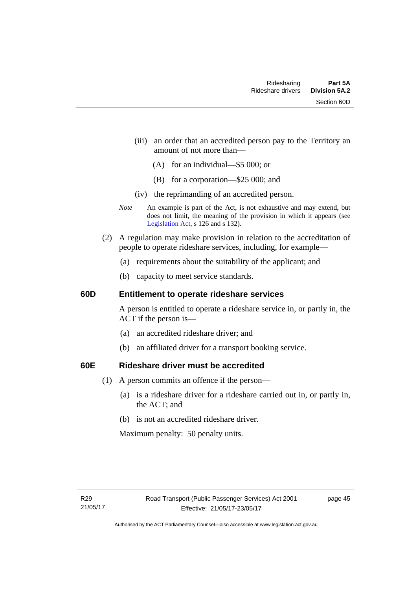- (iii) an order that an accredited person pay to the Territory an amount of not more than—
	- (A) for an individual—\$5 000; or
	- (B) for a corporation—\$25 000; and
- (iv) the reprimanding of an accredited person.
- *Note* An example is part of the Act, is not exhaustive and may extend, but does not limit, the meaning of the provision in which it appears (see [Legislation Act,](http://www.legislation.act.gov.au/a/2001-14) s 126 and s 132).
- (2) A regulation may make provision in relation to the accreditation of people to operate rideshare services, including, for example—
	- (a) requirements about the suitability of the applicant; and
	- (b) capacity to meet service standards.

### **60D Entitlement to operate rideshare services**

A person is entitled to operate a rideshare service in, or partly in, the ACT if the person is—

- (a) an accredited rideshare driver; and
- (b) an affiliated driver for a transport booking service.

# **60E Rideshare driver must be accredited**

- (1) A person commits an offence if the person—
	- (a) is a rideshare driver for a rideshare carried out in, or partly in, the ACT; and
	- (b) is not an accredited rideshare driver.

Maximum penalty: 50 penalty units.

page 45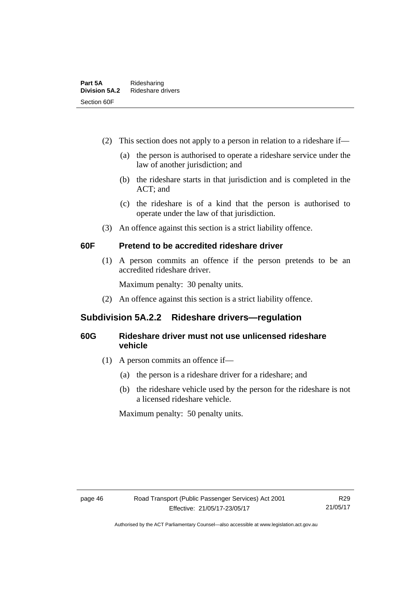- (2) This section does not apply to a person in relation to a rideshare if—
	- (a) the person is authorised to operate a rideshare service under the law of another jurisdiction; and
	- (b) the rideshare starts in that jurisdiction and is completed in the ACT; and
	- (c) the rideshare is of a kind that the person is authorised to operate under the law of that jurisdiction.
- (3) An offence against this section is a strict liability offence.

# **60F Pretend to be accredited rideshare driver**

(1) A person commits an offence if the person pretends to be an accredited rideshare driver.

Maximum penalty: 30 penalty units.

(2) An offence against this section is a strict liability offence.

# **Subdivision 5A.2.2 Rideshare drivers—regulation**

# **60G Rideshare driver must not use unlicensed rideshare vehicle**

- (1) A person commits an offence if—
	- (a) the person is a rideshare driver for a rideshare; and
	- (b) the rideshare vehicle used by the person for the rideshare is not a licensed rideshare vehicle.

Maximum penalty: 50 penalty units.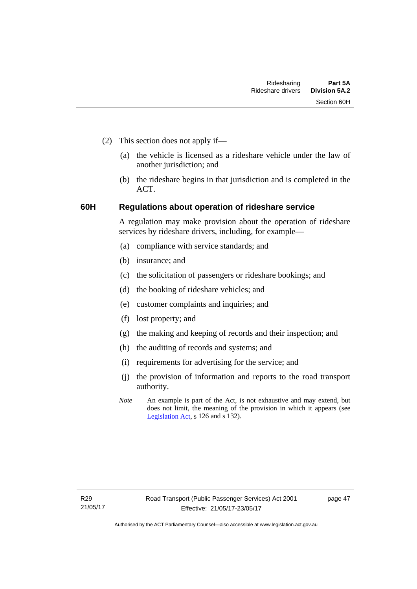- (2) This section does not apply if—
	- (a) the vehicle is licensed as a rideshare vehicle under the law of another jurisdiction; and
	- (b) the rideshare begins in that jurisdiction and is completed in the ACT.

# **60H Regulations about operation of rideshare service**

A regulation may make provision about the operation of rideshare services by rideshare drivers, including, for example—

- (a) compliance with service standards; and
- (b) insurance; and
- (c) the solicitation of passengers or rideshare bookings; and
- (d) the booking of rideshare vehicles; and
- (e) customer complaints and inquiries; and
- (f) lost property; and
- (g) the making and keeping of records and their inspection; and
- (h) the auditing of records and systems; and
- (i) requirements for advertising for the service; and
- (j) the provision of information and reports to the road transport authority.
- *Note* An example is part of the Act, is not exhaustive and may extend, but does not limit, the meaning of the provision in which it appears (see [Legislation Act,](http://www.legislation.act.gov.au/a/2001-14) s 126 and s 132).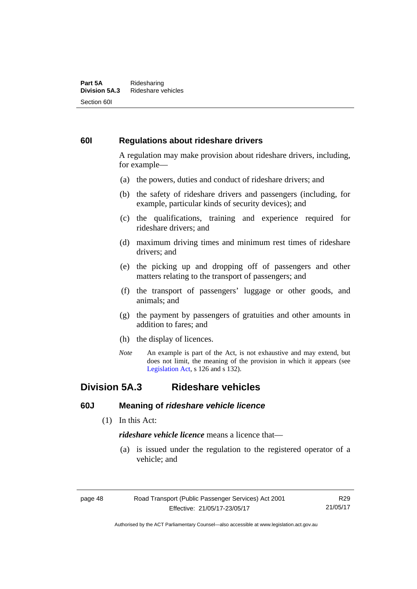#### **Part 5A** Ridesharing<br>**Division 5A.3** Rideshare ve **Division 5A.3** Rideshare vehicles Section 60I

# **60I Regulations about rideshare drivers**

A regulation may make provision about rideshare drivers, including, for example—

- (a) the powers, duties and conduct of rideshare drivers; and
- (b) the safety of rideshare drivers and passengers (including, for example, particular kinds of security devices); and
- (c) the qualifications, training and experience required for rideshare drivers; and
- (d) maximum driving times and minimum rest times of rideshare drivers; and
- (e) the picking up and dropping off of passengers and other matters relating to the transport of passengers; and
- (f) the transport of passengers' luggage or other goods, and animals; and
- (g) the payment by passengers of gratuities and other amounts in addition to fares; and
- (h) the display of licences.
- *Note* An example is part of the Act, is not exhaustive and may extend, but does not limit, the meaning of the provision in which it appears (see [Legislation Act,](http://www.legislation.act.gov.au/a/2001-14) s 126 and s 132).

# **Division 5A.3 Rideshare vehicles**

# **60J Meaning of** *rideshare vehicle licence*

(1) In this Act:

*rideshare vehicle licence* means a licence that—

 (a) is issued under the regulation to the registered operator of a vehicle; and

R29 21/05/17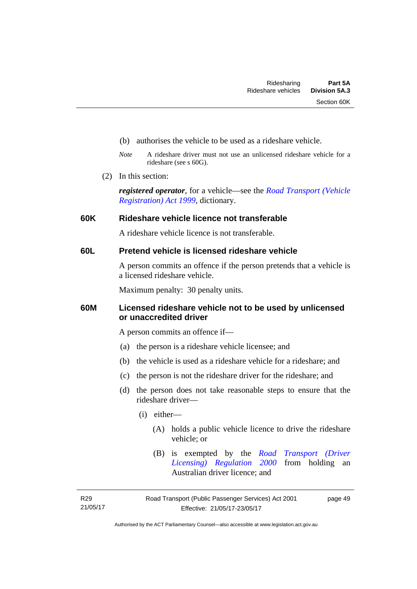- (b) authorises the vehicle to be used as a rideshare vehicle.
- *Note* A rideshare driver must not use an unlicensed rideshare vehicle for a rideshare (see s 60G).
- (2) In this section:

*registered operator*, for a vehicle—see the *[Road Transport \(Vehicle](http://www.legislation.act.gov.au/a/1999-81)  [Registration\) Act 1999](http://www.legislation.act.gov.au/a/1999-81)*, dictionary.

### **60K Rideshare vehicle licence not transferable**

A rideshare vehicle licence is not transferable.

# **60L Pretend vehicle is licensed rideshare vehicle**

A person commits an offence if the person pretends that a vehicle is a licensed rideshare vehicle.

Maximum penalty: 30 penalty units.

# **60M Licensed rideshare vehicle not to be used by unlicensed or unaccredited driver**

A person commits an offence if—

- (a) the person is a rideshare vehicle licensee; and
- (b) the vehicle is used as a rideshare vehicle for a rideshare; and
- (c) the person is not the rideshare driver for the rideshare; and
- (d) the person does not take reasonable steps to ensure that the rideshare driver—
	- (i) either—
		- (A) holds a public vehicle licence to drive the rideshare vehicle; or
		- (B) is exempted by the *[Road Transport \(Driver](http://www.legislation.act.gov.au/sl/2000-14/default.asp)  [Licensing\) Regulation 2000](http://www.legislation.act.gov.au/sl/2000-14/default.asp)* from holding an Australian driver licence; and

R29 21/05/17 page 49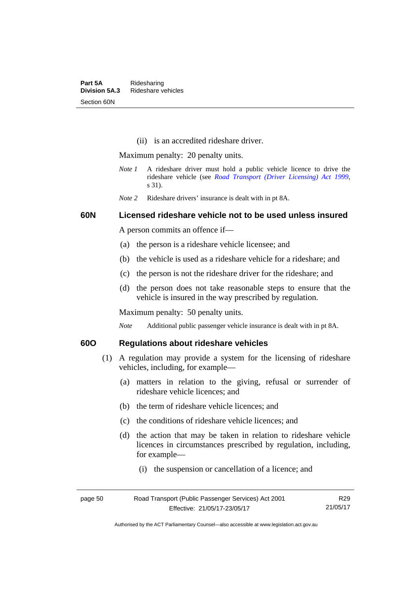(ii) is an accredited rideshare driver.

Maximum penalty: 20 penalty units.

- *Note 1* A rideshare driver must hold a public vehicle licence to drive the rideshare vehicle (see *[Road Transport \(Driver Licensing\) Act 1999](http://www.legislation.act.gov.au/a/1999-78)*, s 31).
- *Note 2* Rideshare drivers' insurance is dealt with in pt 8A.

### **60N Licensed rideshare vehicle not to be used unless insured**

A person commits an offence if—

- (a) the person is a rideshare vehicle licensee; and
- (b) the vehicle is used as a rideshare vehicle for a rideshare; and
- (c) the person is not the rideshare driver for the rideshare; and
- (d) the person does not take reasonable steps to ensure that the vehicle is insured in the way prescribed by regulation.

Maximum penalty: 50 penalty units.

*Note* Additional public passenger vehicle insurance is dealt with in pt 8A.

# **60O Regulations about rideshare vehicles**

- (1) A regulation may provide a system for the licensing of rideshare vehicles, including, for example—
	- (a) matters in relation to the giving, refusal or surrender of rideshare vehicle licences; and
	- (b) the term of rideshare vehicle licences; and
	- (c) the conditions of rideshare vehicle licences; and
	- (d) the action that may be taken in relation to rideshare vehicle licences in circumstances prescribed by regulation, including, for example—
		- (i) the suspension or cancellation of a licence; and

| page 50 | Road Transport (Public Passenger Services) Act 2001 | R29      |
|---------|-----------------------------------------------------|----------|
|         | Effective: 21/05/17-23/05/17                        | 21/05/17 |

Authorised by the ACT Parliamentary Counsel—also accessible at www.legislation.act.gov.au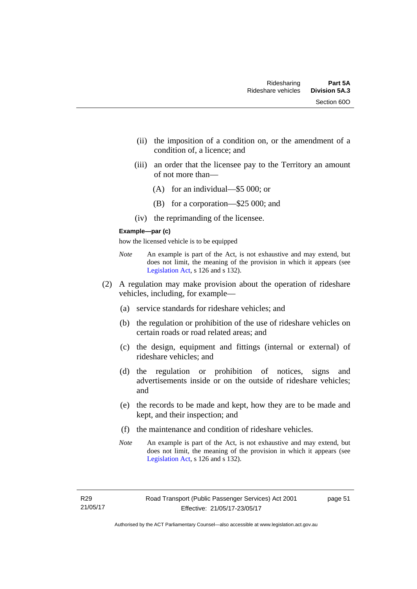- (ii) the imposition of a condition on, or the amendment of a condition of, a licence; and
- (iii) an order that the licensee pay to the Territory an amount of not more than—
	- (A) for an individual—\$5 000; or
	- (B) for a corporation—\$25 000; and
- (iv) the reprimanding of the licensee.

#### **Example—par (c)**

how the licensed vehicle is to be equipped

- *Note* An example is part of the Act, is not exhaustive and may extend, but does not limit, the meaning of the provision in which it appears (see [Legislation Act,](http://www.legislation.act.gov.au/a/2001-14) s 126 and s 132).
- (2) A regulation may make provision about the operation of rideshare vehicles, including, for example—
	- (a) service standards for rideshare vehicles; and
	- (b) the regulation or prohibition of the use of rideshare vehicles on certain roads or road related areas; and
	- (c) the design, equipment and fittings (internal or external) of rideshare vehicles; and
	- (d) the regulation or prohibition of notices, signs and advertisements inside or on the outside of rideshare vehicles; and
	- (e) the records to be made and kept, how they are to be made and kept, and their inspection; and
	- (f) the maintenance and condition of rideshare vehicles.
	- *Note* An example is part of the Act, is not exhaustive and may extend, but does not limit, the meaning of the provision in which it appears (see [Legislation Act,](http://www.legislation.act.gov.au/a/2001-14) s 126 and s 132).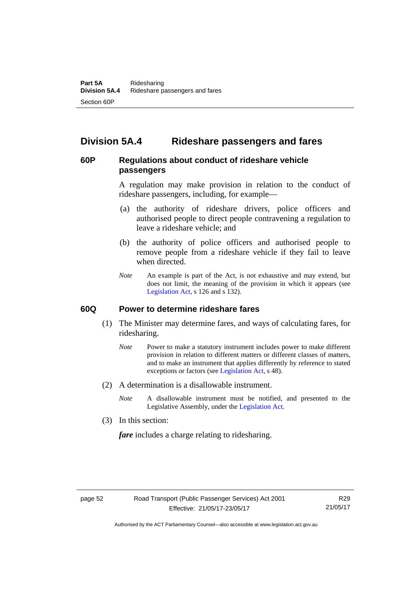# **Division 5A.4 Rideshare passengers and fares**

# **60P Regulations about conduct of rideshare vehicle passengers**

A regulation may make provision in relation to the conduct of rideshare passengers, including, for example—

- (a) the authority of rideshare drivers, police officers and authorised people to direct people contravening a regulation to leave a rideshare vehicle; and
- (b) the authority of police officers and authorised people to remove people from a rideshare vehicle if they fail to leave when directed.
- *Note* An example is part of the Act, is not exhaustive and may extend, but does not limit, the meaning of the provision in which it appears (see [Legislation Act,](http://www.legislation.act.gov.au/a/2001-14) s 126 and s 132).

#### **60Q Power to determine rideshare fares**

- (1) The Minister may determine fares, and ways of calculating fares, for ridesharing.
	- *Note* Power to make a statutory instrument includes power to make different provision in relation to different matters or different classes of matters, and to make an instrument that applies differently by reference to stated exceptions or factors (see [Legislation Act](http://www.legislation.act.gov.au/a/2001-14), s 48).
- (2) A determination is a disallowable instrument.
	- *Note* A disallowable instrument must be notified, and presented to the Legislative Assembly, under the [Legislation Act.](http://www.legislation.act.gov.au/a/2001-14)
- (3) In this section:

*fare* includes a charge relating to ridesharing.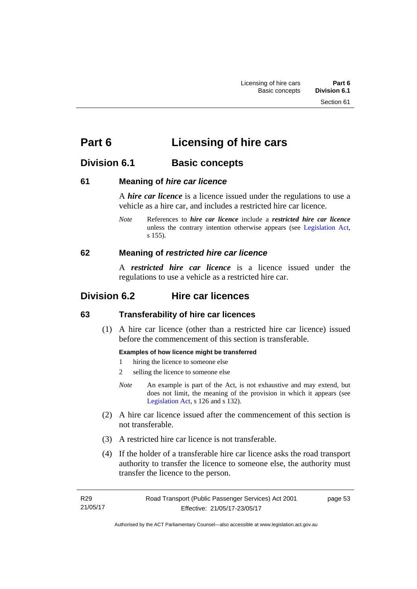# **Part 6 Licensing of hire cars**

# **Division 6.1 Basic concepts**

# **61 Meaning of** *hire car licence*

A *hire car licence* is a licence issued under the regulations to use a vehicle as a hire car, and includes a restricted hire car licence.

*Note* References to *hire car licence* include a *restricted hire car licence* unless the contrary intention otherwise appears (see [Legislation Act,](http://www.legislation.act.gov.au/a/2001-14) s 155).

# **62 Meaning of** *restricted hire car licence*

A *restricted hire car licence* is a licence issued under the regulations to use a vehicle as a restricted hire car.

# **Division 6.2 Hire car licences**

# **63 Transferability of hire car licences**

 (1) A hire car licence (other than a restricted hire car licence) issued before the commencement of this section is transferable.

# **Examples of how licence might be transferred**

- 1 hiring the licence to someone else
- 2 selling the licence to someone else
- *Note* An example is part of the Act, is not exhaustive and may extend, but does not limit, the meaning of the provision in which it appears (see [Legislation Act,](http://www.legislation.act.gov.au/a/2001-14) s 126 and s 132).
- (2) A hire car licence issued after the commencement of this section is not transferable.
- (3) A restricted hire car licence is not transferable.
- (4) If the holder of a transferable hire car licence asks the road transport authority to transfer the licence to someone else, the authority must transfer the licence to the person.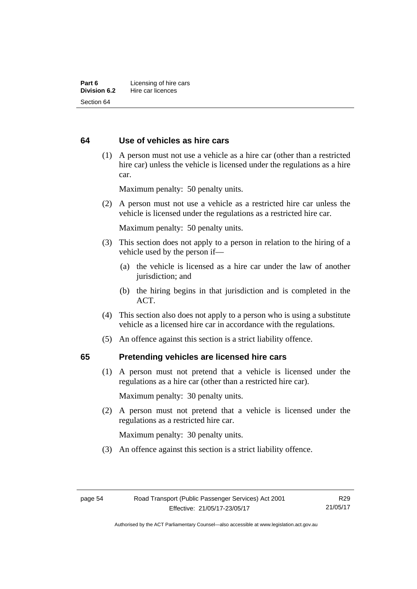# **64 Use of vehicles as hire cars**

 (1) A person must not use a vehicle as a hire car (other than a restricted hire car) unless the vehicle is licensed under the regulations as a hire car.

Maximum penalty: 50 penalty units.

 (2) A person must not use a vehicle as a restricted hire car unless the vehicle is licensed under the regulations as a restricted hire car.

Maximum penalty: 50 penalty units.

- (3) This section does not apply to a person in relation to the hiring of a vehicle used by the person if—
	- (a) the vehicle is licensed as a hire car under the law of another jurisdiction; and
	- (b) the hiring begins in that jurisdiction and is completed in the ACT.
- (4) This section also does not apply to a person who is using a substitute vehicle as a licensed hire car in accordance with the regulations.
- (5) An offence against this section is a strict liability offence.

#### **65 Pretending vehicles are licensed hire cars**

(1) A person must not pretend that a vehicle is licensed under the regulations as a hire car (other than a restricted hire car).

Maximum penalty: 30 penalty units.

 (2) A person must not pretend that a vehicle is licensed under the regulations as a restricted hire car.

Maximum penalty: 30 penalty units.

(3) An offence against this section is a strict liability offence.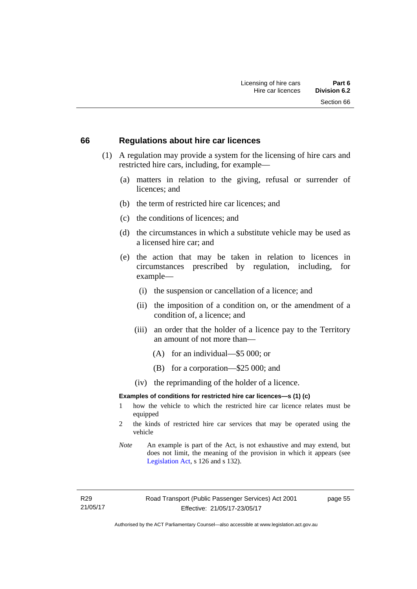#### **66 Regulations about hire car licences**

- (1) A regulation may provide a system for the licensing of hire cars and restricted hire cars, including, for example—
	- (a) matters in relation to the giving, refusal or surrender of licences; and
	- (b) the term of restricted hire car licences; and
	- (c) the conditions of licences; and
	- (d) the circumstances in which a substitute vehicle may be used as a licensed hire car; and
	- (e) the action that may be taken in relation to licences in circumstances prescribed by regulation, including, for example—
		- (i) the suspension or cancellation of a licence; and
		- (ii) the imposition of a condition on, or the amendment of a condition of, a licence; and
		- (iii) an order that the holder of a licence pay to the Territory an amount of not more than—
			- (A) for an individual—\$5 000; or
			- (B) for a corporation—\$25 000; and
		- (iv) the reprimanding of the holder of a licence.

#### **Examples of conditions for restricted hire car licences—s (1) (c)**

- 1 how the vehicle to which the restricted hire car licence relates must be equipped
- 2 the kinds of restricted hire car services that may be operated using the vehicle
- *Note* An example is part of the Act, is not exhaustive and may extend, but does not limit, the meaning of the provision in which it appears (see [Legislation Act,](http://www.legislation.act.gov.au/a/2001-14) s 126 and s 132).

R29 21/05/17 page 55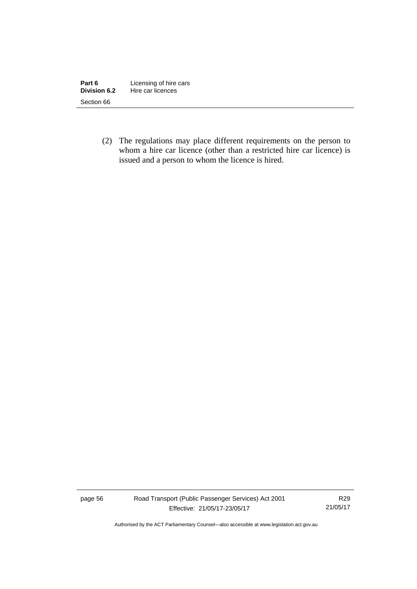| Part 6       | Licensing of hire cars |
|--------------|------------------------|
| Division 6.2 | Hire car licences      |
| Section 66   |                        |

 (2) The regulations may place different requirements on the person to whom a hire car licence (other than a restricted hire car licence) is issued and a person to whom the licence is hired.

page 56 Road Transport (Public Passenger Services) Act 2001 Effective: 21/05/17-23/05/17

R29 21/05/17

Authorised by the ACT Parliamentary Counsel—also accessible at www.legislation.act.gov.au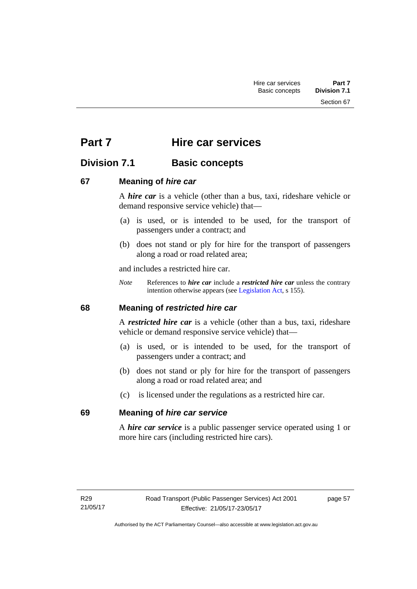Section 67

# **Part 7 Hire car services**

# **Division 7.1 Basic concepts**

# **67 Meaning of** *hire car*

A *hire car* is a vehicle (other than a bus, taxi, rideshare vehicle or demand responsive service vehicle) that—

- (a) is used, or is intended to be used, for the transport of passengers under a contract; and
- (b) does not stand or ply for hire for the transport of passengers along a road or road related area;

and includes a restricted hire car.

*Note* References to *hire car* include a *restricted hire car* unless the contrary intention otherwise appears (see [Legislation Act](http://www.legislation.act.gov.au/a/2001-14), s 155).

# **68 Meaning of** *restricted hire car*

A *restricted hire car* is a vehicle (other than a bus, taxi, rideshare vehicle or demand responsive service vehicle) that—

- (a) is used, or is intended to be used, for the transport of passengers under a contract; and
- (b) does not stand or ply for hire for the transport of passengers along a road or road related area; and
- (c) is licensed under the regulations as a restricted hire car.

# **69 Meaning of** *hire car service*

A *hire car service* is a public passenger service operated using 1 or more hire cars (including restricted hire cars).

page 57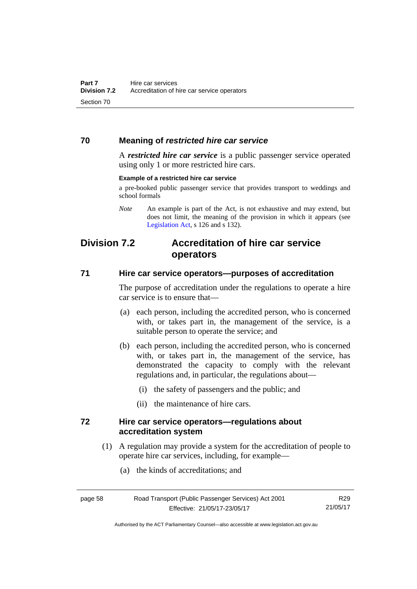# **70 Meaning of** *restricted hire car service*

A *restricted hire car service* is a public passenger service operated using only 1 or more restricted hire cars.

#### **Example of a restricted hire car service**

a pre-booked public passenger service that provides transport to weddings and school formals

# **Division 7.2 Accreditation of hire car service operators**

### **71 Hire car service operators—purposes of accreditation**

The purpose of accreditation under the regulations to operate a hire car service is to ensure that—

- (a) each person, including the accredited person, who is concerned with, or takes part in, the management of the service, is a suitable person to operate the service; and
- (b) each person, including the accredited person, who is concerned with, or takes part in, the management of the service, has demonstrated the capacity to comply with the relevant regulations and, in particular, the regulations about—
	- (i) the safety of passengers and the public; and
	- (ii) the maintenance of hire cars.

### **72 Hire car service operators—regulations about accreditation system**

- (1) A regulation may provide a system for the accreditation of people to operate hire car services, including, for example—
	- (a) the kinds of accreditations; and

*Note* An example is part of the Act, is not exhaustive and may extend, but does not limit, the meaning of the provision in which it appears (see [Legislation Act,](http://www.legislation.act.gov.au/a/2001-14) s 126 and s 132).

R29 21/05/17

Authorised by the ACT Parliamentary Counsel—also accessible at www.legislation.act.gov.au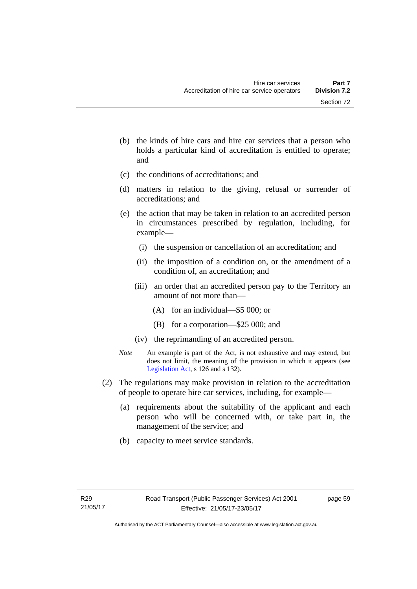- (b) the kinds of hire cars and hire car services that a person who holds a particular kind of accreditation is entitled to operate; and
- (c) the conditions of accreditations; and
- (d) matters in relation to the giving, refusal or surrender of accreditations; and
- (e) the action that may be taken in relation to an accredited person in circumstances prescribed by regulation, including, for example—
	- (i) the suspension or cancellation of an accreditation; and
	- (ii) the imposition of a condition on, or the amendment of a condition of, an accreditation; and
	- (iii) an order that an accredited person pay to the Territory an amount of not more than—
		- (A) for an individual—\$5 000; or
		- (B) for a corporation—\$25 000; and
	- (iv) the reprimanding of an accredited person.
- *Note* An example is part of the Act, is not exhaustive and may extend, but does not limit, the meaning of the provision in which it appears (see [Legislation Act,](http://www.legislation.act.gov.au/a/2001-14) s 126 and s 132).
- (2) The regulations may make provision in relation to the accreditation of people to operate hire car services, including, for example—
	- (a) requirements about the suitability of the applicant and each person who will be concerned with, or take part in, the management of the service; and
	- (b) capacity to meet service standards.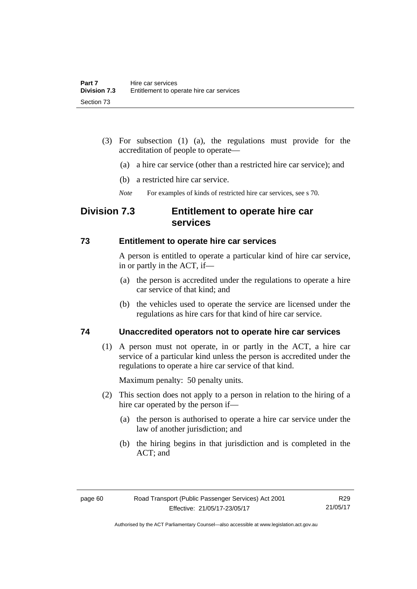- (3) For subsection (1) (a), the regulations must provide for the accreditation of people to operate—
	- (a) a hire car service (other than a restricted hire car service); and
	- (b) a restricted hire car service.
	- *Note* For examples of kinds of restricted hire car services, see s 70.

# **Division 7.3 Entitlement to operate hire car services**

### **73 Entitlement to operate hire car services**

A person is entitled to operate a particular kind of hire car service, in or partly in the ACT, if—

- (a) the person is accredited under the regulations to operate a hire car service of that kind; and
- (b) the vehicles used to operate the service are licensed under the regulations as hire cars for that kind of hire car service.

# **74 Unaccredited operators not to operate hire car services**

(1) A person must not operate, in or partly in the ACT, a hire car service of a particular kind unless the person is accredited under the regulations to operate a hire car service of that kind.

Maximum penalty: 50 penalty units.

- (2) This section does not apply to a person in relation to the hiring of a hire car operated by the person if—
	- (a) the person is authorised to operate a hire car service under the law of another jurisdiction; and
	- (b) the hiring begins in that jurisdiction and is completed in the ACT; and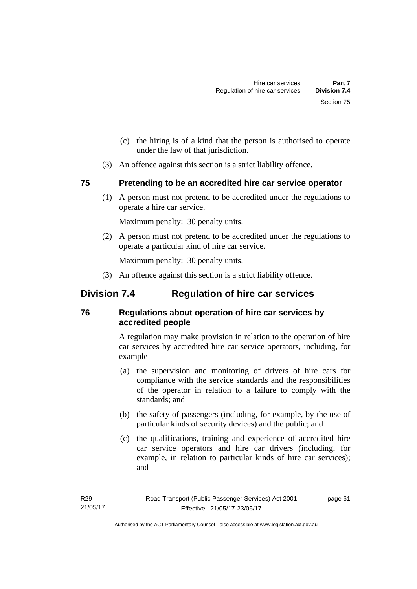- (c) the hiring is of a kind that the person is authorised to operate under the law of that jurisdiction.
- (3) An offence against this section is a strict liability offence.

# **75 Pretending to be an accredited hire car service operator**

(1) A person must not pretend to be accredited under the regulations to operate a hire car service.

Maximum penalty: 30 penalty units.

 (2) A person must not pretend to be accredited under the regulations to operate a particular kind of hire car service.

Maximum penalty: 30 penalty units.

(3) An offence against this section is a strict liability offence.

# **Division 7.4 Regulation of hire car services**

# **76 Regulations about operation of hire car services by accredited people**

A regulation may make provision in relation to the operation of hire car services by accredited hire car service operators, including, for example—

- (a) the supervision and monitoring of drivers of hire cars for compliance with the service standards and the responsibilities of the operator in relation to a failure to comply with the standards; and
- (b) the safety of passengers (including, for example, by the use of particular kinds of security devices) and the public; and
- (c) the qualifications, training and experience of accredited hire car service operators and hire car drivers (including, for example, in relation to particular kinds of hire car services); and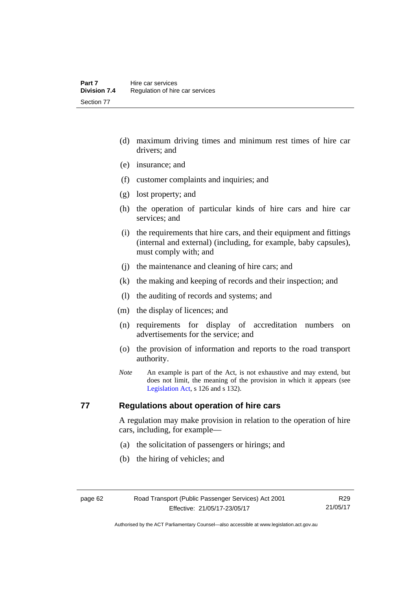- (d) maximum driving times and minimum rest times of hire car drivers; and
- (e) insurance; and
- (f) customer complaints and inquiries; and
- (g) lost property; and
- (h) the operation of particular kinds of hire cars and hire car services; and
- (i) the requirements that hire cars, and their equipment and fittings (internal and external) (including, for example, baby capsules), must comply with; and
- (j) the maintenance and cleaning of hire cars; and
- (k) the making and keeping of records and their inspection; and
- (l) the auditing of records and systems; and
- (m) the display of licences; and
- (n) requirements for display of accreditation numbers on advertisements for the service; and
- (o) the provision of information and reports to the road transport authority.
- *Note* An example is part of the Act, is not exhaustive and may extend, but does not limit, the meaning of the provision in which it appears (see [Legislation Act,](http://www.legislation.act.gov.au/a/2001-14) s 126 and s 132).

# **77 Regulations about operation of hire cars**

A regulation may make provision in relation to the operation of hire cars, including, for example—

- (a) the solicitation of passengers or hirings; and
- (b) the hiring of vehicles; and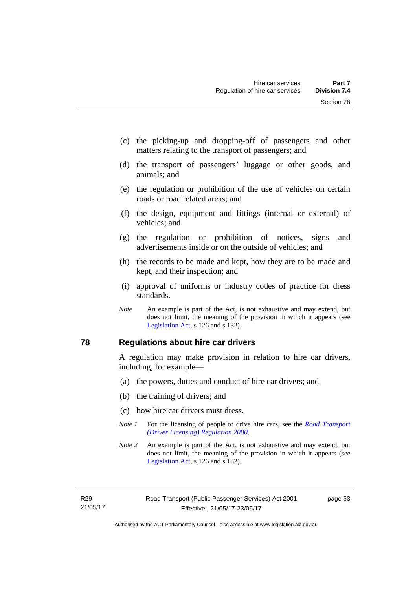- (c) the picking-up and dropping-off of passengers and other matters relating to the transport of passengers; and
- (d) the transport of passengers' luggage or other goods, and animals; and
- (e) the regulation or prohibition of the use of vehicles on certain roads or road related areas; and
- (f) the design, equipment and fittings (internal or external) of vehicles; and
- (g) the regulation or prohibition of notices, signs and advertisements inside or on the outside of vehicles; and
- (h) the records to be made and kept, how they are to be made and kept, and their inspection; and
- (i) approval of uniforms or industry codes of practice for dress standards.
- *Note* An example is part of the Act, is not exhaustive and may extend, but does not limit, the meaning of the provision in which it appears (see [Legislation Act,](http://www.legislation.act.gov.au/a/2001-14) s 126 and s 132).

#### **78 Regulations about hire car drivers**

A regulation may make provision in relation to hire car drivers, including, for example—

- (a) the powers, duties and conduct of hire car drivers; and
- (b) the training of drivers; and
- (c) how hire car drivers must dress.
- *Note 1* For the licensing of people to drive hire cars, see the *Road Transport [\(Driver Licensing\) Regulation 2000](http://www.legislation.act.gov.au/sl/2000-14)*.
- *Note 2* An example is part of the Act, is not exhaustive and may extend, but does not limit, the meaning of the provision in which it appears (see [Legislation Act,](http://www.legislation.act.gov.au/a/2001-14) s 126 and s 132).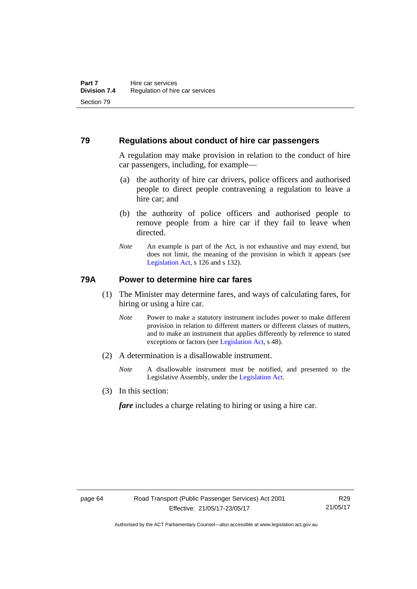### **79 Regulations about conduct of hire car passengers**

A regulation may make provision in relation to the conduct of hire car passengers, including, for example—

- (a) the authority of hire car drivers, police officers and authorised people to direct people contravening a regulation to leave a hire car; and
- (b) the authority of police officers and authorised people to remove people from a hire car if they fail to leave when directed.
- *Note* An example is part of the Act, is not exhaustive and may extend, but does not limit, the meaning of the provision in which it appears (see [Legislation Act,](http://www.legislation.act.gov.au/a/2001-14) s 126 and s 132).

## **79A Power to determine hire car fares**

- (1) The Minister may determine fares, and ways of calculating fares, for hiring or using a hire car.
	- *Note* Power to make a statutory instrument includes power to make different provision in relation to different matters or different classes of matters, and to make an instrument that applies differently by reference to stated exceptions or factors (see [Legislation Act](http://www.legislation.act.gov.au/a/2001-14), s 48).
- (2) A determination is a disallowable instrument.
	- *Note* A disallowable instrument must be notified, and presented to the Legislative Assembly, under the [Legislation Act.](http://www.legislation.act.gov.au/a/2001-14)
- (3) In this section:

*fare* includes a charge relating to hiring or using a hire car.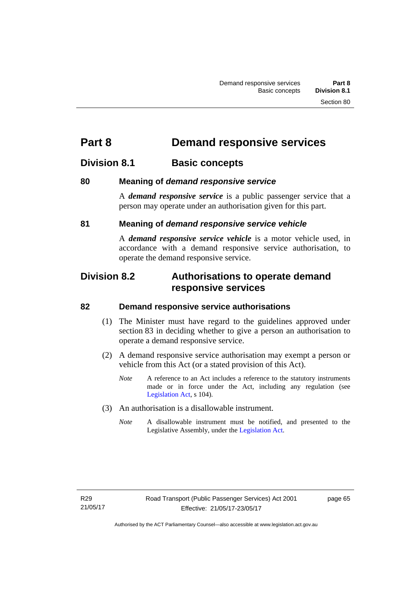# **Part 8 Demand responsive services**

## **Division 8.1 Basic concepts**

## **80 Meaning of** *demand responsive service*

A *demand responsive service* is a public passenger service that a person may operate under an authorisation given for this part.

## **81 Meaning of** *demand responsive service vehicle*

A *demand responsive service vehicle* is a motor vehicle used, in accordance with a demand responsive service authorisation, to operate the demand responsive service.

## **Division 8.2 Authorisations to operate demand responsive services**

## **82 Demand responsive service authorisations**

- (1) The Minister must have regard to the guidelines approved under section 83 in deciding whether to give a person an authorisation to operate a demand responsive service.
- (2) A demand responsive service authorisation may exempt a person or vehicle from this Act (or a stated provision of this Act).
	- *Note* A reference to an Act includes a reference to the statutory instruments made or in force under the Act, including any regulation (see [Legislation Act,](http://www.legislation.act.gov.au/a/2001-14) s 104).
- (3) An authorisation is a disallowable instrument.
	- *Note* A disallowable instrument must be notified, and presented to the Legislative Assembly, under the [Legislation Act.](http://www.legislation.act.gov.au/a/2001-14)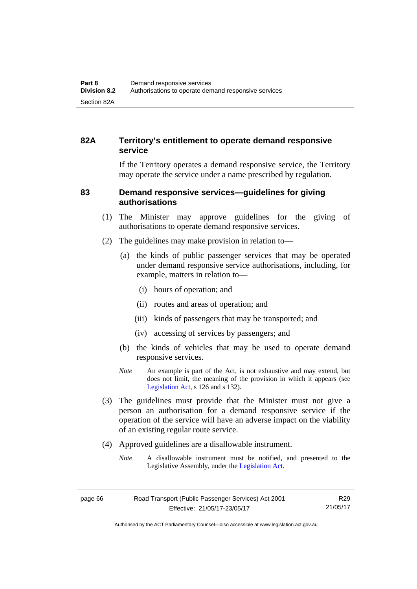## **82A Territory's entitlement to operate demand responsive service**

If the Territory operates a demand responsive service, the Territory may operate the service under a name prescribed by regulation.

## **83 Demand responsive services—guidelines for giving authorisations**

- (1) The Minister may approve guidelines for the giving of authorisations to operate demand responsive services.
- (2) The guidelines may make provision in relation to—
	- (a) the kinds of public passenger services that may be operated under demand responsive service authorisations, including, for example, matters in relation to—
		- (i) hours of operation; and
		- (ii) routes and areas of operation; and
		- (iii) kinds of passengers that may be transported; and
		- (iv) accessing of services by passengers; and
	- (b) the kinds of vehicles that may be used to operate demand responsive services.
	- *Note* An example is part of the Act, is not exhaustive and may extend, but does not limit, the meaning of the provision in which it appears (see [Legislation Act,](http://www.legislation.act.gov.au/a/2001-14) s 126 and s 132).
- (3) The guidelines must provide that the Minister must not give a person an authorisation for a demand responsive service if the operation of the service will have an adverse impact on the viability of an existing regular route service.
- (4) Approved guidelines are a disallowable instrument.
	- *Note* A disallowable instrument must be notified, and presented to the Legislative Assembly, under the [Legislation Act.](http://www.legislation.act.gov.au/a/2001-14)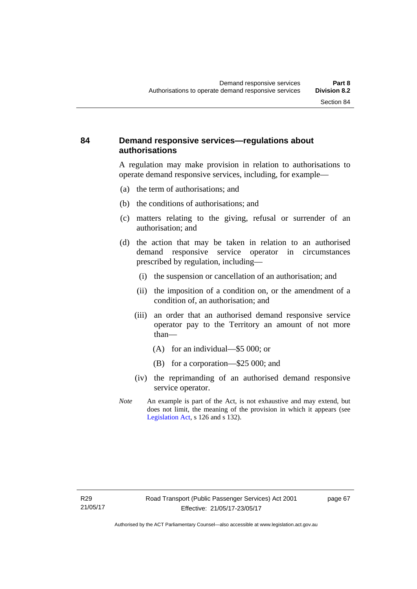## **84 Demand responsive services—regulations about authorisations**

A regulation may make provision in relation to authorisations to operate demand responsive services, including, for example—

- (a) the term of authorisations; and
- (b) the conditions of authorisations; and
- (c) matters relating to the giving, refusal or surrender of an authorisation; and
- (d) the action that may be taken in relation to an authorised demand responsive service operator in circumstances prescribed by regulation, including—
	- (i) the suspension or cancellation of an authorisation; and
	- (ii) the imposition of a condition on, or the amendment of a condition of, an authorisation; and
	- (iii) an order that an authorised demand responsive service operator pay to the Territory an amount of not more than—
		- (A) for an individual—\$5 000; or
		- (B) for a corporation—\$25 000; and
	- (iv) the reprimanding of an authorised demand responsive service operator.
- *Note* An example is part of the Act, is not exhaustive and may extend, but does not limit, the meaning of the provision in which it appears (see [Legislation Act,](http://www.legislation.act.gov.au/a/2001-14) s 126 and s 132).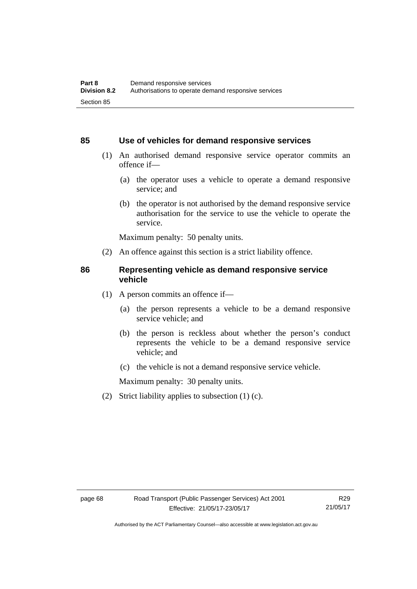### **85 Use of vehicles for demand responsive services**

- (1) An authorised demand responsive service operator commits an offence if—
	- (a) the operator uses a vehicle to operate a demand responsive service; and
	- (b) the operator is not authorised by the demand responsive service authorisation for the service to use the vehicle to operate the service.

Maximum penalty: 50 penalty units.

(2) An offence against this section is a strict liability offence.

### **86 Representing vehicle as demand responsive service vehicle**

- (1) A person commits an offence if—
	- (a) the person represents a vehicle to be a demand responsive service vehicle; and
	- (b) the person is reckless about whether the person's conduct represents the vehicle to be a demand responsive service vehicle; and
	- (c) the vehicle is not a demand responsive service vehicle.

Maximum penalty: 30 penalty units.

(2) Strict liability applies to subsection (1) (c).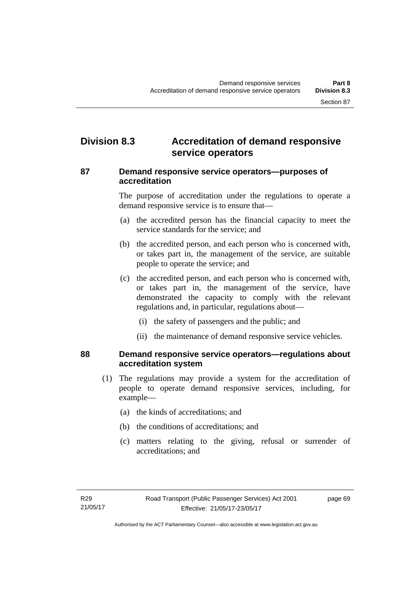## **Division 8.3 Accreditation of demand responsive service operators**

## **87 Demand responsive service operators—purposes of accreditation**

The purpose of accreditation under the regulations to operate a demand responsive service is to ensure that—

- (a) the accredited person has the financial capacity to meet the service standards for the service; and
- (b) the accredited person, and each person who is concerned with, or takes part in, the management of the service, are suitable people to operate the service; and
- (c) the accredited person, and each person who is concerned with, or takes part in, the management of the service, have demonstrated the capacity to comply with the relevant regulations and, in particular, regulations about—
	- (i) the safety of passengers and the public; and
	- (ii) the maintenance of demand responsive service vehicles.

## **88 Demand responsive service operators—regulations about accreditation system**

- (1) The regulations may provide a system for the accreditation of people to operate demand responsive services, including, for example—
	- (a) the kinds of accreditations; and
	- (b) the conditions of accreditations; and
	- (c) matters relating to the giving, refusal or surrender of accreditations; and

page 69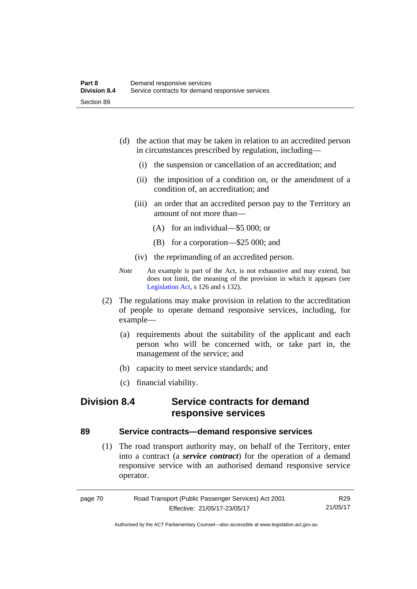- (d) the action that may be taken in relation to an accredited person in circumstances prescribed by regulation, including—
	- (i) the suspension or cancellation of an accreditation; and
	- (ii) the imposition of a condition on, or the amendment of a condition of, an accreditation; and
	- (iii) an order that an accredited person pay to the Territory an amount of not more than—
		- (A) for an individual—\$5 000; or
		- (B) for a corporation—\$25 000; and
	- (iv) the reprimanding of an accredited person.
- *Note* An example is part of the Act, is not exhaustive and may extend, but does not limit, the meaning of the provision in which it appears (see [Legislation Act,](http://www.legislation.act.gov.au/a/2001-14) s 126 and s 132).
- (2) The regulations may make provision in relation to the accreditation of people to operate demand responsive services, including, for example—
	- (a) requirements about the suitability of the applicant and each person who will be concerned with, or take part in, the management of the service; and
	- (b) capacity to meet service standards; and
	- (c) financial viability.

## **Division 8.4 Service contracts for demand responsive services**

## **89 Service contracts—demand responsive services**

 (1) The road transport authority may, on behalf of the Territory, enter into a contract (a *service contract*) for the operation of a demand responsive service with an authorised demand responsive service operator.

| page 70 | Road Transport (Public Passenger Services) Act 2001 | R29      |
|---------|-----------------------------------------------------|----------|
|         | Effective: 21/05/17-23/05/17                        | 21/05/17 |

Authorised by the ACT Parliamentary Counsel—also accessible at www.legislation.act.gov.au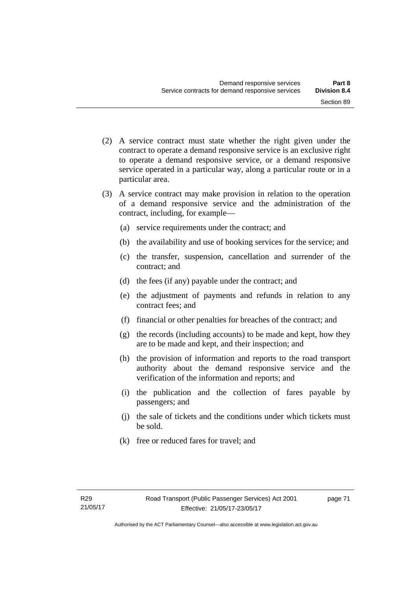- (2) A service contract must state whether the right given under the contract to operate a demand responsive service is an exclusive right to operate a demand responsive service, or a demand responsive service operated in a particular way, along a particular route or in a particular area.
- (3) A service contract may make provision in relation to the operation of a demand responsive service and the administration of the contract, including, for example—
	- (a) service requirements under the contract; and
	- (b) the availability and use of booking services for the service; and
	- (c) the transfer, suspension, cancellation and surrender of the contract; and
	- (d) the fees (if any) payable under the contract; and
	- (e) the adjustment of payments and refunds in relation to any contract fees; and
	- (f) financial or other penalties for breaches of the contract; and
	- (g) the records (including accounts) to be made and kept, how they are to be made and kept, and their inspection; and
	- (h) the provision of information and reports to the road transport authority about the demand responsive service and the verification of the information and reports; and
	- (i) the publication and the collection of fares payable by passengers; and
	- (j) the sale of tickets and the conditions under which tickets must be sold.
	- (k) free or reduced fares for travel; and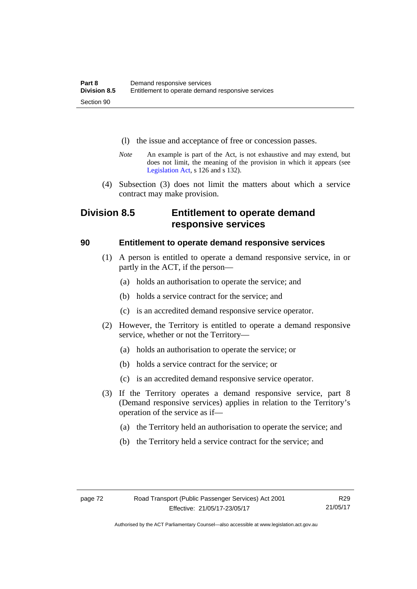- (l) the issue and acceptance of free or concession passes.
- *Note* An example is part of the Act, is not exhaustive and may extend, but does not limit, the meaning of the provision in which it appears (see [Legislation Act,](http://www.legislation.act.gov.au/a/2001-14) s 126 and s 132).
- (4) Subsection (3) does not limit the matters about which a service contract may make provision.

## **Division 8.5 Entitlement to operate demand responsive services**

## **90 Entitlement to operate demand responsive services**

- (1) A person is entitled to operate a demand responsive service, in or partly in the ACT, if the person—
	- (a) holds an authorisation to operate the service; and
	- (b) holds a service contract for the service; and
	- (c) is an accredited demand responsive service operator.
- (2) However, the Territory is entitled to operate a demand responsive service, whether or not the Territory—
	- (a) holds an authorisation to operate the service; or
	- (b) holds a service contract for the service; or
	- (c) is an accredited demand responsive service operator.
- (3) If the Territory operates a demand responsive service, part 8 (Demand responsive services) applies in relation to the Territory's operation of the service as if—
	- (a) the Territory held an authorisation to operate the service; and
	- (b) the Territory held a service contract for the service; and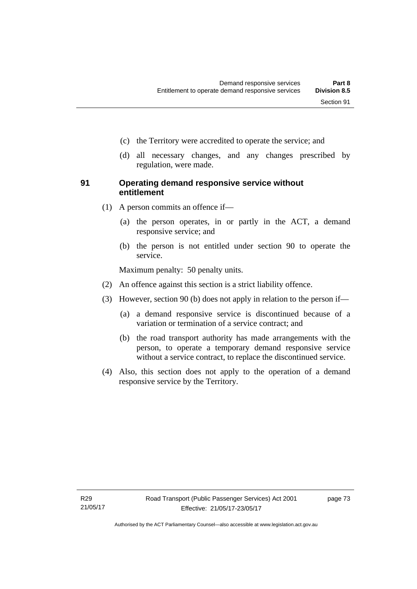- (c) the Territory were accredited to operate the service; and
- (d) all necessary changes, and any changes prescribed by regulation, were made.

## **91 Operating demand responsive service without entitlement**

- (1) A person commits an offence if—
	- (a) the person operates, in or partly in the ACT, a demand responsive service; and
	- (b) the person is not entitled under section 90 to operate the service.

Maximum penalty: 50 penalty units.

- (2) An offence against this section is a strict liability offence.
- (3) However, section 90 (b) does not apply in relation to the person if—
	- (a) a demand responsive service is discontinued because of a variation or termination of a service contract; and
	- (b) the road transport authority has made arrangements with the person, to operate a temporary demand responsive service without a service contract, to replace the discontinued service.
- (4) Also, this section does not apply to the operation of a demand responsive service by the Territory.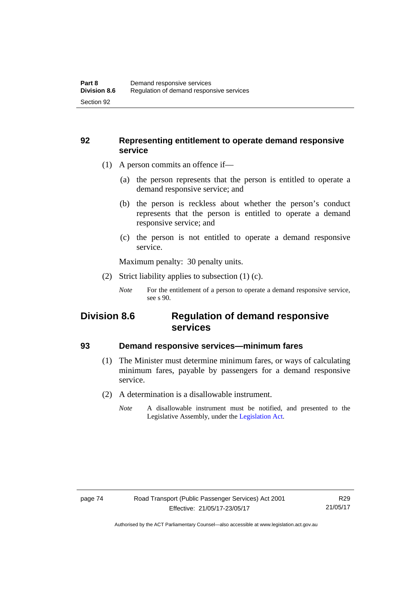## **92 Representing entitlement to operate demand responsive service**

- (1) A person commits an offence if—
	- (a) the person represents that the person is entitled to operate a demand responsive service; and
	- (b) the person is reckless about whether the person's conduct represents that the person is entitled to operate a demand responsive service; and
	- (c) the person is not entitled to operate a demand responsive service.

Maximum penalty: 30 penalty units.

(2) Strict liability applies to subsection (1) (c).

## **Division 8.6 Regulation of demand responsive services**

## **93 Demand responsive services—minimum fares**

- (1) The Minister must determine minimum fares, or ways of calculating minimum fares, payable by passengers for a demand responsive service.
- (2) A determination is a disallowable instrument.
	- *Note* A disallowable instrument must be notified, and presented to the Legislative Assembly, under the [Legislation Act.](http://www.legislation.act.gov.au/a/2001-14)

*Note* For the entitlement of a person to operate a demand responsive service, see s 90.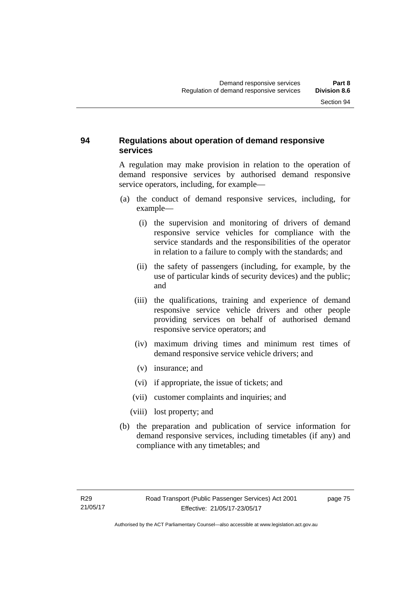## **94 Regulations about operation of demand responsive services**

A regulation may make provision in relation to the operation of demand responsive services by authorised demand responsive service operators, including, for example—

- (a) the conduct of demand responsive services, including, for example—
	- (i) the supervision and monitoring of drivers of demand responsive service vehicles for compliance with the service standards and the responsibilities of the operator in relation to a failure to comply with the standards; and
	- (ii) the safety of passengers (including, for example, by the use of particular kinds of security devices) and the public; and
	- (iii) the qualifications, training and experience of demand responsive service vehicle drivers and other people providing services on behalf of authorised demand responsive service operators; and
	- (iv) maximum driving times and minimum rest times of demand responsive service vehicle drivers; and
	- (v) insurance; and
	- (vi) if appropriate, the issue of tickets; and
	- (vii) customer complaints and inquiries; and
	- (viii) lost property; and
- (b) the preparation and publication of service information for demand responsive services, including timetables (if any) and compliance with any timetables; and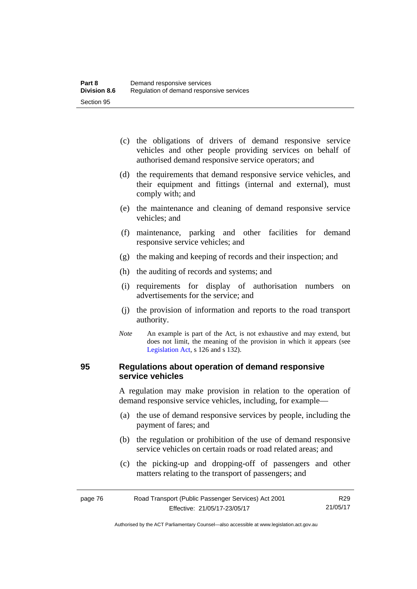- (c) the obligations of drivers of demand responsive service vehicles and other people providing services on behalf of authorised demand responsive service operators; and
- (d) the requirements that demand responsive service vehicles, and their equipment and fittings (internal and external), must comply with; and
- (e) the maintenance and cleaning of demand responsive service vehicles; and
- (f) maintenance, parking and other facilities for demand responsive service vehicles; and
- (g) the making and keeping of records and their inspection; and
- (h) the auditing of records and systems; and
- (i) requirements for display of authorisation numbers on advertisements for the service; and
- (j) the provision of information and reports to the road transport authority.
- *Note* An example is part of the Act, is not exhaustive and may extend, but does not limit, the meaning of the provision in which it appears (see [Legislation Act,](http://www.legislation.act.gov.au/a/2001-14) s 126 and s 132).

## **95 Regulations about operation of demand responsive service vehicles**

A regulation may make provision in relation to the operation of demand responsive service vehicles, including, for example—

- (a) the use of demand responsive services by people, including the payment of fares; and
- (b) the regulation or prohibition of the use of demand responsive service vehicles on certain roads or road related areas; and
- (c) the picking-up and dropping-off of passengers and other matters relating to the transport of passengers; and

| page 76 | Road Transport (Public Passenger Services) Act 2001 | R <sub>29</sub> |
|---------|-----------------------------------------------------|-----------------|
|         | Effective: 21/05/17-23/05/17                        | 21/05/17        |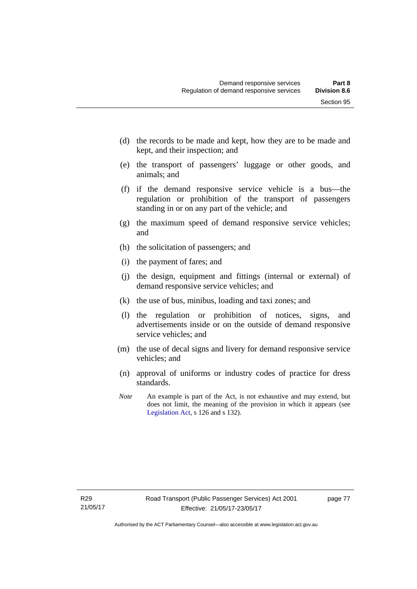- (d) the records to be made and kept, how they are to be made and kept, and their inspection; and
- (e) the transport of passengers' luggage or other goods, and animals; and
- (f) if the demand responsive service vehicle is a bus—the regulation or prohibition of the transport of passengers standing in or on any part of the vehicle; and
- (g) the maximum speed of demand responsive service vehicles; and
- (h) the solicitation of passengers; and
- (i) the payment of fares; and
- (j) the design, equipment and fittings (internal or external) of demand responsive service vehicles; and
- (k) the use of bus, minibus, loading and taxi zones; and
- (l) the regulation or prohibition of notices, signs, and advertisements inside or on the outside of demand responsive service vehicles; and
- (m) the use of decal signs and livery for demand responsive service vehicles; and
- (n) approval of uniforms or industry codes of practice for dress standards.
- *Note* An example is part of the Act, is not exhaustive and may extend, but does not limit, the meaning of the provision in which it appears (see [Legislation Act,](http://www.legislation.act.gov.au/a/2001-14) s 126 and s 132).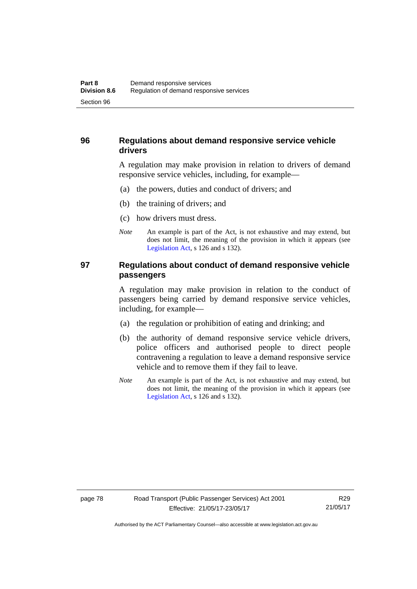## **96 Regulations about demand responsive service vehicle drivers**

A regulation may make provision in relation to drivers of demand responsive service vehicles, including, for example—

- (a) the powers, duties and conduct of drivers; and
- (b) the training of drivers; and
- (c) how drivers must dress.
- *Note* An example is part of the Act, is not exhaustive and may extend, but does not limit, the meaning of the provision in which it appears (see [Legislation Act,](http://www.legislation.act.gov.au/a/2001-14) s 126 and s 132).

## **97 Regulations about conduct of demand responsive vehicle passengers**

A regulation may make provision in relation to the conduct of passengers being carried by demand responsive service vehicles, including, for example—

- (a) the regulation or prohibition of eating and drinking; and
- (b) the authority of demand responsive service vehicle drivers, police officers and authorised people to direct people contravening a regulation to leave a demand responsive service vehicle and to remove them if they fail to leave.
- *Note* An example is part of the Act, is not exhaustive and may extend, but does not limit, the meaning of the provision in which it appears (see [Legislation Act,](http://www.legislation.act.gov.au/a/2001-14) s 126 and s 132).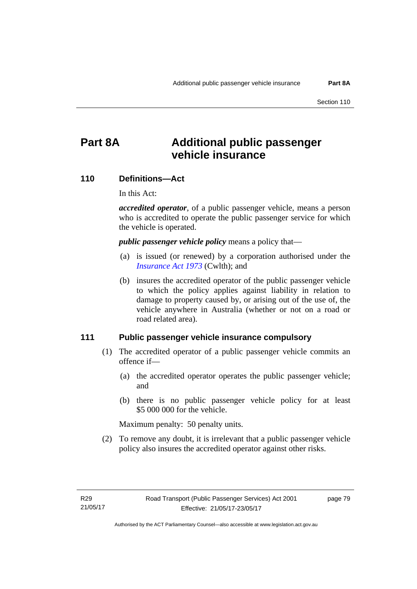# **Part 8A Additional public passenger vehicle insurance**

### **110 Definitions—Act**

In this Act:

*accredited operator*, of a public passenger vehicle, means a person who is accredited to operate the public passenger service for which the vehicle is operated.

*public passenger vehicle policy* means a policy that—

- (a) is issued (or renewed) by a corporation authorised under the *[Insurance Act 1973](http://www.comlaw.gov.au/Details/C2013C00019)* (Cwlth); and
- (b) insures the accredited operator of the public passenger vehicle to which the policy applies against liability in relation to damage to property caused by, or arising out of the use of, the vehicle anywhere in Australia (whether or not on a road or road related area).

### **111 Public passenger vehicle insurance compulsory**

- (1) The accredited operator of a public passenger vehicle commits an offence if—
	- (a) the accredited operator operates the public passenger vehicle; and
	- (b) there is no public passenger vehicle policy for at least \$5 000 000 for the vehicle.

Maximum penalty: 50 penalty units.

 (2) To remove any doubt, it is irrelevant that a public passenger vehicle policy also insures the accredited operator against other risks.

page 79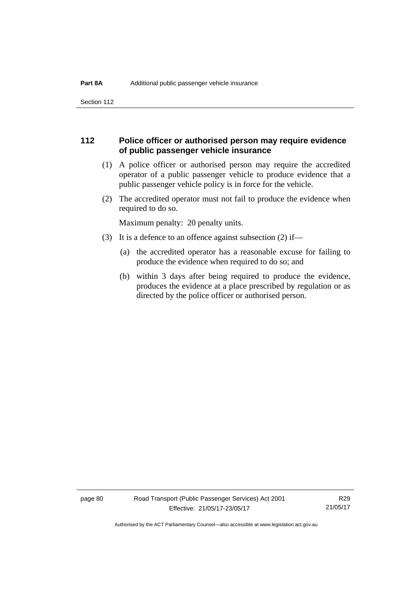Section 112

## **112 Police officer or authorised person may require evidence of public passenger vehicle insurance**

- (1) A police officer or authorised person may require the accredited operator of a public passenger vehicle to produce evidence that a public passenger vehicle policy is in force for the vehicle.
- (2) The accredited operator must not fail to produce the evidence when required to do so.

Maximum penalty: 20 penalty units.

- (3) It is a defence to an offence against subsection (2) if—
	- (a) the accredited operator has a reasonable excuse for failing to produce the evidence when required to do so; and
	- (b) within 3 days after being required to produce the evidence, produces the evidence at a place prescribed by regulation or as directed by the police officer or authorised person.

page 80 Road Transport (Public Passenger Services) Act 2001 Effective: 21/05/17-23/05/17

R29 21/05/17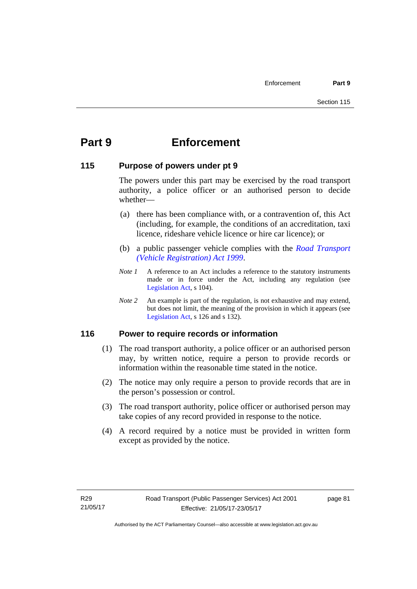# **Part 9 Enforcement**

### **115 Purpose of powers under pt 9**

The powers under this part may be exercised by the road transport authority, a police officer or an authorised person to decide whether—

- (a) there has been compliance with, or a contravention of, this Act (including, for example, the conditions of an accreditation, taxi licence, rideshare vehicle licence or hire car licence); or
- (b) a public passenger vehicle complies with the *[Road Transport](http://www.legislation.act.gov.au/a/1999-81)  [\(Vehicle Registration\) Act 1999](http://www.legislation.act.gov.au/a/1999-81)*.
- *Note 1* A reference to an Act includes a reference to the statutory instruments made or in force under the Act, including any regulation (see [Legislation Act,](http://www.legislation.act.gov.au/a/2001-14) s 104).
- *Note 2* An example is part of the regulation, is not exhaustive and may extend, but does not limit, the meaning of the provision in which it appears (see [Legislation Act,](http://www.legislation.act.gov.au/a/2001-14) s 126 and s 132).

## **116 Power to require records or information**

- (1) The road transport authority, a police officer or an authorised person may, by written notice, require a person to provide records or information within the reasonable time stated in the notice.
- (2) The notice may only require a person to provide records that are in the person's possession or control.
- (3) The road transport authority, police officer or authorised person may take copies of any record provided in response to the notice.
- (4) A record required by a notice must be provided in written form except as provided by the notice.

page 81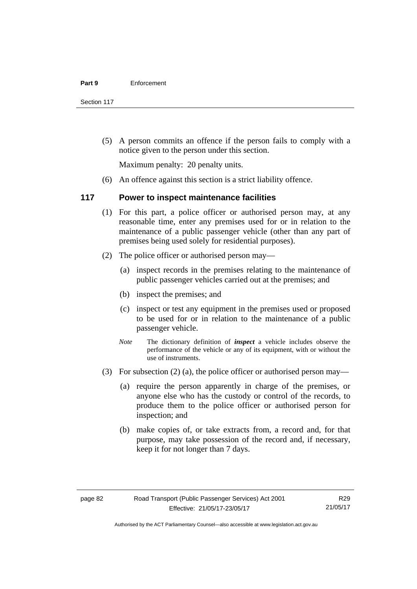Section 117

 (5) A person commits an offence if the person fails to comply with a notice given to the person under this section.

Maximum penalty: 20 penalty units.

(6) An offence against this section is a strict liability offence.

#### **117 Power to inspect maintenance facilities**

- (1) For this part, a police officer or authorised person may, at any reasonable time, enter any premises used for or in relation to the maintenance of a public passenger vehicle (other than any part of premises being used solely for residential purposes).
- (2) The police officer or authorised person may—
	- (a) inspect records in the premises relating to the maintenance of public passenger vehicles carried out at the premises; and
	- (b) inspect the premises; and
	- (c) inspect or test any equipment in the premises used or proposed to be used for or in relation to the maintenance of a public passenger vehicle.
	- *Note* The dictionary definition of *inspect* a vehicle includes observe the performance of the vehicle or any of its equipment, with or without the use of instruments.
- (3) For subsection (2) (a), the police officer or authorised person may—
	- (a) require the person apparently in charge of the premises, or anyone else who has the custody or control of the records, to produce them to the police officer or authorised person for inspection; and
	- (b) make copies of, or take extracts from, a record and, for that purpose, may take possession of the record and, if necessary, keep it for not longer than 7 days.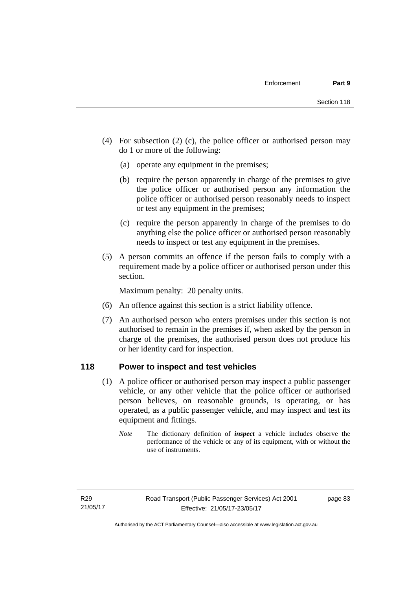- (4) For subsection (2) (c), the police officer or authorised person may do 1 or more of the following:
	- (a) operate any equipment in the premises;
	- (b) require the person apparently in charge of the premises to give the police officer or authorised person any information the police officer or authorised person reasonably needs to inspect or test any equipment in the premises;
	- (c) require the person apparently in charge of the premises to do anything else the police officer or authorised person reasonably needs to inspect or test any equipment in the premises.
- (5) A person commits an offence if the person fails to comply with a requirement made by a police officer or authorised person under this section.

Maximum penalty: 20 penalty units.

- (6) An offence against this section is a strict liability offence.
- (7) An authorised person who enters premises under this section is not authorised to remain in the premises if, when asked by the person in charge of the premises, the authorised person does not produce his or her identity card for inspection.

## **118 Power to inspect and test vehicles**

- (1) A police officer or authorised person may inspect a public passenger vehicle, or any other vehicle that the police officer or authorised person believes, on reasonable grounds, is operating, or has operated, as a public passenger vehicle, and may inspect and test its equipment and fittings.
	- *Note* The dictionary definition of *inspect* a vehicle includes observe the performance of the vehicle or any of its equipment, with or without the use of instruments.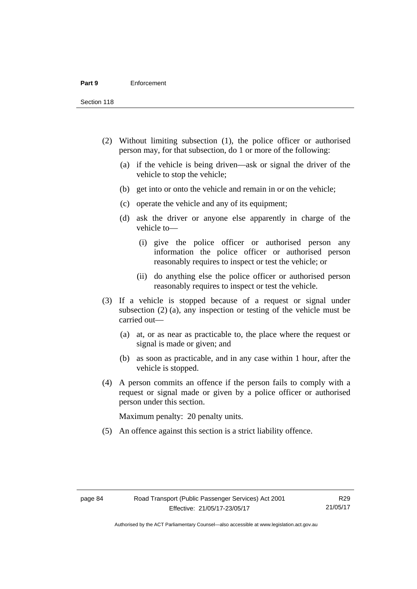Section 118

- (2) Without limiting subsection (1), the police officer or authorised person may, for that subsection, do 1 or more of the following:
	- (a) if the vehicle is being driven—ask or signal the driver of the vehicle to stop the vehicle;
	- (b) get into or onto the vehicle and remain in or on the vehicle;
	- (c) operate the vehicle and any of its equipment;
	- (d) ask the driver or anyone else apparently in charge of the vehicle to—
		- (i) give the police officer or authorised person any information the police officer or authorised person reasonably requires to inspect or test the vehicle; or
		- (ii) do anything else the police officer or authorised person reasonably requires to inspect or test the vehicle.
- (3) If a vehicle is stopped because of a request or signal under subsection (2) (a), any inspection or testing of the vehicle must be carried out—
	- (a) at, or as near as practicable to, the place where the request or signal is made or given; and
	- (b) as soon as practicable, and in any case within 1 hour, after the vehicle is stopped.
- (4) A person commits an offence if the person fails to comply with a request or signal made or given by a police officer or authorised person under this section.

Maximum penalty: 20 penalty units.

(5) An offence against this section is a strict liability offence.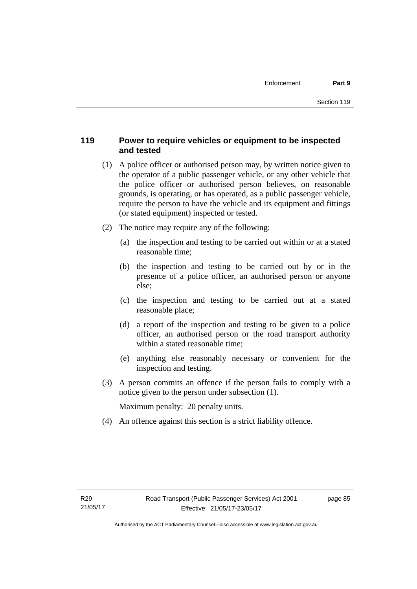## **119 Power to require vehicles or equipment to be inspected and tested**

- (1) A police officer or authorised person may, by written notice given to the operator of a public passenger vehicle, or any other vehicle that the police officer or authorised person believes, on reasonable grounds, is operating, or has operated, as a public passenger vehicle, require the person to have the vehicle and its equipment and fittings (or stated equipment) inspected or tested.
- (2) The notice may require any of the following:
	- (a) the inspection and testing to be carried out within or at a stated reasonable time;
	- (b) the inspection and testing to be carried out by or in the presence of a police officer, an authorised person or anyone else;
	- (c) the inspection and testing to be carried out at a stated reasonable place;
	- (d) a report of the inspection and testing to be given to a police officer, an authorised person or the road transport authority within a stated reasonable time;
	- (e) anything else reasonably necessary or convenient for the inspection and testing.
- (3) A person commits an offence if the person fails to comply with a notice given to the person under subsection (1).

Maximum penalty: 20 penalty units.

(4) An offence against this section is a strict liability offence.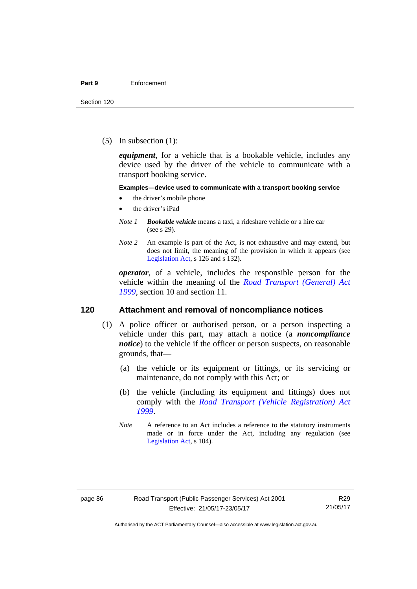(5) In subsection (1):

*equipment*, for a vehicle that is a bookable vehicle, includes any device used by the driver of the vehicle to communicate with a transport booking service.

#### **Examples—device used to communicate with a transport booking service**

- the driver's mobile phone
- the driver's iPad
- *Note 1 Bookable vehicle* means a taxi, a rideshare vehicle or a hire car (see s 29).
- *Note 2* An example is part of the Act, is not exhaustive and may extend, but does not limit, the meaning of the provision in which it appears (see [Legislation Act,](http://www.legislation.act.gov.au/a/2001-14) s 126 and s 132).

*operator*, of a vehicle, includes the responsible person for the vehicle within the meaning of the *[Road Transport \(General\) Act](http://www.legislation.act.gov.au/a/1999-77)  [1999](http://www.legislation.act.gov.au/a/1999-77)*, section 10 and section 11.

#### **120 Attachment and removal of noncompliance notices**

- (1) A police officer or authorised person, or a person inspecting a vehicle under this part, may attach a notice (a *noncompliance notice*) to the vehicle if the officer or person suspects, on reasonable grounds, that—
	- (a) the vehicle or its equipment or fittings, or its servicing or maintenance, do not comply with this Act; or
	- (b) the vehicle (including its equipment and fittings) does not comply with the *[Road Transport \(Vehicle Registration\) Act](http://www.legislation.act.gov.au/a/1999-81)  [1999](http://www.legislation.act.gov.au/a/1999-81)*.
	- *Note* A reference to an Act includes a reference to the statutory instruments made or in force under the Act, including any regulation (see [Legislation Act,](http://www.legislation.act.gov.au/a/2001-14) s 104).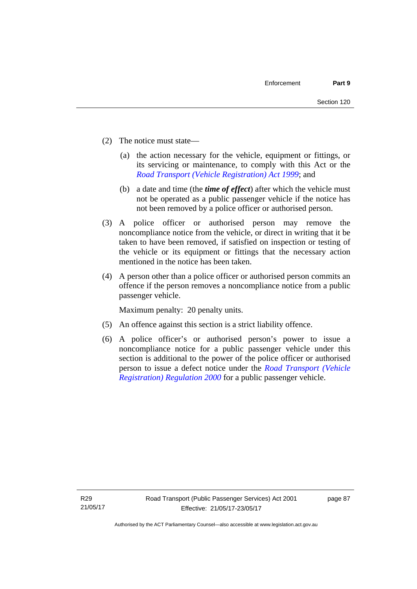- (2) The notice must state—
	- (a) the action necessary for the vehicle, equipment or fittings, or its servicing or maintenance, to comply with this Act or the *[Road Transport \(Vehicle Registration\) Act 1999](http://www.legislation.act.gov.au/a/1999-81)*; and
	- (b) a date and time (the *time of effect*) after which the vehicle must not be operated as a public passenger vehicle if the notice has not been removed by a police officer or authorised person.
- (3) A police officer or authorised person may remove the noncompliance notice from the vehicle, or direct in writing that it be taken to have been removed, if satisfied on inspection or testing of the vehicle or its equipment or fittings that the necessary action mentioned in the notice has been taken.
- (4) A person other than a police officer or authorised person commits an offence if the person removes a noncompliance notice from a public passenger vehicle.

Maximum penalty: 20 penalty units.

- (5) An offence against this section is a strict liability offence.
- (6) A police officer's or authorised person's power to issue a noncompliance notice for a public passenger vehicle under this section is additional to the power of the police officer or authorised person to issue a defect notice under the *[Road Transport \(Vehicle](http://www.legislation.act.gov.au/sl/2000-12)  [Registration\) Regulation 2000](http://www.legislation.act.gov.au/sl/2000-12)* for a public passenger vehicle.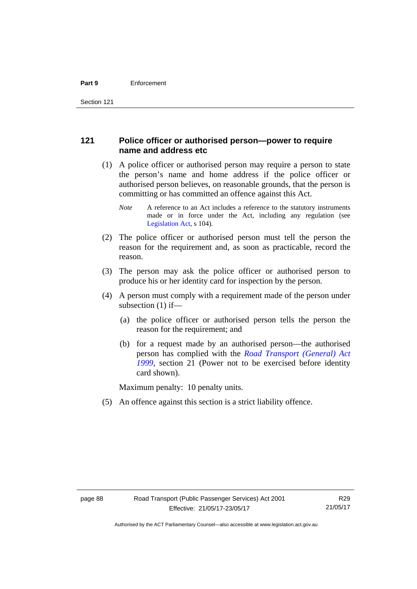## **121 Police officer or authorised person—power to require name and address etc**

- (1) A police officer or authorised person may require a person to state the person's name and home address if the police officer or authorised person believes, on reasonable grounds, that the person is committing or has committed an offence against this Act.
	- *Note* A reference to an Act includes a reference to the statutory instruments made or in force under the Act, including any regulation (see [Legislation Act,](http://www.legislation.act.gov.au/a/2001-14) s 104).
- (2) The police officer or authorised person must tell the person the reason for the requirement and, as soon as practicable, record the reason.
- (3) The person may ask the police officer or authorised person to produce his or her identity card for inspection by the person.
- (4) A person must comply with a requirement made of the person under subsection (1) if—
	- (a) the police officer or authorised person tells the person the reason for the requirement; and
	- (b) for a request made by an authorised person—the authorised person has complied with the *[Road Transport \(General\) Act](http://www.legislation.act.gov.au/a/1999-77)  [1999](http://www.legislation.act.gov.au/a/1999-77)*, section 21 (Power not to be exercised before identity card shown).

Maximum penalty: 10 penalty units.

(5) An offence against this section is a strict liability offence.

R29 21/05/17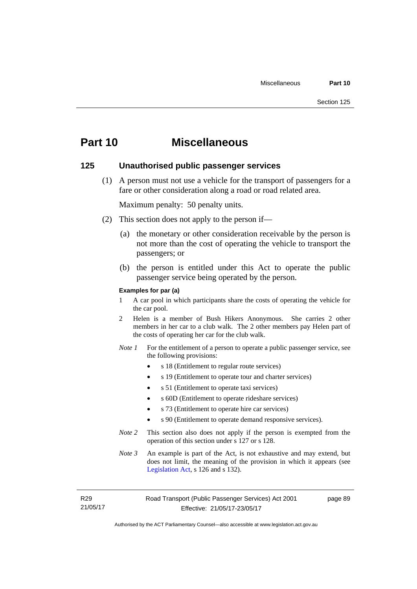## **Part 10 Miscellaneous**

#### **125 Unauthorised public passenger services**

 (1) A person must not use a vehicle for the transport of passengers for a fare or other consideration along a road or road related area.

Maximum penalty: 50 penalty units.

- (2) This section does not apply to the person if—
	- (a) the monetary or other consideration receivable by the person is not more than the cost of operating the vehicle to transport the passengers; or
	- (b) the person is entitled under this Act to operate the public passenger service being operated by the person.

#### **Examples for par (a)**

- 1 A car pool in which participants share the costs of operating the vehicle for the car pool.
- 2 Helen is a member of Bush Hikers Anonymous. She carries 2 other members in her car to a club walk. The 2 other members pay Helen part of the costs of operating her car for the club walk.
- *Note 1* For the entitlement of a person to operate a public passenger service, see the following provisions:
	- s 18 (Entitlement to regular route services)
	- s 19 (Entitlement to operate tour and charter services)
	- s 51 (Entitlement to operate taxi services)
	- s 60D (Entitlement to operate rideshare services)
	- s 73 (Entitlement to operate hire car services)
	- s 90 (Entitlement to operate demand responsive services).
- *Note 2* This section also does not apply if the person is exempted from the operation of this section under s 127 or s 128.
- *Note 3* An example is part of the Act, is not exhaustive and may extend, but does not limit, the meaning of the provision in which it appears (see [Legislation Act,](http://www.legislation.act.gov.au/a/2001-14) s 126 and s 132).

R29 21/05/17 page 89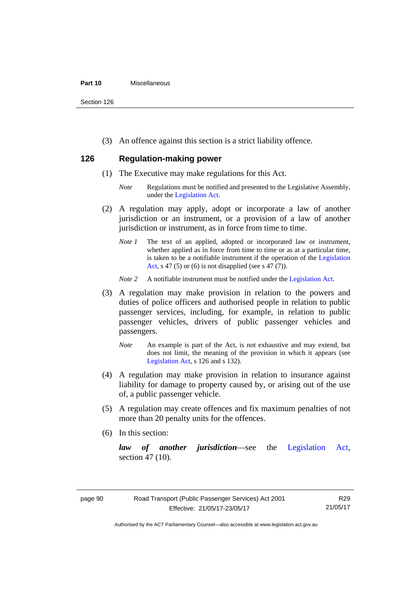#### **Part 10** Miscellaneous

Section 126

(3) An offence against this section is a strict liability offence.

## **126 Regulation-making power**

- (1) The Executive may make regulations for this Act.
	- *Note* Regulations must be notified and presented to the Legislative Assembly, under the [Legislation Act.](http://www.legislation.act.gov.au/a/2001-14)
- (2) A regulation may apply, adopt or incorporate a law of another jurisdiction or an instrument, or a provision of a law of another jurisdiction or instrument, as in force from time to time.
	- *Note 1* The text of an applied, adopted or incorporated law or instrument, whether applied as in force from time to time or as at a particular time, is taken to be a notifiable instrument if the operation of the [Legislation](http://www.legislation.act.gov.au/a/2001-14)  [Act](http://www.legislation.act.gov.au/a/2001-14), s 47 (5) or (6) is not disapplied (see s 47 (7)).
	- *Note 2* A notifiable instrument must be notified under the [Legislation Act](http://www.legislation.act.gov.au/a/2001-14).
- (3) A regulation may make provision in relation to the powers and duties of police officers and authorised people in relation to public passenger services, including, for example, in relation to public passenger vehicles, drivers of public passenger vehicles and passengers.
	- *Note* An example is part of the Act, is not exhaustive and may extend, but does not limit, the meaning of the provision in which it appears (see [Legislation Act,](http://www.legislation.act.gov.au/a/2001-14) s 126 and s 132).
- (4) A regulation may make provision in relation to insurance against liability for damage to property caused by, or arising out of the use of, a public passenger vehicle.
- (5) A regulation may create offences and fix maximum penalties of not more than 20 penalty units for the offences.
- (6) In this section:

*law of another jurisdiction*—see the [Legislation Act](http://www.legislation.act.gov.au/a/2001-14), section 47 (10).

Authorised by the ACT Parliamentary Counsel—also accessible at www.legislation.act.gov.au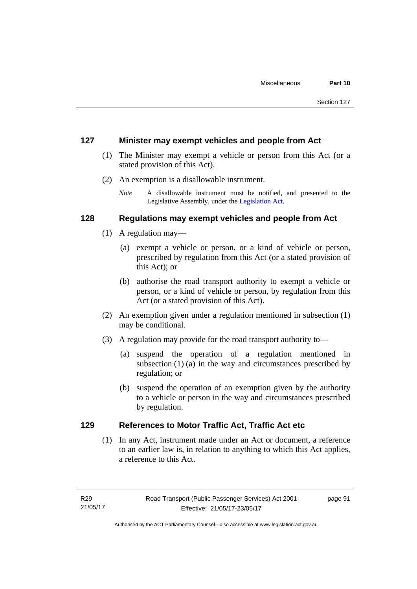### **127 Minister may exempt vehicles and people from Act**

- (1) The Minister may exempt a vehicle or person from this Act (or a stated provision of this Act).
- (2) An exemption is a disallowable instrument.
	- *Note* A disallowable instrument must be notified, and presented to the Legislative Assembly, under the [Legislation Act.](http://www.legislation.act.gov.au/a/2001-14)

## **128 Regulations may exempt vehicles and people from Act**

- (1) A regulation may—
	- (a) exempt a vehicle or person, or a kind of vehicle or person, prescribed by regulation from this Act (or a stated provision of this Act); or
	- (b) authorise the road transport authority to exempt a vehicle or person, or a kind of vehicle or person, by regulation from this Act (or a stated provision of this Act).
- (2) An exemption given under a regulation mentioned in subsection (1) may be conditional.
- (3) A regulation may provide for the road transport authority to—
	- (a) suspend the operation of a regulation mentioned in subsection (1) (a) in the way and circumstances prescribed by regulation; or
	- (b) suspend the operation of an exemption given by the authority to a vehicle or person in the way and circumstances prescribed by regulation.

## **129 References to Motor Traffic Act, Traffic Act etc**

(1) In any Act, instrument made under an Act or document, a reference to an earlier law is, in relation to anything to which this Act applies, a reference to this Act.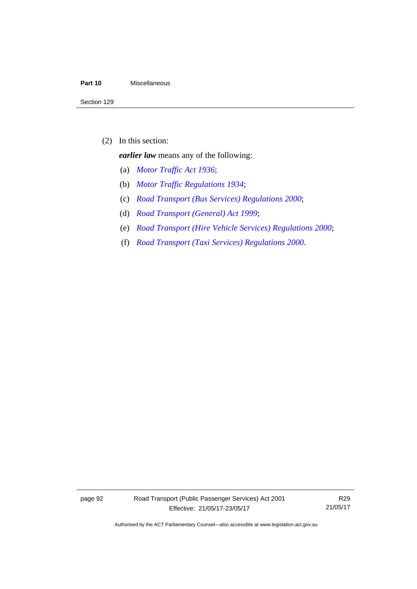#### **Part 10** Miscellaneous

(2) In this section:

*earlier law* means any of the following:

- (a) *[Motor Traffic Act 1936](http://www.legislation.act.gov.au/a/1936-45)*;
- (b) *[Motor Traffic Regulations 1934](http://www.legislation.act.gov.au/sl/1934-6)*;
- (c) *[Road Transport \(Bus Services\) Regulations 2000](http://www.legislation.act.gov.au/sl/2000-9)*;
- (d) *[Road Transport \(General\) Act 1999](http://www.legislation.act.gov.au/a/1999-77)*;
- (e) *[Road Transport \(Hire Vehicle Services\) Regulations 2000](http://www.legislation.act.gov.au/sl/2000-4)*;
- (f) *[Road Transport \(Taxi Services\) Regulations 2000](http://www.legislation.act.gov.au/sl/2000-5)*.

page 92 Road Transport (Public Passenger Services) Act 2001 Effective: 21/05/17-23/05/17

R29 21/05/17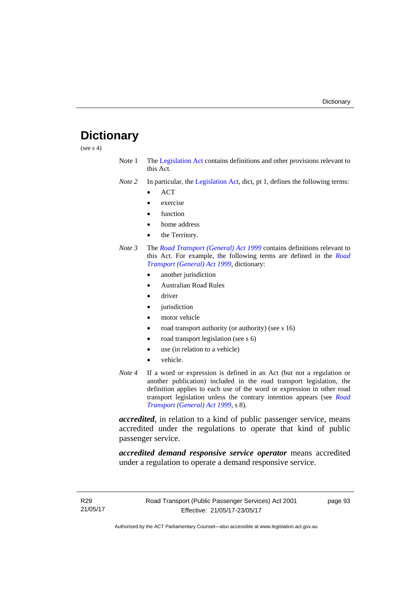# **Dictionary**

(see s 4)

- Note 1 The [Legislation Act](http://www.legislation.act.gov.au/a/2001-14) contains definitions and other provisions relevant to this Act.
- *Note 2* In particular, the [Legislation Act,](http://www.legislation.act.gov.au/a/2001-14) dict, pt 1, defines the following terms:
	- ACT
	- exercise
	- function
	- home address
	- the Territory.
- *Note 3* The *[Road Transport \(General\) Act 1999](http://www.legislation.act.gov.au/a/1999-77)* contains definitions relevant to this Act. For example, the following terms are defined in the *[Road](http://www.legislation.act.gov.au/a/1999-77)  [Transport \(General\) Act 1999](http://www.legislation.act.gov.au/a/1999-77)*, dictionary:
	- another jurisdiction
	- Australian Road Rules
	- driver
	- jurisdiction
	- motor vehicle
	- road transport authority (or authority) (see s 16)
	- road transport legislation (see s 6)
	- use (in relation to a vehicle)
	- vehicle.
- *Note 4* If a word or expression is defined in an Act (but not a regulation or another publication) included in the road transport legislation, the definition applies to each use of the word or expression in other road transport legislation unless the contrary intention appears (see *[Road](http://www.legislation.act.gov.au/a/1999-77)  [Transport \(General\) Act 1999](http://www.legislation.act.gov.au/a/1999-77)*, s 8).

*accredited*, in relation to a kind of public passenger service, means accredited under the regulations to operate that kind of public passenger service.

*accredited demand responsive service operator* means accredited under a regulation to operate a demand responsive service.

page 93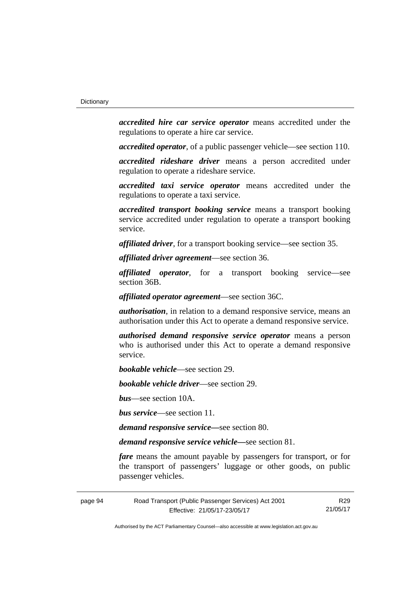*accredited hire car service operator* means accredited under the regulations to operate a hire car service.

*accredited operator*, of a public passenger vehicle—see section 110.

*accredited rideshare driver* means a person accredited under regulation to operate a rideshare service.

*accredited taxi service operator* means accredited under the regulations to operate a taxi service.

*accredited transport booking service* means a transport booking service accredited under regulation to operate a transport booking service.

*affiliated driver*, for a transport booking service—see section 35.

*affiliated driver agreement*—see section 36.

*affiliated operator*, for a transport booking service—see section 36B.

*affiliated operator agreement*—see section 36C.

*authorisation*, in relation to a demand responsive service, means an authorisation under this Act to operate a demand responsive service.

*authorised demand responsive service operator* means a person who is authorised under this Act to operate a demand responsive service.

*bookable vehicle*—see section 29.

*bookable vehicle driver*—see section 29.

*bus*—see section 10A.

*bus service*—see section 11.

*demand responsive service—*see section 80.

*demand responsive service vehicle—*see section 81.

*fare* means the amount payable by passengers for transport, or for the transport of passengers' luggage or other goods, on public passenger vehicles.

page 94 Road Transport (Public Passenger Services) Act 2001 Effective: 21/05/17-23/05/17

R29 21/05/17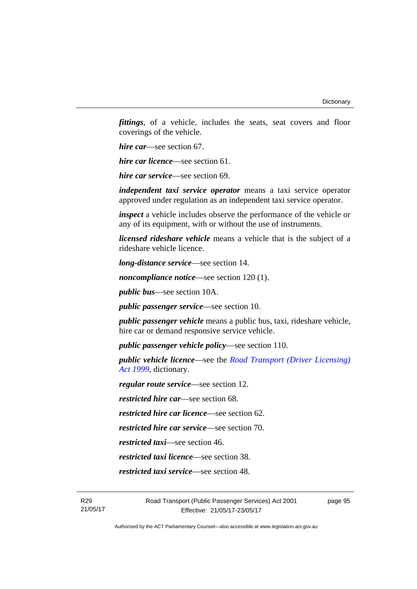*fittings*, of a vehicle, includes the seats, seat covers and floor coverings of the vehicle.

*hire car*—see section 67.

*hire car licence*—see section 61.

*hire car service*—see section 69.

*independent taxi service operator* means a taxi service operator approved under regulation as an independent taxi service operator.

*inspect* a vehicle includes observe the performance of the vehicle or any of its equipment, with or without the use of instruments.

*licensed rideshare vehicle* means a vehicle that is the subject of a rideshare vehicle licence.

*long-distance service*—see section 14.

*noncompliance notice*—see section 120 (1).

*public bus*—see section 10A.

*public passenger service*—see section 10.

*public passenger vehicle* means a public bus, taxi, rideshare vehicle, hire car or demand responsive service vehicle.

*public passenger vehicle policy*—see section 110.

*public vehicle licence*—see the *[Road Transport \(Driver Licensing\)](http://www.legislation.act.gov.au/a/1999-78)  [Act 1999](http://www.legislation.act.gov.au/a/1999-78)*, dictionary.

*regular route service*—see section 12.

*restricted hire car*—see section 68.

*restricted hire car licence*—see section 62.

*restricted hire car service*—see section 70.

*restricted taxi*—see section 46.

*restricted taxi licence*—see section 38.

*restricted taxi service*—see section 48.

page 95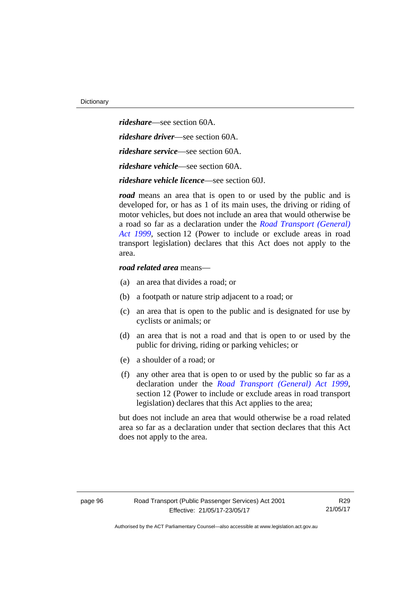*rideshare*—see section 60A. *rideshare driver*—see section 60A. *rideshare service*—see section 60A. *rideshare vehicle*—see section 60A. *rideshare vehicle licence*—see section 60J.

*road* means an area that is open to or used by the public and is developed for, or has as 1 of its main uses, the driving or riding of motor vehicles, but does not include an area that would otherwise be a road so far as a declaration under the *[Road Transport \(General\)](http://www.legislation.act.gov.au/a/1999-77)  [Act 1999](http://www.legislation.act.gov.au/a/1999-77)*, section 12 (Power to include or exclude areas in road transport legislation) declares that this Act does not apply to the area.

#### *road related area* means—

- (a) an area that divides a road; or
- (b) a footpath or nature strip adjacent to a road; or
- (c) an area that is open to the public and is designated for use by cyclists or animals; or
- (d) an area that is not a road and that is open to or used by the public for driving, riding or parking vehicles; or
- (e) a shoulder of a road; or
- (f) any other area that is open to or used by the public so far as a declaration under the *[Road Transport \(General\) Act 1999](http://www.legislation.act.gov.au/a/1999-77)*, section 12 (Power to include or exclude areas in road transport legislation) declares that this Act applies to the area;

but does not include an area that would otherwise be a road related area so far as a declaration under that section declares that this Act does not apply to the area.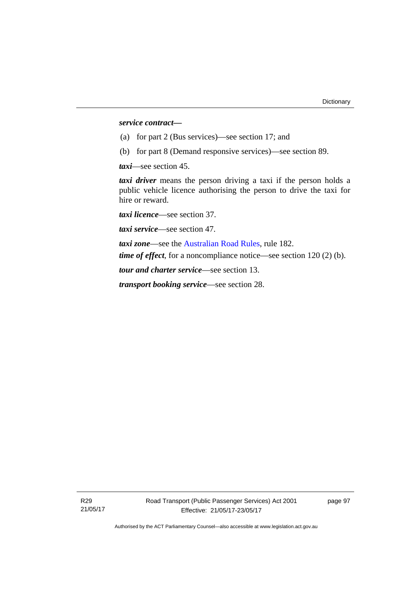#### *service contract—*

- (a) for part 2 (Bus services)—see section 17; and
- (b) for part 8 (Demand responsive services)—see section 89.

*taxi*—see section 45.

*taxi driver* means the person driving a taxi if the person holds a public vehicle licence authorising the person to drive the taxi for hire or reward.

*taxi licence*—see section 37.

*taxi service*—see section 47.

*taxi zone*—see the [Australian Road Rules](http://www.legislation.act.gov.au//ni/db_37271/default.asp), rule 182. *time of effect*, for a noncompliance notice—see section 120 (2) (b).

*tour and charter service*—see section 13.

*transport booking service*—see section 28.

page 97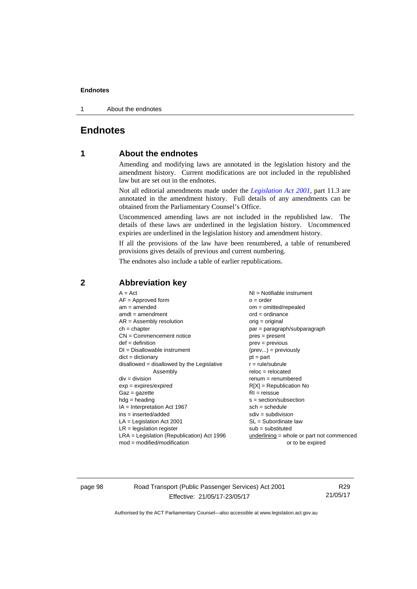#### **Endnotes**

1 About the endnotes

## **Endnotes**

## **1 About the endnotes**

Amending and modifying laws are annotated in the legislation history and the amendment history. Current modifications are not included in the republished law but are set out in the endnotes.

Not all editorial amendments made under the *[Legislation Act 2001](http://www.legislation.act.gov.au/a/2001-14/default.asp)*, part 11.3 are annotated in the amendment history. Full details of any amendments can be obtained from the Parliamentary Counsel's Office.

Uncommenced amending laws are not included in the republished law. The details of these laws are underlined in the legislation history. Uncommenced expiries are underlined in the legislation history and amendment history.

If all the provisions of the law have been renumbered, a table of renumbered provisions gives details of previous and current numbering.

The endnotes also include a table of earlier republications.

### **2 Abbreviation key**

page 98 Road Transport (Public Passenger Services) Act 2001 Effective: 21/05/17-23/05/17

R29 21/05/17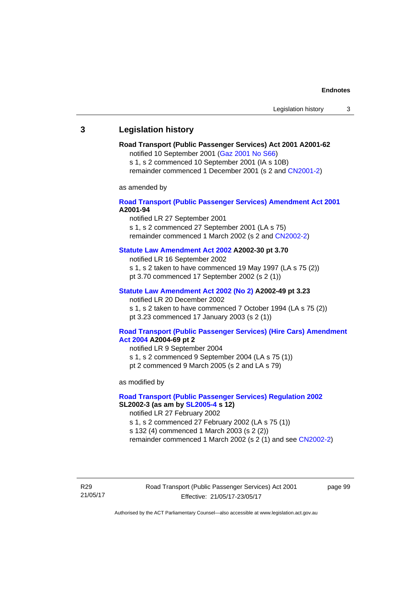## **3 Legislation history**

## **Road Transport (Public Passenger Services) Act 2001 A2001-62**

notified 10 September 2001 [\(Gaz 2001 No S66\)](http://www.legislation.act.gov.au/gaz/2001-S66/default.asp)

s 1, s 2 commenced 10 September 2001 (IA s 10B) remainder commenced 1 December 2001 (s 2 and [CN2001-2\)](http://www.legislation.act.gov.au/cn/2001-2/default.asp)

as amended by

## **[Road Transport \(Public Passenger Services\) Amendment Act 2001](http://www.legislation.act.gov.au/a/2001-94) A2001-94**

notified LR 27 September 2001

s 1, s 2 commenced 27 September 2001 (LA s 75) remainder commenced 1 March 2002 (s 2 and [CN2002-2\)](http://www.legislation.act.gov.au/cn/2002-2/default.asp)

## **[Statute Law Amendment Act 2002](http://www.legislation.act.gov.au/a/2002-30) A2002-30 pt 3.70**

notified LR 16 September 2002

- s 1, s 2 taken to have commenced 19 May 1997 (LA s 75 (2))
- pt 3.70 commenced 17 September 2002 (s 2 (1))

## **[Statute Law Amendment Act 2002 \(No 2\)](http://www.legislation.act.gov.au/a/2002-49) A2002-49 pt 3.23**

notified LR 20 December 2002 s 1, s 2 taken to have commenced 7 October 1994 (LA s 75 (2)) pt 3.23 commenced 17 January 2003 (s 2 (1))

#### **[Road Transport \(Public Passenger Services\) \(Hire Cars\) Amendment](http://www.legislation.act.gov.au/a/2004-69)  [Act 2004](http://www.legislation.act.gov.au/a/2004-69) A2004-69 pt 2**

notified LR 9 September 2004 s 1, s 2 commenced 9 September 2004 (LA s 75 (1)) pt 2 commenced 9 March 2005 (s 2 and LA s 79)

as modified by

## **[Road Transport \(Public Passenger Services\) Regulation 2002](http://www.legislation.act.gov.au/sl/2002-3) SL2002-3 (as am by [SL2005-4](http://www.legislation.act.gov.au/sl/2005-4) s 12)**

notified LR 27 February 2002

s 1, s 2 commenced 27 February 2002 (LA s 75 (1))

s 132 (4) commenced 1 March 2003 (s 2 (2))

remainder commenced 1 March 2002 (s 2 (1) and see [CN2002-2](http://www.legislation.act.gov.au/cn/2002-2/default.asp))

R29 21/05/17 Road Transport (Public Passenger Services) Act 2001 Effective: 21/05/17-23/05/17

page 99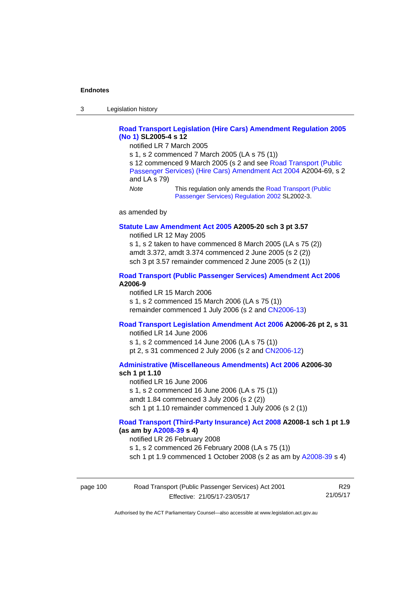3 Legislation history

## **[Road Transport Legislation \(Hire Cars\) Amendment Regulation 2005](http://www.legislation.act.gov.au/sl/2005-4)  [\(No 1\)](http://www.legislation.act.gov.au/sl/2005-4) SL2005-4 s 12**

notified LR 7 March 2005

s 1, s 2 commenced 7 March 2005 (LA s 75 (1))

s 12 commenced 9 March 2005 (s 2 and see [Road Transport \(Public](http://www.legislation.act.gov.au/a/2004-69)  [Passenger Services\) \(Hire Cars\) Amendment Act 2004](http://www.legislation.act.gov.au/a/2004-69) A2004-69, s 2 and LA s 79)

*Note* This regulation only amends the [Road Transport \(Public](http://www.legislation.act.gov.au/sl/2002-3)  [Passenger Services\) Regulation 2002](http://www.legislation.act.gov.au/sl/2002-3) SL2002-3.

as amended by

#### **[Statute Law Amendment Act 2005](http://www.legislation.act.gov.au/a/2005-20) A2005-20 sch 3 pt 3.57**

notified LR 12 May 2005

s 1, s 2 taken to have commenced 8 March 2005 (LA s 75 (2)) amdt 3.372, amdt 3.374 commenced 2 June 2005 (s 2 (2)) sch 3 pt 3.57 remainder commenced 2 June 2005 (s 2 (1))

## **[Road Transport \(Public Passenger Services\) Amendment Act 2006](http://www.legislation.act.gov.au/a/2006-9) A2006-9**

notified LR 15 March 2006 s 1, s 2 commenced 15 March 2006 (LA s 75 (1)) remainder commenced 1 July 2006 (s 2 and [CN2006-13](http://www.legislation.act.gov.au/cn/2006-13/default.asp))

## **[Road Transport Legislation Amendment Act 2006](http://www.legislation.act.gov.au/a/2006-26) A2006-26 pt 2, s 31**

notified LR 14 June 2006 s 1, s 2 commenced 14 June 2006 (LA s 75 (1)) pt 2, s 31 commenced 2 July 2006 (s 2 and [CN2006-12](http://www.legislation.act.gov.au/cn/2006-12/default.asp))

**[Administrative \(Miscellaneous Amendments\) Act 2006](http://www.legislation.act.gov.au/a/2006-30) A2006-30 sch 1 pt 1.10** 

notified LR 16 June 2006 s 1, s 2 commenced 16 June 2006 (LA s 75 (1)) amdt 1.84 commenced 3 July 2006 (s 2 (2)) sch 1 pt 1.10 remainder commenced 1 July 2006 (s 2 (1))

## **[Road Transport \(Third-Party Insurance\) Act 2008](http://www.legislation.act.gov.au/a/2008-1) A2008-1 sch 1 pt 1.9 (as am by [A2008-39](http://www.legislation.act.gov.au/a/2008-39) s 4)**

notified LR 26 February 2008

s 1, s 2 commenced 26 February 2008 (LA s 75 (1))

sch 1 pt 1.9 commenced 1 October 2008 (s 2 as am by [A2008-39](http://www.legislation.act.gov.au/a/2008-39) s 4)

| page 100 | Road Transport (Public Passenger Services) Act 2001 | R29      |
|----------|-----------------------------------------------------|----------|
|          | Effective: 21/05/17-23/05/17                        | 21/05/17 |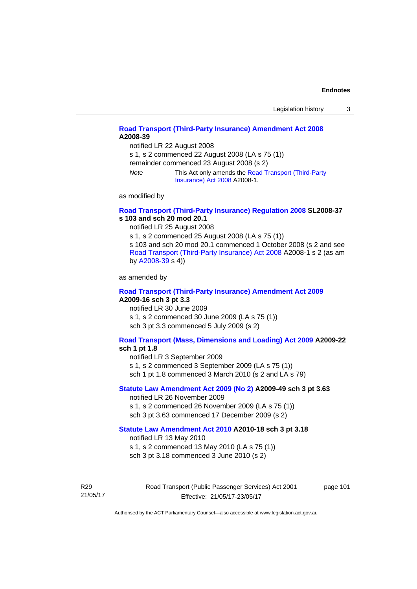## **[Road Transport \(Third-Party Insurance\) Amendment Act 2008](http://www.legislation.act.gov.au/a/2008-39) A2008-39**

notified LR 22 August 2008

s 1, s 2 commenced 22 August 2008 (LA s 75 (1))

remainder commenced 23 August 2008 (s 2)

*Note* This Act only amends the [Road Transport \(Third-Party](http://www.legislation.act.gov.au/a/2008-1)  [Insurance\) Act 2008](http://www.legislation.act.gov.au/a/2008-1) A2008-1.

as modified by

## **[Road Transport \(Third-Party Insurance\) Regulation 2008](http://www.legislation.act.gov.au/sl/2008-37) SL2008-37 s 103 and sch 20 mod 20.1**

notified LR 25 August 2008

s 1, s 2 commenced 25 August 2008 (LA s 75 (1)) s 103 and sch 20 mod 20.1 commenced 1 October 2008 (s 2 and see [Road Transport \(Third-Party Insurance\) Act 2008](http://www.legislation.act.gov.au/a/2008-1) A2008-1 s 2 (as am by [A2008-39](http://www.legislation.act.gov.au/a/2008-39) s 4))

as amended by

#### **[Road Transport \(Third-Party Insurance\) Amendment Act 2009](http://www.legislation.act.gov.au/a/2009-16) A2009-16 sch 3 pt 3.3**

notified LR 30 June 2009 s 1, s 2 commenced 30 June 2009 (LA s 75 (1)) sch 3 pt 3.3 commenced 5 July 2009 (s 2)

## **[Road Transport \(Mass, Dimensions and Loading\) Act 2009](http://www.legislation.act.gov.au/a/2009-22/default.asp) A2009-22**

## **sch 1 pt 1.8**

notified LR 3 September 2009

s 1, s 2 commenced 3 September 2009 (LA s 75 (1))

sch 1 pt 1.8 commenced 3 March 2010 (s 2 and LA s 79)

## **[Statute Law Amendment Act 2009 \(No 2\)](http://www.legislation.act.gov.au/a/2009-49) A2009-49 sch 3 pt 3.63**

notified LR 26 November 2009 s 1, s 2 commenced 26 November 2009 (LA s 75 (1)) sch 3 pt 3.63 commenced 17 December 2009 (s 2)

#### **[Statute Law Amendment Act 2010](http://www.legislation.act.gov.au/a/2010-18) A2010-18 sch 3 pt 3.18**

notified LR 13 May 2010

s 1, s 2 commenced 13 May 2010 (LA s 75 (1))

sch 3 pt 3.18 commenced 3 June 2010 (s 2)

R29 21/05/17 Road Transport (Public Passenger Services) Act 2001 Effective: 21/05/17-23/05/17

page 101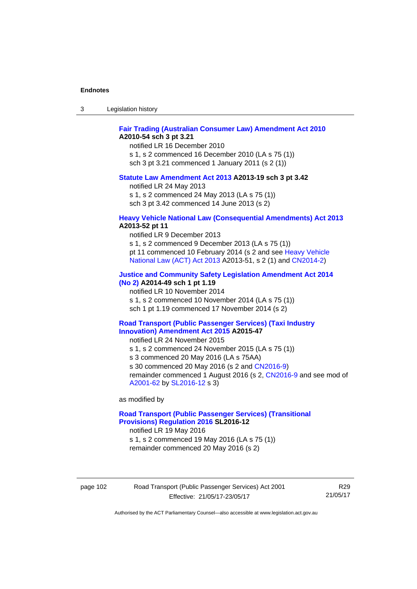| -3 | Legislation history |  |
|----|---------------------|--|
|----|---------------------|--|

## **[Fair Trading \(Australian Consumer Law\) Amendment Act 2010](http://www.legislation.act.gov.au/a/2010-54) A2010-54 sch 3 pt 3.21**

notified LR 16 December 2010 s 1, s 2 commenced 16 December 2010 (LA s 75 (1)) sch 3 pt 3.21 commenced 1 January 2011 (s 2 (1))

#### **[Statute Law Amendment Act 2013](http://www.legislation.act.gov.au/a/2013-19) A2013-19 sch 3 pt 3.42**

notified LR 24 May 2013

s 1, s 2 commenced 24 May 2013 (LA s 75 (1))

sch 3 pt 3.42 commenced 14 June 2013 (s 2)

#### **[Heavy Vehicle National Law \(Consequential Amendments\) Act 2013](http://www.legislation.act.gov.au/a/2013-52) A2013-52 pt 11**

notified LR 9 December 2013

s 1, s 2 commenced 9 December 2013 (LA s 75 (1)) pt 11 commenced 10 February 2014 (s 2 and see [Heavy Vehicle](http://www.legislation.act.gov.au/a/2013-51/default.asp)  [National Law \(ACT\) Act 2013](http://www.legislation.act.gov.au/a/2013-51/default.asp) A2013-51, s 2 (1) and [CN2014-2](http://www.legislation.act.gov.au/cn/2014-2/default.asp))

## **[Justice and Community Safety Legislation Amendment Act 2014](http://www.legislation.act.gov.au/a/2014-49)**

**[\(No 2\)](http://www.legislation.act.gov.au/a/2014-49) A2014-49 sch 1 pt 1.19** 

notified LR 10 November 2014

s 1, s 2 commenced 10 November 2014 (LA s 75 (1))

sch 1 pt 1.19 commenced 17 November 2014 (s 2)

#### **[Road Transport \(Public Passenger Services\) \(Taxi Industry](http://www.legislation.act.gov.au/a/2015-47/default.asp)  [Innovation\) Amendment Act 2015](http://www.legislation.act.gov.au/a/2015-47/default.asp) A2015-47**

notified LR 24 November 2015

s 1, s 2 commenced 24 November 2015 (LA s 75 (1))

s 3 commenced 20 May 2016 (LA s 75AA)

s 30 commenced 20 May 2016 (s 2 and [CN2016-9](http://www.legislation.act.gov.au/cn/2016-9/default.asp))

remainder commenced 1 August 2016 (s 2, [CN2016-9](http://www.legislation.act.gov.au/cn/2016-9/default.asp) and see mod of [A2001-62](http://www.legislation.act.gov.au/a/2001-62/default.asp) by [SL2016-12](http://www.legislation.act.gov.au/sl/2016-12/default.asp) s 3)

as modified by

## **[Road Transport \(Public Passenger Services\) \(Transitional](http://www.legislation.act.gov.au/sl/2016-12/default.asp)  [Provisions\) Regulation 2016](http://www.legislation.act.gov.au/sl/2016-12/default.asp) SL2016-12**

notified LR 19 May 2016

s 1, s 2 commenced 19 May 2016 (LA s 75 (1)) remainder commenced 20 May 2016 (s 2)

page 102 Road Transport (Public Passenger Services) Act 2001 Effective: 21/05/17-23/05/17

R29 21/05/17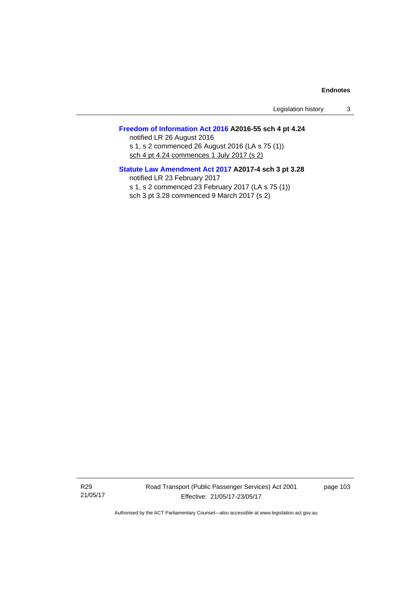Legislation history 3

## **[Freedom of Information Act 2016](http://www.legislation.act.gov.au/a/2016-55/default.asp) A2016-55 sch 4 pt 4.24**

notified LR 26 August 2016 s 1, s 2 commenced 26 August 2016 (LA s 75 (1)) sch 4 pt 4.24 commences 1 July 2017 (s 2)

## **[Statute Law Amendment Act 2017](http://www.legislation.act.gov.au/a/2017-4/default.asp) A2017-4 sch 3 pt 3.28**

notified LR 23 February 2017 s 1, s 2 commenced 23 February 2017 (LA s 75 (1)) sch 3 pt 3.28 commenced 9 March 2017 (s 2)

R29 21/05/17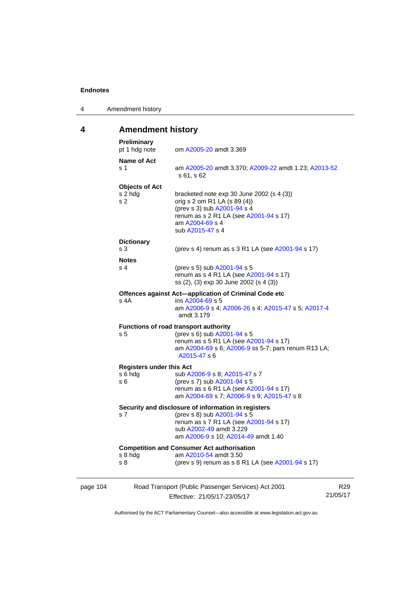4 Amendment history

## **4 Amendment history**

| page 104 |                                                    | Road Transport (Public Passenger Services) Act 2001<br>Effective: 21/05/17-23/05/17                                                                                                            | R29<br>21/05/17 |
|----------|----------------------------------------------------|------------------------------------------------------------------------------------------------------------------------------------------------------------------------------------------------|-----------------|
|          | s 8 hdg<br>s 8                                     | <b>Competition and Consumer Act authorisation</b><br>am A2010-54 amdt 3.50<br>(prev s 9) renum as s 8 R1 LA (see A2001-94 s 17)                                                                |                 |
|          | s <sub>7</sub>                                     | Security and disclosure of information in registers<br>(prev s 8) sub A2001-94 s 5<br>renum as s 7 R1 LA (see A2001-94 s 17)<br>sub A2002-49 amdt 3.229<br>am A2006-9 s 10; A2014-49 amdt 1.40 |                 |
|          | <b>Registers under this Act</b><br>s 6 hda<br>s 6  | sub A2006-9 s 8; A2015-47 s 7<br>(prev s 7) sub A2001-94 s 5<br>renum as s 6 R1 LA (see A2001-94 s 17)<br>am A2004-69 s 7; A2006-9 s 9; A2015-47 s 8                                           |                 |
|          | s <sub>5</sub>                                     | <b>Functions of road transport authority</b><br>(prev s 6) sub A2001-94 s 5<br>renum as s 5 R1 LA (see A2001-94 s 17)<br>am A2004-69 s 6; A2006-9 ss 5-7; pars renum R13 LA;<br>A2015-47 s 6   |                 |
|          | s 4A                                               | Offences against Act-application of Criminal Code etc<br>ins A2004-69 s 5<br>am A2006-9 s 4; A2006-26 s 4; A2015-47 s 5; A2017-4<br>amdt 3.179                                                 |                 |
|          | <b>Notes</b><br>s 4                                | (prev s 5) sub A2001-94 s 5<br>renum as s 4 R1 LA (see A2001-94 s 17)<br>ss (2), (3) exp 30 June 2002 (s 4 (3))                                                                                |                 |
|          | <b>Dictionary</b><br>s <sub>3</sub>                | (prev s 4) renum as s 3 R1 LA (see A2001-94 s 17)                                                                                                                                              |                 |
|          | <b>Objects of Act</b><br>s 2 hdg<br>s <sub>2</sub> | bracketed note exp 30 June 2002 (s 4 (3))<br>orig s 2 om R1 LA (s 89 (4))<br>(prev s 3) sub A2001-94 s 4<br>renum as s 2 R1 LA (see A2001-94 s 17)<br>am A2004-69 s 4<br>sub A2015-47 s 4      |                 |
|          | Name of Act<br>s 1                                 | am A2005-20 amdt 3.370; A2009-22 amdt 1.23; A2013-52<br>s 61, s 62                                                                                                                             |                 |
|          | <b>Preliminary</b><br>pt 1 hdg note                | om A2005-20 amdt 3.369                                                                                                                                                                         |                 |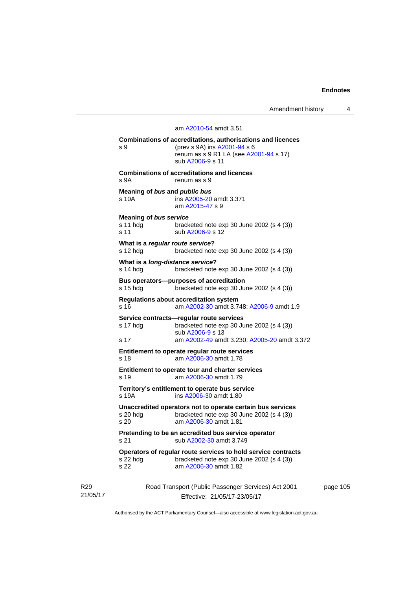Amendment history 4

## Road Transport (Public Passenger Services) Act 2001 am [A2010-54](http://www.legislation.act.gov.au/a/2010-54) amdt 3.51 **Combinations of accreditations, authorisations and licences**  s 9 (prev s 9A) ins [A2001-94](http://www.legislation.act.gov.au/a/2001-94) s 6 renum as s 9 R1 LA (see [A2001-94](http://www.legislation.act.gov.au/a/2001-94) s 17) sub [A2006-9](http://www.legislation.act.gov.au/a/2006-9) s 11 **Combinations of accreditations and licences**  s 9A renum as s 9 **Meaning of** *bus* **and** *public bus* s 10A ins [A2005-20](http://www.legislation.act.gov.au/a/2005-20) amdt 3.371 am [A2015-47](http://www.legislation.act.gov.au/a/2015-47) s 9 **Meaning of** *bus service* s 11 hdg bracketed note exp 30 June 2002 (s 4 (3)) s 11 sub [A2006-9](http://www.legislation.act.gov.au/a/2006-9) s 12 **What is a** *regular route service***?**  s 12 hdg bracketed note exp 30 June 2002 (s 4 (3)) **What is a** *long-distance service***?**  s 14 hdg bracketed note exp 30 June 2002 (s 4 (3)) **Bus operators—purposes of accreditation**  s 15 hdg bracketed note exp 30 June 2002 (s 4 (3)) **Regulations about accreditation system**  s 16 am [A2002-30](http://www.legislation.act.gov.au/a/2002-30) amdt 3.748; [A2006-9](http://www.legislation.act.gov.au/a/2006-9) amdt 1.9 **Service contracts—regular route services**  s 17 hdg bracketed note exp 30 June 2002 (s 4 (3)) sub [A2006-9](http://www.legislation.act.gov.au/a/2006-9) s 13 s 17 am [A2002-49](http://www.legislation.act.gov.au/a/2002-49) amdt 3.230; [A2005-20](http://www.legislation.act.gov.au/a/2005-20) amdt 3.372 **Entitlement to operate regular route services**  s 18 am [A2006-30](http://www.legislation.act.gov.au/a/2006-30) amdt 1.78 **Entitlement to operate tour and charter services**  s 19 am [A2006-30](http://www.legislation.act.gov.au/a/2006-30) amdt 1.79 **Territory's entitlement to operate bus service**  s 19A ins [A2006-30](http://www.legislation.act.gov.au/a/2006-30) amdt 1.80 **Unaccredited operators not to operate certain bus services**  bracketed note exp 30 June 2002 (s  $4$  (3)) s 20 am [A2006-30](http://www.legislation.act.gov.au/a/2006-30) amdt 1.81 **Pretending to be an accredited bus service operator**  s 21 sub [A2002-30](http://www.legislation.act.gov.au/a/2002-30) amdt 3.749 **Operators of regular route services to hold service contracts**  s 22 hdg bracketed note exp 30 June 2002 (s 4 (3)) s 22 am [A2006-30](http://www.legislation.act.gov.au/a/2006-30) amdt 1.82

R29 21/05/17

Effective: 21/05/17-23/05/17

page 105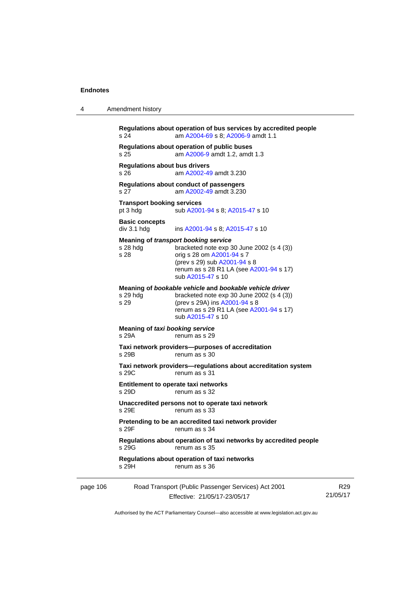4 Amendment history

|          | s 24                                          | Regulations about operation of bus services by accredited people<br>am A2004-69 s 8; A2006-9 amdt 1.1                                                                                                                   |                 |
|----------|-----------------------------------------------|-------------------------------------------------------------------------------------------------------------------------------------------------------------------------------------------------------------------------|-----------------|
|          | s 25                                          | Regulations about operation of public buses<br>am A2006-9 amdt 1.2, amdt 1.3                                                                                                                                            |                 |
|          | <b>Regulations about bus drivers</b><br>s 26  | am A2002-49 amdt 3.230                                                                                                                                                                                                  |                 |
|          | s 27                                          | Regulations about conduct of passengers<br>am A2002-49 amdt 3.230                                                                                                                                                       |                 |
|          | <b>Transport booking services</b><br>pt 3 hdg | sub A2001-94 s 8; A2015-47 s 10                                                                                                                                                                                         |                 |
|          | <b>Basic concepts</b><br>div 3.1 hdg          | ins A2001-94 s 8; A2015-47 s 10                                                                                                                                                                                         |                 |
|          | s 28 hdg<br>s 28                              | <b>Meaning of transport booking service</b><br>bracketed note $exp 30$ June 2002 (s 4 (3))<br>orig s 28 om A2001-94 s 7<br>(prev s 29) sub A2001-94 s 8<br>renum as s 28 R1 LA (see A2001-94 s 17)<br>sub A2015-47 s 10 |                 |
|          | s 29 hdg<br>s 29                              | Meaning of bookable vehicle and bookable vehicle driver<br>bracketed note $exp 30$ June 2002 (s 4 (3))<br>(prev s 29A) ins A2001-94 s 8<br>renum as s 29 R1 LA (see A2001-94 s 17)<br>sub A2015-47 s 10                 |                 |
|          | Meaning of taxi booking service<br>s 29A      | renum as s 29                                                                                                                                                                                                           |                 |
|          | s 29B                                         | Taxi network providers--purposes of accreditation<br>renum as s 30                                                                                                                                                      |                 |
|          | s 29C                                         | Taxi network providers-regulations about accreditation system<br>renum as s 31                                                                                                                                          |                 |
|          | s 29D                                         | Entitlement to operate taxi networks<br>renum as s 32                                                                                                                                                                   |                 |
|          | s 29E                                         | Unaccredited persons not to operate taxi network<br>renum as s 33                                                                                                                                                       |                 |
|          | s 29F                                         | Pretending to be an accredited taxi network provider<br>renum as s 34                                                                                                                                                   |                 |
|          | s 29G                                         | Regulations about operation of taxi networks by accredited people<br>renum as s 35                                                                                                                                      |                 |
|          | s 29H                                         | Regulations about operation of taxi networks<br>renum as s 36                                                                                                                                                           |                 |
| page 106 |                                               | Road Transport (Public Passenger Services) Act 2001<br>Effective: 21/05/17-23/05/17                                                                                                                                     | R29<br>21/05/17 |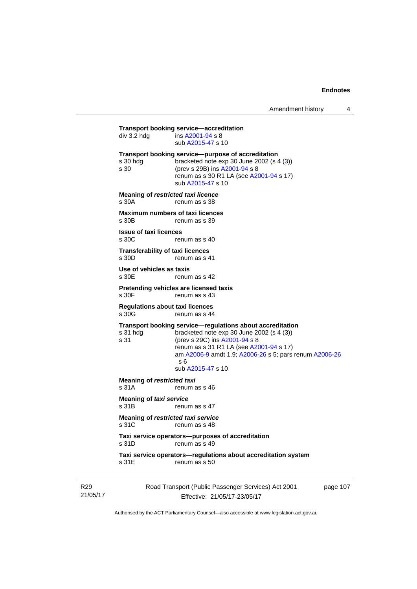**Transport booking service—accreditation**<br>div 3.2 hdg ins A2001-94 s 8  $\overline{a}$  ins [A2001-94](http://www.legislation.act.gov.au/a/2001-94) s 8 sub [A2015-47](http://www.legislation.act.gov.au/a/2015-47) s 10 **Transport booking service—purpose of accreditation**  s 30 hdg bracketed note exp 30 June 2002 (s 4 (3)) s 30 (prev s 29B) ins [A2001-94](http://www.legislation.act.gov.au/a/2001-94) s 8 renum as s 30 R1 LA (see [A2001-94](http://www.legislation.act.gov.au/a/2001-94) s 17) sub [A2015-47](http://www.legislation.act.gov.au/a/2015-47) s 10 **Meaning of** *restricted taxi licence*  s 30A renum as s 38 **Maximum numbers of taxi licences**<br>s 30B renum as s 39 renum as s 39 **Issue of taxi licences**  s 30C renum as s 40 **Transferability of taxi licences**  s 30D renum as s 41 **Use of vehicles as taxis**  s 30E renum as s 42 **Pretending vehicles are licensed taxis**  renum as s 43 **Regulations about taxi licences**  s 30G renum as s 44 **Transport booking service—regulations about accreditation**  s 31 hdg bracketed note exp 30 June 2002 (s 4 (3))<br>s 31 (prev s 29C) ins  $\frac{\text{A2001-94 s}}{8}$ (prev s 29C) ins [A2001-94](http://www.legislation.act.gov.au/a/2001-94) s 8 renum as s 31 R1 LA (see [A2001-94](http://www.legislation.act.gov.au/a/2001-94) s 17) am [A2006-9](http://www.legislation.act.gov.au/a/2006-9) amdt 1.9; [A2006-26](http://www.legislation.act.gov.au/a/2006-26) s 5; pars renum [A2006-26](http://www.legislation.act.gov.au/a/2006-26) s 6 sub [A2015-47](http://www.legislation.act.gov.au/a/2015-47) s 10 **Meaning of** *restricted taxi*<br>s 31A renum a renum as s 46 **Meaning of** *taxi service*  s 31B renum as s 47 **Meaning of** *restricted taxi service*  s 31C renum as s 48 **Taxi service operators—purposes of accreditation**  s 31D renum as s 49 **Taxi service operators—regulations about accreditation system**  s 31E renum as s 50

R29 21/05/17 Road Transport (Public Passenger Services) Act 2001 Effective: 21/05/17-23/05/17

page 107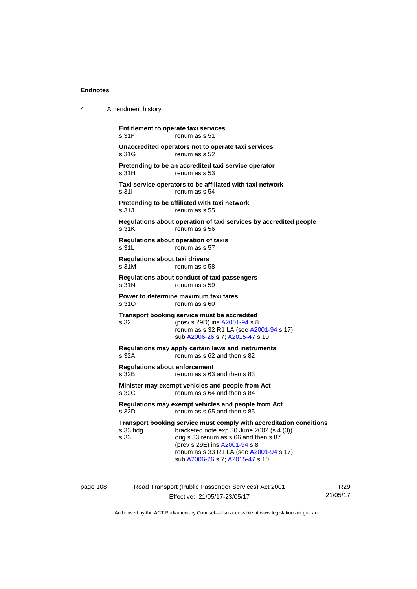| 4        | Amendment history                                                                                                                                                                                                                                                                            |
|----------|----------------------------------------------------------------------------------------------------------------------------------------------------------------------------------------------------------------------------------------------------------------------------------------------|
|          | <b>Entitlement to operate taxi services</b><br>s 31F<br>renum as s 51                                                                                                                                                                                                                        |
|          | Unaccredited operators not to operate taxi services<br>s 31G<br>renum as s 52                                                                                                                                                                                                                |
|          | Pretending to be an accredited taxi service operator<br>s 31H<br>renum as s 53                                                                                                                                                                                                               |
|          | Taxi service operators to be affiliated with taxi network<br>s 31l<br>renum as s 54                                                                                                                                                                                                          |
|          | Pretending to be affiliated with taxi network<br>s 31J<br>renum as s 55                                                                                                                                                                                                                      |
|          | Regulations about operation of taxi services by accredited people<br>s 31K<br>renum as s 56                                                                                                                                                                                                  |
|          | <b>Regulations about operation of taxis</b><br>s 31L<br>renum as s 57                                                                                                                                                                                                                        |
|          | Regulations about taxi drivers<br>s 31M<br>renum as s 58                                                                                                                                                                                                                                     |
|          | Regulations about conduct of taxi passengers<br>s 31N<br>renum as s 59                                                                                                                                                                                                                       |
|          | Power to determine maximum taxi fares<br>s 31O<br>renum as s 60                                                                                                                                                                                                                              |
|          | Transport booking service must be accredited<br>s 32<br>(prev s 29D) ins A2001-94 s 8<br>renum as s 32 R1 LA (see A2001-94 s 17)<br>sub A2006-26 s 7; A2015-47 s 10                                                                                                                          |
|          | Regulations may apply certain laws and instruments<br>s 32A<br>renum as s 62 and then s 82                                                                                                                                                                                                   |
|          | <b>Regulations about enforcement</b><br>s 32B<br>renum as s 63 and then s 83                                                                                                                                                                                                                 |
|          | Minister may exempt vehicles and people from Act<br>s 32C<br>renum as s 64 and then s 84                                                                                                                                                                                                     |
|          | Regulations may exempt vehicles and people from Act<br>s 32D<br>renum as s 65 and then s 85                                                                                                                                                                                                  |
|          | Transport booking service must comply with accreditation conditions<br>bracketed note exp 30 June 2002 (s 4 (3))<br>s 33 hdg<br>s 33<br>orig s 33 renum as s 66 and then s 87<br>(prev s 29E) ins A2001-94 s 8<br>renum as s 33 R1 LA (see A2001-94 s 17)<br>sub A2006-26 s 7; A2015-47 s 10 |
| page 108 | Road Transport (Public Passenger Services) Act 2001                                                                                                                                                                                                                                          |

Effective: 21/05/17-23/05/17

R29 21/05/17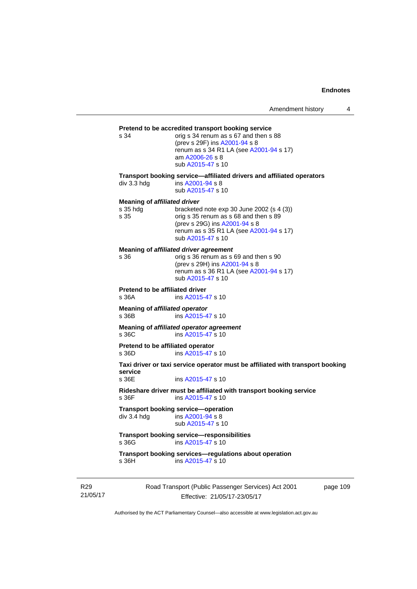# **Pretend to be accredited transport booking service**<br>s 34 corig s 34 renum as s 67 and then s

orig s 34 renum as s 67 and then s 88 (prev s 29F) ins [A2001-94](http://www.legislation.act.gov.au/a/2001-94) s 8 renum as s 34 R1 LA (see [A2001-94](http://www.legislation.act.gov.au/a/2001-94) s 17) am [A2006-26](http://www.legislation.act.gov.au/a/2006-26) s 8 sub [A2015-47](http://www.legislation.act.gov.au/a/2015-47) s 10

**Transport booking service—affiliated drivers and affiliated operators** 

div 3.3 hdg ins [A2001-94](http://www.legislation.act.gov.au/a/2001-94) s 8 sub [A2015-47](http://www.legislation.act.gov.au/a/2015-47) s 10

#### **Meaning of** *affiliated driver*

| orig s 35 renum as s 68 and then s 89   |
|-----------------------------------------|
|                                         |
| renum as s 35 R1 LA (see A2001-94 s 17) |
|                                         |
|                                         |

**Meaning of** *affiliated driver agreement*

| s 36 | orig s 36 renum as s 69 and then s 90   |
|------|-----------------------------------------|
|      | (prev s 29H) ins A2001-94 s 8           |
|      | renum as s 36 R1 LA (see A2001-94 s 17) |
|      | sub A2015-47 s 10                       |
|      |                                         |

**Pretend to be affiliated driver** 

s 36A ins [A2015-47](http://www.legislation.act.gov.au/a/2015-47) s 10

**Meaning of** *affiliated operator* s 36B ins [A2015-47](http://www.legislation.act.gov.au/a/2015-47) s 10

**Meaning of** *affiliated operator agreement*<br>s 36C ins A2015-47 s 10 ins [A2015-47](http://www.legislation.act.gov.au/a/2015-47) s 10

**Pretend to be affiliated operator**  s 36D ins [A2015-47](http://www.legislation.act.gov.au/a/2015-47) s 10

**Taxi driver or taxi service operator must be affiliated with transport booking service** 

ins [A2015-47](http://www.legislation.act.gov.au/a/2015-47) s 10

**Rideshare driver must be affiliated with transport booking service**  s 36F ins [A2015-47](http://www.legislation.act.gov.au/a/2015-47) s 10

**Transport booking service—operation**<br>div 3.4 hdg ins A2001-94 s 8  $\overline{a}$  ins [A2001-94](http://www.legislation.act.gov.au/a/2001-94) s 8 sub [A2015-47](http://www.legislation.act.gov.au/a/2015-47) s 10

**Transport booking service—responsibilities**  s 36G ins [A2015-47](http://www.legislation.act.gov.au/a/2015-47) s 10

**Transport booking services—regulations about operation**  s 36H ins [A2015-47](http://www.legislation.act.gov.au/a/2015-47) s 10

R29 21/05/17 Road Transport (Public Passenger Services) Act 2001 Effective: 21/05/17-23/05/17

page 109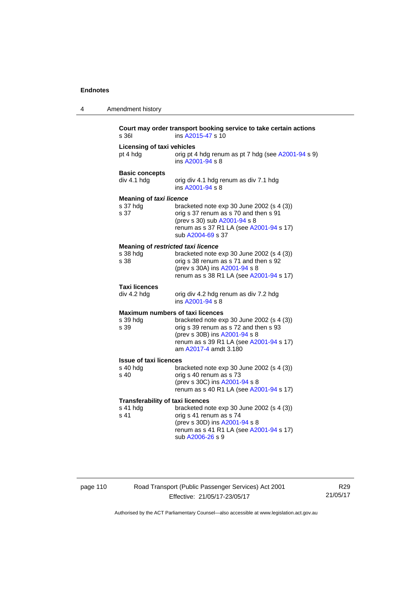| 4 | Amendment history                                           |                                                                                                                                                                                         |
|---|-------------------------------------------------------------|-----------------------------------------------------------------------------------------------------------------------------------------------------------------------------------------|
|   | s 361                                                       | Court may order transport booking service to take certain actions<br>ins A2015-47 s 10                                                                                                  |
|   | <b>Licensing of taxi vehicles</b><br>pt 4 hdg               | orig pt 4 hdg renum as pt 7 hdg (see A2001-94 s 9)<br>ins A2001-94 s 8                                                                                                                  |
|   | <b>Basic concepts</b><br>div 4.1 hdg                        | orig div 4.1 hdg renum as div 7.1 hdg<br>ins A2001-94 s 8                                                                                                                               |
|   | <b>Meaning of taxi licence</b><br>s 37 hdg<br>s 37          | bracketed note exp 30 June 2002 (s 4 (3))<br>orig s 37 renum as s 70 and then s 91<br>(prev s 30) sub A2001-94 s 8<br>renum as s 37 R1 LA (see A2001-94 s 17)<br>sub A2004-69 s 37      |
|   | Meaning of restricted taxi licence<br>s 38 hdg<br>s 38      | bracketed note exp 30 June 2002 (s 4 (3))<br>orig s 38 renum as s 71 and then s 92<br>(prev s 30A) ins A2001-94 s 8<br>renum as s 38 R1 LA (see A2001-94 s 17)                          |
|   | <b>Taxi licences</b><br>div 4.2 hdg                         | orig div 4.2 hdg renum as div 7.2 hdg<br>ins A2001-94 s 8                                                                                                                               |
|   | Maximum numbers of taxi licences<br>s 39 hdg<br>s 39        | bracketed note exp 30 June 2002 (s 4 (3))<br>orig s 39 renum as s 72 and then s 93<br>(prev s 30B) ins A2001-94 s 8<br>renum as s 39 R1 LA (see A2001-94 s 17)<br>am A2017-4 amdt 3.180 |
|   | <b>Issue of taxi licences</b><br>s 40 hdg<br>s 40           | bracketed note $exp 30$ June 2002 (s 4 (3))<br>orig s 40 renum as s 73<br>(prev s 30C) ins A2001-94 s 8<br>renum as s 40 R1 LA (see A2001-94 s 17)                                      |
|   | <b>Transferability of taxi licences</b><br>s 41 hdg<br>s 41 | bracketed note exp 30 June 2002 (s 4 (3))<br>orig s 41 renum as s 74<br>(prev s 30D) ins A2001-94 s 8<br>renum as s 41 R1 LA (see A2001-94 s 17)<br>sub A2006-26 s 9                    |

## page 110 Road Transport (Public Passenger Services) Act 2001 Effective: 21/05/17-23/05/17

R29 21/05/17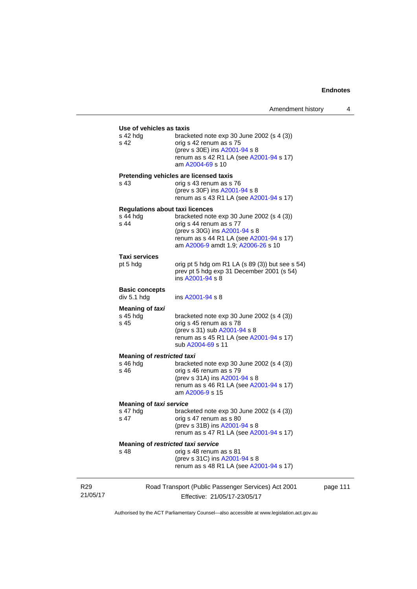page 111

|                 | Use of vehicles as taxis<br>s 42 hda<br>s 42               | bracketed note exp 30 June 2002 (s 4 (3))<br>orig s 42 renum as s 75<br>(prev s 30E) ins A2001-94 s 8                                                                                  |
|-----------------|------------------------------------------------------------|----------------------------------------------------------------------------------------------------------------------------------------------------------------------------------------|
|                 |                                                            | renum as s 42 R1 LA (see A2001-94 s 17)<br>am A2004-69 s 10                                                                                                                            |
|                 | s 43                                                       | Pretending vehicles are licensed taxis<br>orig s 43 renum as s 76<br>(prev s 30F) ins A2001-94 s 8<br>renum as s 43 R1 LA (see A2001-94 s 17)                                          |
|                 | <b>Regulations about taxi licences</b><br>s 44 hdg<br>s 44 | bracketed note exp 30 June 2002 (s 4 (3))<br>orig s 44 renum as s 77<br>(prev s 30G) ins A2001-94 s 8<br>renum as s 44 R1 LA (see A2001-94 s 17)<br>am A2006-9 amdt 1.9; A2006-26 s 10 |
|                 | Taxi services<br>pt 5 hdg                                  | orig pt 5 hdg om R1 LA $(s 89 (3))$ but see s 54)<br>prev pt 5 hdg exp 31 December 2001 (s 54)<br>ins A2001-94 s 8                                                                     |
|                 | <b>Basic concepts</b><br>div 5.1 hdg                       | ins A2001-94 s 8                                                                                                                                                                       |
|                 | Meaning of taxi<br>$s$ 45 hdg<br>s 45                      | bracketed note $exp 30$ June 2002 (s 4 (3))<br>orig s 45 renum as s 78<br>(prev s 31) sub A2001-94 s 8<br>renum as s 45 R1 LA (see A2001-94 s 17)<br>sub A2004-69 s 11                 |
|                 | <b>Meaning of restricted taxi</b><br>s 46 hdg              | bracketed note exp 30 June 2002 (s 4 (3))                                                                                                                                              |
|                 | s 46                                                       | orig s 46 renum as s 79<br>(prev s 31A) ins A2001-94 s 8                                                                                                                               |
|                 |                                                            | renum as s 46 R1 LA (see A2001-94 s 17)<br>am A2006-9 s 15                                                                                                                             |
|                 | <b>Meaning of taxi service</b>                             |                                                                                                                                                                                        |
|                 | s 47 hdg<br>s 47                                           | bracketed note $exp 30$ June 2002 (s 4 (3))<br>orig s 47 renum as s 80                                                                                                                 |
|                 |                                                            | (prev s 31B) ins A2001-94 s 8<br>renum as s 47 R1 LA (see A2001-94 s 17)                                                                                                               |
|                 | Meaning of restricted taxi service                         |                                                                                                                                                                                        |
|                 | s 48                                                       | orig s 48 renum as s 81<br>(prev s 31C) ins A2001-94 s 8                                                                                                                               |
|                 |                                                            | renum as s 48 R1 LA (see A2001-94 s 17)                                                                                                                                                |
| R <sub>29</sub> |                                                            | Road Transport (Public Passenger Services) Act 2001                                                                                                                                    |
| 21/05/17        |                                                            | Effective: 21/05/17-23/05/17                                                                                                                                                           |

Authorised by the ACT Parliamentary Counsel—also accessible at www.legislation.act.gov.au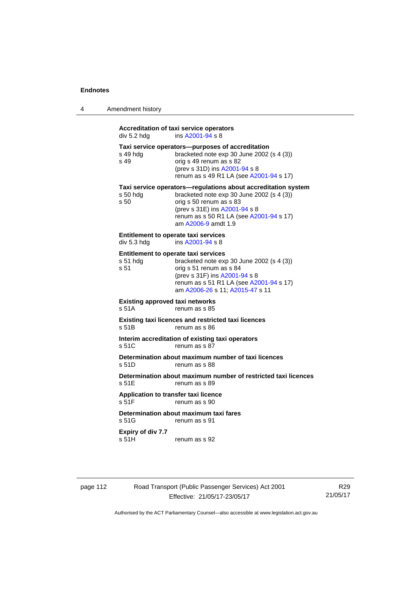| Amendment history |
|-------------------|
|                   |

## **Accreditation of taxi service operators**   $div 5.2$  hdg ins  $A2001 - 94$  s 8 **Taxi service operators—purposes of accreditation**  s 49 hdg bracketed note exp 30 June 2002 (s 4 (3)) s 49 orig s 49 renum as s 82 (prev s 31D) ins [A2001-94](http://www.legislation.act.gov.au/a/2001-94) s 8 renum as s 49 R1 LA (see [A2001-94](http://www.legislation.act.gov.au/a/2001-94) s 17) **Taxi service operators—regulations about accreditation system**<br>s 50 hdg bracketed note exp 30 June 2002 (s 4 (3)) bracketed note exp 30 June 2002 (s 4  $(3)$ ) s 50 orig s 50 renum as s 83 (prev s 31E) ins [A2001-94](http://www.legislation.act.gov.au/a/2001-94) s 8 renum as s 50 R1 LA (see [A2001-94](http://www.legislation.act.gov.au/a/2001-94) s 17) am [A2006-9](http://www.legislation.act.gov.au/a/2006-9) amdt 1.9 **Entitlement to operate taxi services**<br>div 5.3 hdg ins A2001-94 s 8 ins  $A2001 - 94$  s 8 **Entitlement to operate taxi services**  s 51 hdg bracketed note exp 30 June 2002 (s 4 (3)) s 51 orig s 51 renum as s 84 (prev s 31F) ins [A2001-94](http://www.legislation.act.gov.au/a/2001-94) s 8 renum as s 51 R1 LA (see [A2001-94](http://www.legislation.act.gov.au/a/2001-94) s 17) am [A2006-26](http://www.legislation.act.gov.au/a/2006-26) s 11; [A2015-47](http://www.legislation.act.gov.au/a/2015-47) s 11 **Existing approved taxi networks**  s 51A renum as s 85 **Existing taxi licences and restricted taxi licences**  s 51B renum as s 86 **Interim accreditation of existing taxi operators**  s 51C renum as s 87 **Determination about maximum number of taxi licences**  s 51D renum as s 88 **Determination about maximum number of restricted taxi licences**  s 51E renum as s 89 **Application to transfer taxi licence**  s 51F renum as s 90 **Determination about maximum taxi fares**  s 51G renum as s 91 **Expiry of div 7.7**  s 51H renum as s 92

page 112 Road Transport (Public Passenger Services) Act 2001 Effective: 21/05/17-23/05/17

R29 21/05/17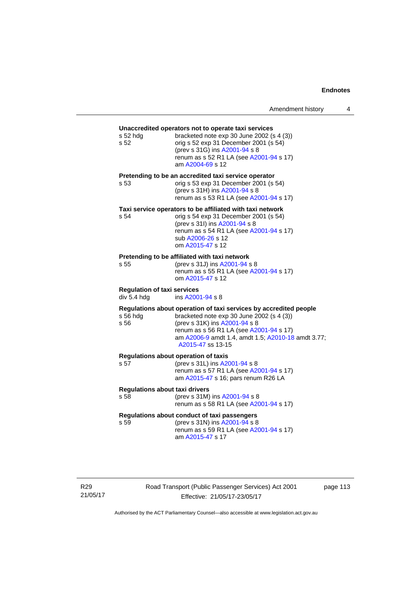## **Unaccredited operators not to operate taxi services**  s 52 hdg bracketed note exp 30 June 2002 (s 4 (3)) s 52 orig s 52 exp 31 December 2001 (s 54) (prev s 31G) ins [A2001-94](http://www.legislation.act.gov.au/a/2001-94) s 8 renum as s 52 R1 LA (see [A2001-94](http://www.legislation.act.gov.au/a/2001-94) s 17) am [A2004-69](http://www.legislation.act.gov.au/a/2004-69) s 12 **Pretending to be an accredited taxi service operator**  s 53 orig s 53 exp 31 December 2001 (s 54) (prev s 31H) ins [A2001-94](http://www.legislation.act.gov.au/a/2001-94) s 8 renum as s 53 R1 LA (see [A2001-94](http://www.legislation.act.gov.au/a/2001-94) s 17) **Taxi service operators to be affiliated with taxi network**  s 54 orig s 54 exp 31 December 2001 (s 54) (prev s 31I) ins [A2001-94](http://www.legislation.act.gov.au/a/2001-94) s 8 renum as s 54 R1 LA (see [A2001-94](http://www.legislation.act.gov.au/a/2001-94) s 17) sub [A2006-26](http://www.legislation.act.gov.au/a/2006-26) s 12 om [A2015-47](http://www.legislation.act.gov.au/a/2015-47) s 12 **Pretending to be affiliated with taxi network**  s 55 (prev s 31J) ins [A2001-94](http://www.legislation.act.gov.au/a/2001-94) s 8 renum as s 55 R1 LA (see [A2001-94](http://www.legislation.act.gov.au/a/2001-94) s 17) om [A2015-47](http://www.legislation.act.gov.au/a/2015-47) s 12 **Regulation of taxi services**  div 5.4 hdg ins [A2001-94](http://www.legislation.act.gov.au/a/2001-94) s 8 **Regulations about operation of taxi services by accredited people**  s 56 hdg bracketed note exp 30 June 2002 (s 4 (3)) s 56 (prev s 31K) ins [A2001-94](http://www.legislation.act.gov.au/a/2001-94) s 8 renum as s 56 R1 LA (see [A2001-94](http://www.legislation.act.gov.au/a/2001-94) s 17) am [A2006-9](http://www.legislation.act.gov.au/a/2006-9) amdt 1.4, amdt 1.5; [A2010-18](http://www.legislation.act.gov.au/a/2010-18) amdt 3.77; [A2015-47](http://www.legislation.act.gov.au/a/2015-47) ss 13-15 **Regulations about operation of taxis**  (prev s 31L) ins [A2001-94](http://www.legislation.act.gov.au/a/2001-94) s 8 renum as s 57 R1 LA (see [A2001-94](http://www.legislation.act.gov.au/a/2001-94) s 17) am [A2015-47](http://www.legislation.act.gov.au/a/2015-47) s 16; pars renum R26 LA **Regulations about taxi drivers**  s 58 (prev s 31M) ins [A2001-94](http://www.legislation.act.gov.au/a/2001-94) s 8 renum as s 58 R1 LA (see [A2001-94](http://www.legislation.act.gov.au/a/2001-94) s 17) **Regulations about conduct of taxi passengers**  s 59 (prev s 31N) ins [A2001-94](http://www.legislation.act.gov.au/a/2001-94) s 8 renum as s 59 R1 LA (see [A2001-94](http://www.legislation.act.gov.au/a/2001-94) s 17) am [A2015-47](http://www.legislation.act.gov.au/a/2015-47) s 17

Road Transport (Public Passenger Services) Act 2001 Effective: 21/05/17-23/05/17

page 113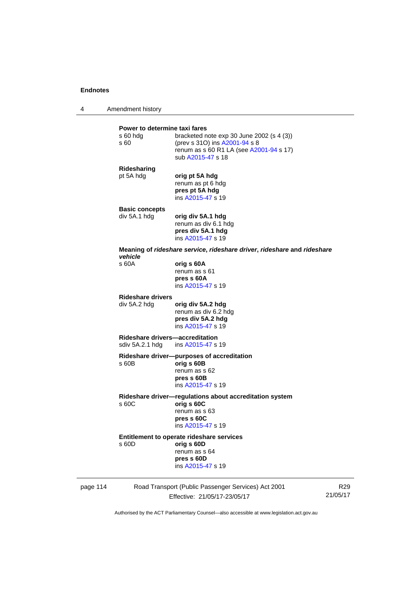4 Amendment history

|          | Power to determine taxi fares<br>s 60 hdg<br>s 60 | bracketed note $exp 30$ June 2002 (s 4 (3))<br>(prev s 310) ins A2001-94 s 8<br>renum as s 60 R1 LA (see A2001-94 s 17)<br>sub A2015-47 s 18 |
|----------|---------------------------------------------------|----------------------------------------------------------------------------------------------------------------------------------------------|
|          | Ridesharing<br>pt 5A hdg                          | orig pt 5A hdg<br>renum as pt 6 hdg<br>pres pt 5A hdg<br>ins A2015-47 s 19                                                                   |
|          | <b>Basic concepts</b><br>div 5A.1 hdg             | orig div 5A.1 hdg<br>renum as div 6.1 hdg<br>pres div 5A.1 hdg<br>ins A2015-47 s 19                                                          |
|          | vehicle                                           | Meaning of rideshare service, rideshare driver, rideshare and rideshare                                                                      |
|          | s 60A                                             | orig s 60A<br>renum as s 61<br>pres s 60A<br>ins A2015-47 s 19                                                                               |
|          | <b>Rideshare drivers</b><br>div 5A.2 hdg          | orig div 5A.2 hdg<br>renum as div 6.2 hdg<br>pres div 5A.2 hdg<br>ins A2015-47 s 19                                                          |
|          | Rideshare drivers—accreditation                   | sdiv 5A.2.1 hdg ins A2015-47 s 19                                                                                                            |
|          | s 60B                                             | Rideshare driver--purposes of accreditation<br>orig s 60B<br>renum as s 62<br>pres s 60B<br>ins A2015-47 s 19                                |
|          | s 60C                                             | Rideshare driver-regulations about accreditation system<br>orig s 60C<br>renum as s 63<br>pres s 60C<br>ins A2015-47 s 19                    |
|          | s 60D                                             | Entitlement to operate rideshare services<br>orig s 60D<br>renum as s 64<br>pres s 60D<br>ins A2015-47 s 19                                  |
| page 114 |                                                   | Road Transport (Public Passenger Services) Act 2001                                                                                          |

Effective: 21/05/17-23/05/17

R29 21/05/17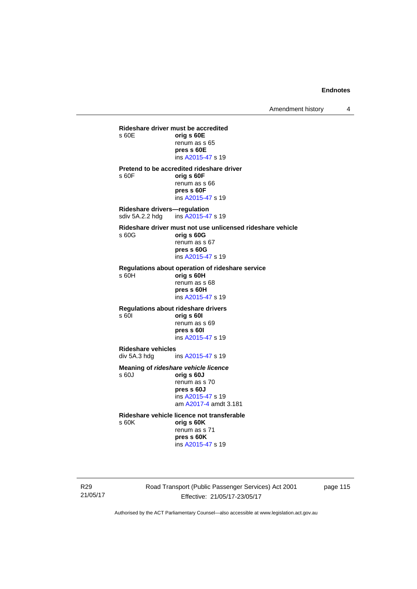Amendment history 4

**Rideshare driver must be accredited**  s 60E **orig s 60E**  renum as s 65 **pres s 60E**  ins [A2015-47](http://www.legislation.act.gov.au/a/2015-47) s 19 **Pretend to be accredited rideshare driver**  s 60F **orig s 60F**  renum as s 66 **pres s 60F**  ins [A2015-47](http://www.legislation.act.gov.au/a/2015-47) s 19 **Rideshare drivers—regulation**  sdiv 5A.2.2 hdg ins [A2015-47](http://www.legislation.act.gov.au/a/2015-47) s 19 **Rideshare driver must not use unlicensed rideshare vehicle** s 60G **orig s 60G**  renum as s 67 **pres s 60G**  ins [A2015-47](http://www.legislation.act.gov.au/a/2015-47) s 19 **Regulations about operation of rideshare service** s 60H **orig s 60H**  renum as s 68 **pres s 60H**  ins [A2015-47](http://www.legislation.act.gov.au/a/2015-47) s 19 **Regulations about rideshare drivers** s 60I **orig s 60I**  renum as s 69 **pres s 60I**  ins [A2015-47](http://www.legislation.act.gov.au/a/2015-47) s 19 **Rideshare vehicles**  ins [A2015-47](http://www.legislation.act.gov.au/a/2015-47) s 19 **Meaning of** *rideshare vehicle licence*  s 60J **orig s 60J**  renum as s 70 **pres s 60J**  ins [A2015-47](http://www.legislation.act.gov.au/a/2015-47) s 19 am [A2017-4](http://www.legislation.act.gov.au/a/2017-4/default.asp) amdt 3.181 **Rideshare vehicle licence not transferable**  s 60K **orig s 60K**  renum as s 71

**pres s 60K**  ins [A2015-47](http://www.legislation.act.gov.au/a/2015-47) s 19

R29 21/05/17 Road Transport (Public Passenger Services) Act 2001 Effective: 21/05/17-23/05/17

page 115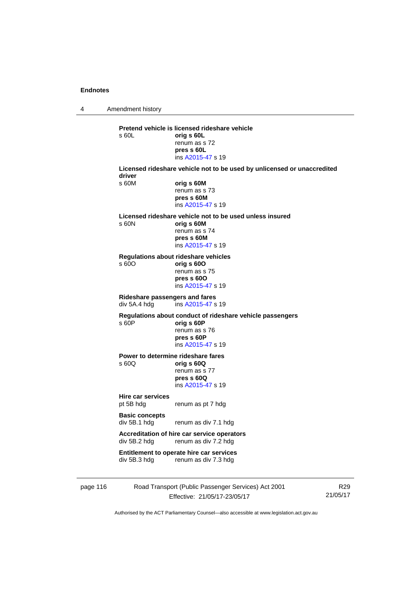4 Amendment history page 116 Road Transport (Public Passenger Services) Act 2001 R29 **Pretend vehicle is licensed rideshare vehicle**  s 60L **orig s 60L**  renum as s 72 **pres s 60L**  ins [A2015-47](http://www.legislation.act.gov.au/a/2015-47) s 19 **Licensed rideshare vehicle not to be used by unlicensed or unaccredited driver**  s 60M **orig s 60M**  renum as s 73 **pres s 60M**  ins [A2015-47](http://www.legislation.act.gov.au/a/2015-47) s 19 **Licensed rideshare vehicle not to be used unless insured**  s 60N **orig s 60M**  renum as s 74 **pres s 60M**  ins [A2015-47](http://www.legislation.act.gov.au/a/2015-47) s 19 **Regulations about rideshare vehicles**  s 60O **orig s 60O**  renum as s 75 **pres s 60O**  ins [A2015-47](http://www.legislation.act.gov.au/a/2015-47) s 19 **Rideshare passengers and fares**   $ins A2015-47 s 19$  $ins A2015-47 s 19$  $ins A2015-47 s 19$ **Regulations about conduct of rideshare vehicle passengers**  s 60P **orig s 60P**  renum as s 76 **pres s 60P**  ins [A2015-47](http://www.legislation.act.gov.au/a/2015-47) s 19 **Power to determine rideshare fares**<br>  $\frac{60Q}{q}$  orig **s** 60Q s 60Q **orig s 60Q**  renum as s 77 **pres s 60Q**  ins [A2015-47](http://www.legislation.act.gov.au/a/2015-47) s 19 **Hire car services**  pt 5B hdg renum as pt 7 hdg **Basic concepts**  div 5B.1 hdg renum as div 7.1 hdg **Accreditation of hire car service operators**  div 5B.2 hdg renum as div 7.2 hdg **Entitlement to operate hire car services**  div 5B.3 hdg renum as div 7.3 hdg

Effective: 21/05/17-23/05/17

Authorised by the ACT Parliamentary Counsel—also accessible at www.legislation.act.gov.au

21/05/17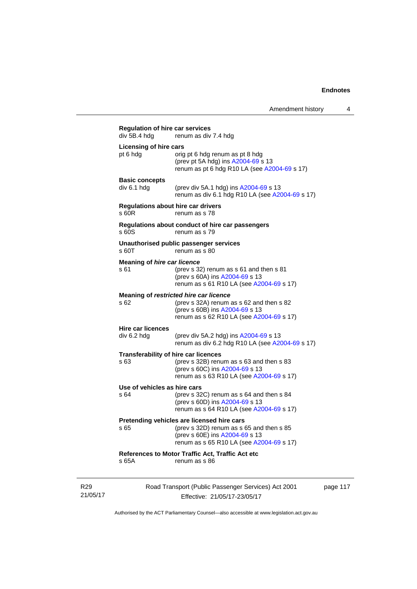| div 5B.4 hdg                               | renum as div 7.4 hdg                                                                                                                                                 |
|--------------------------------------------|----------------------------------------------------------------------------------------------------------------------------------------------------------------------|
| Licensing of hire cars<br>pt 6 hdg         | orig pt 6 hdg renum as pt 8 hdg<br>(prev pt 5A hdg) ins A2004-69 s 13<br>renum as pt 6 hdg R10 LA (see A2004-69 s 17)                                                |
| <b>Basic concepts</b><br>div 6.1 hdg       | (prev div 5A.1 hdg) ins A2004-69 s 13<br>renum as div 6.1 hdg R10 LA (see A2004-69 s 17)                                                                             |
| s 60R                                      | Regulations about hire car drivers<br>renum as s 78                                                                                                                  |
| s 60S                                      | Regulations about conduct of hire car passengers<br>renum as s 79                                                                                                    |
| s 60T                                      | Unauthorised public passenger services<br>renum as s 80                                                                                                              |
| <b>Meaning of hire car licence</b><br>s 61 | (prev s 32) renum as s 61 and then s 81<br>(prev s 60A) ins A2004-69 s 13<br>renum as s 61 R10 LA (see A2004-69 s 17)                                                |
| s 62                                       | Meaning of restricted hire car licence<br>(prev s 32A) renum as s 62 and then s 82<br>(prev s 60B) ins A2004-69 s 13<br>renum as s 62 R10 LA (see A2004-69 s 17)     |
| <b>Hire car licences</b><br>div 6.2 hdg    | (prev div 5A.2 hdg) ins A2004-69 s 13<br>renum as div 6.2 hdg R10 LA (see A2004-69 s 17)                                                                             |
| s 63                                       | Transferability of hire car licences<br>(prev s 32B) renum as s 63 and then s 83<br>(prev s 60C) ins A2004-69 s 13<br>renum as s 63 R10 LA (see A2004-69 s 17)       |
| Use of vehicles as hire cars<br>s 64       | (prev s $32C$ ) renum as s $64$ and then s $84$<br>(prev s 60D) ins A2004-69 s 13<br>renum as s 64 R10 LA (see A2004-69 s 17)                                        |
| s 65                                       | Pretending vehicles are licensed hire cars<br>(prev s 32D) renum as s 65 and then s 85<br>(prev s 60E) ins A2004-69 s 13<br>renum as s 65 R10 LA (see A2004-69 s 17) |
| s 65A                                      | References to Motor Traffic Act, Traffic Act etc<br>renum as s 86                                                                                                    |

R29 21/05/17 Road Transport (Public Passenger Services) Act 2001 Effective: 21/05/17-23/05/17

page 117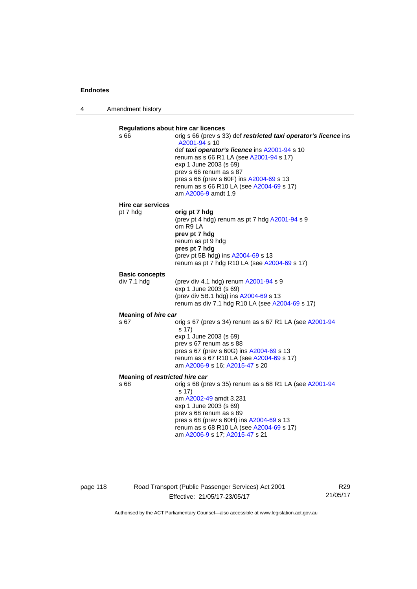4 Amendment history

| s 66                  | <b>Regulations about hire car licences</b><br>orig s 66 (prev s 33) def restricted taxi operator's licence ins<br>A2001-94 s 10<br>def taxi operator's licence ins A2001-94 s 10<br>renum as s 66 R1 LA (see A2001-94 s 17)<br>exp 1 June 2003 (s 69)<br>prev s 66 renum as s 87<br>pres s 66 (prev s 60F) ins A2004-69 s 13<br>renum as s 66 R10 LA (see A2004-69 s 17)<br>am A2006-9 amdt 1.9 |  |  |  |
|-----------------------|-------------------------------------------------------------------------------------------------------------------------------------------------------------------------------------------------------------------------------------------------------------------------------------------------------------------------------------------------------------------------------------------------|--|--|--|
| Hire car services     |                                                                                                                                                                                                                                                                                                                                                                                                 |  |  |  |
| pt 7 hdg              | orig pt 7 hdg<br>(prev pt 4 hdg) renum as pt 7 hdg A2001-94 s 9<br>om R9 LA<br>prev pt 7 hdg<br>renum as pt 9 hdg<br>pres pt 7 hdg<br>(prev pt 5B hdg) ins A2004-69 s 13<br>renum as pt 7 hdg R10 LA (see A2004-69 s 17)                                                                                                                                                                        |  |  |  |
| <b>Basic concepts</b> |                                                                                                                                                                                                                                                                                                                                                                                                 |  |  |  |
| div 7.1 hdg           | (prev div 4.1 hdg) renum A2001-94 s 9<br>exp 1 June 2003 (s 69)<br>(prev div 5B.1 hdg) ins A2004-69 s 13<br>renum as div 7.1 hdg R10 LA (see A2004-69 s 17)                                                                                                                                                                                                                                     |  |  |  |
| Meaning of hire car   |                                                                                                                                                                                                                                                                                                                                                                                                 |  |  |  |
| s 67                  | orig s 67 (prev s 34) renum as s 67 R1 LA (see A2001-94<br>s 17)<br>exp 1 June 2003 (s 69)<br>prev s 67 renum as s 88<br>pres s 67 (prev s 60G) ins A2004-69 s 13<br>renum as s 67 R10 LA (see A2004-69 s 17)<br>am A2006-9 s 16; A2015-47 s 20                                                                                                                                                 |  |  |  |
|                       | Meaning of restricted hire car                                                                                                                                                                                                                                                                                                                                                                  |  |  |  |
| s 68                  | orig s 68 (prev s 35) renum as s 68 R1 LA (see A2001-94<br>s 17)<br>am A2002-49 amdt 3.231<br>exp 1 June 2003 (s 69)<br>prev s 68 renum as s 89<br>pres s 68 (prev s 60H) ins A2004-69 s 13<br>renum as s 68 R10 LA (see A2004-69 s 17)<br>am A2006-9 s 17; A2015-47 s 21                                                                                                                       |  |  |  |

page 118 Road Transport (Public Passenger Services) Act 2001 Effective: 21/05/17-23/05/17

R29 21/05/17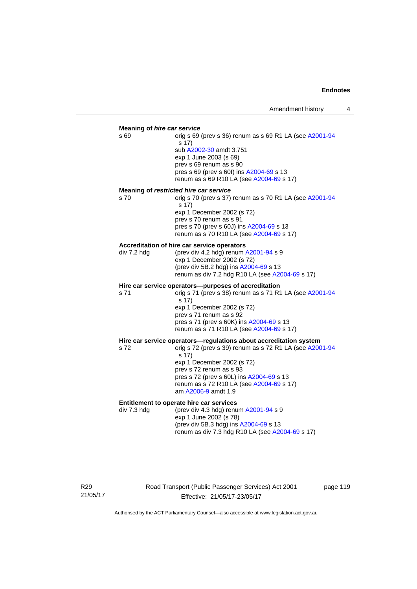#### **Meaning of** *hire car service*

s 69 orig s 69 (prev s 36) renum as s 69 R1 LA (see [A2001-94](http://www.legislation.act.gov.au/a/2001-94) s 17) sub [A2002-30](http://www.legislation.act.gov.au/a/2002-30) amdt 3.751 exp 1 June 2003 (s 69) prev s 69 renum as s 90 pres s 69 (prev s 60I) ins [A2004-69](http://www.legislation.act.gov.au/a/2004-69) s 13 renum as s 69 R10 LA (see [A2004-69](http://www.legislation.act.gov.au/a/2004-69) s 17)

#### **Meaning of** *restricted hire car service*

s 70 orig s 70 (prev s 37) renum as s 70 R1 LA (see [A2001-94](http://www.legislation.act.gov.au/a/2001-94) s 17) exp 1 December 2002 (s 72) prev s 70 renum as s 91 pres s 70 (prev s 60J) ins [A2004-69](http://www.legislation.act.gov.au/a/2004-69) s 13 renum as s 70 R10 LA (see [A2004-69](http://www.legislation.act.gov.au/a/2004-69) s 17)

#### **Accreditation of hire car service operators**

div 7.2 hdg (prev div 4.2 hdg) renum [A2001-94](http://www.legislation.act.gov.au/a/2001-94) s 9 exp 1 December 2002 (s 72) (prev div 5B.2 hdg) ins [A2004-69](http://www.legislation.act.gov.au/a/2004-69) s 13 renum as div 7.2 hdg R10 LA (see [A2004-69](http://www.legislation.act.gov.au/a/2004-69) s 17)

#### **Hire car service operators—purposes of accreditation**

s 71 orig s 71 (prev s 38) renum as s 71 R1 LA (see [A2001-94](http://www.legislation.act.gov.au/a/2001-94) s 17) exp 1 December 2002 (s 72) prev s 71 renum as s 92 pres s 71 (prev s 60K) ins [A2004-69](http://www.legislation.act.gov.au/a/2004-69) s 13 renum as s 71 R10 LA (see [A2004-69](http://www.legislation.act.gov.au/a/2004-69) s 17)

## **Hire car service operators—regulations about accreditation system s 72**<br>s 72<br>**compared 39** renum as s 72 R1 LA (see A200

orig s 72 (prev s 39) renum as s 72 R1 LA (see [A2001-94](http://www.legislation.act.gov.au/a/2001-94) s 17) exp 1 December 2002 (s 72) prev s 72 renum as s 93 pres s 72 (prev s 60L) ins [A2004-69](http://www.legislation.act.gov.au/a/2004-69) s 13 renum as s 72 R10 LA (see [A2004-69](http://www.legislation.act.gov.au/a/2004-69) s 17) am [A2006-9](http://www.legislation.act.gov.au/a/2006-9) amdt 1.9

#### **Entitlement to operate hire car services**

div 7.3 hdg (prev div 4.3 hdg) renum [A2001-94](http://www.legislation.act.gov.au/a/2001-94) s 9 exp 1 June 2002 (s 78) (prev div 5B.3 hdg) ins [A2004-69](http://www.legislation.act.gov.au/a/2004-69) s 13 renum as div 7.3 hdg R10 LA (see [A2004-69](http://www.legislation.act.gov.au/a/2004-69) s 17)

R29 21/05/17 Road Transport (Public Passenger Services) Act 2001 Effective: 21/05/17-23/05/17

page 119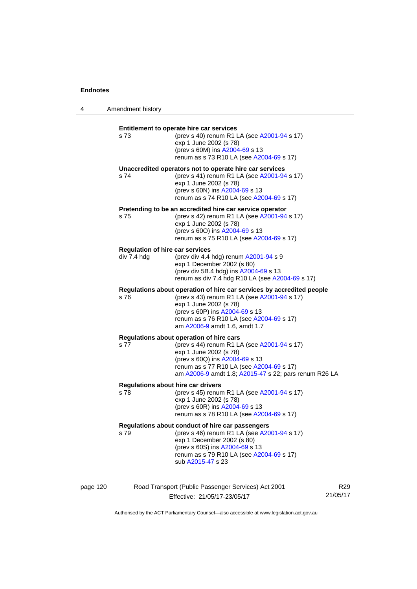4 Amendment history

| s 73        | Entitlement to operate hire car services<br>(prev s 40) renum R1 LA (see A2001-94 s 17)<br>exp 1 June 2002 (s 78)<br>(prev s 60M) ins A2004-69 s 13<br>renum as s 73 R10 LA (see A2004-69 s 17)                                                               |
|-------------|---------------------------------------------------------------------------------------------------------------------------------------------------------------------------------------------------------------------------------------------------------------|
| s 74        | Unaccredited operators not to operate hire car services<br>(prev s 41) renum R1 LA (see A2001-94 s 17)<br>exp 1 June 2002 (s 78)<br>(prev s 60N) ins A2004-69 s 13<br>renum as s 74 R10 LA (see A2004-69 s 17)                                                |
| s 75        | Pretending to be an accredited hire car service operator<br>(prev s 42) renum R1 LA (see A2001-94 s 17)<br>exp 1 June 2002 (s 78)<br>(prev s 600) ins A2004-69 s 13<br>renum as s 75 R10 LA (see A2004-69 s 17)                                               |
| div 7.4 hdg | <b>Regulation of hire car services</b><br>(prev div 4.4 hdg) renum A2001-94 s 9<br>exp 1 December 2002 (s 80)<br>(prev div 5B.4 hdg) ins A2004-69 s 13<br>renum as div 7.4 hdg R10 LA (see A2004-69 s 17)                                                     |
| s 76        | Regulations about operation of hire car services by accredited people<br>(prev s 43) renum R1 LA (see A2001-94 s 17)<br>exp 1 June 2002 (s 78)<br>(prev s 60P) ins A2004-69 s 13<br>renum as s 76 R10 LA (see A2004-69 s 17)<br>am A2006-9 amdt 1.6, amdt 1.7 |
| s 77        | Regulations about operation of hire cars<br>(prev s 44) renum R1 LA (see A2001-94 s 17)<br>exp 1 June 2002 (s 78)<br>(prev s 60Q) ins A2004-69 s 13<br>renum as s 77 R10 LA (see A2004-69 s 17)<br>am A2006-9 amdt 1.8; A2015-47 s 22; pars renum R26 LA      |
| s 78        | Regulations about hire car drivers<br>(prev s 45) renum R1 LA (see A2001-94 s 17)<br>exp 1 June 2002 (s 78)<br>(prev s 60R) ins A2004-69 s 13<br>renum as s 78 R10 LA (see A2004-69 s 17)                                                                     |
| s 79        | Regulations about conduct of hire car passengers<br>(prev s 46) renum R1 LA (see A2001-94 s 17)<br>exp 1 December 2002 (s 80)<br>(prev s 60S) ins A2004-69 s 13<br>renum as s 79 R10 LA (see A2004-69 s 17)<br>sub A2015-47 s 23                              |
|             |                                                                                                                                                                                                                                                               |

page 120 Road Transport (Public Passenger Services) Act 2001 Effective: 21/05/17-23/05/17 R29 21/05/17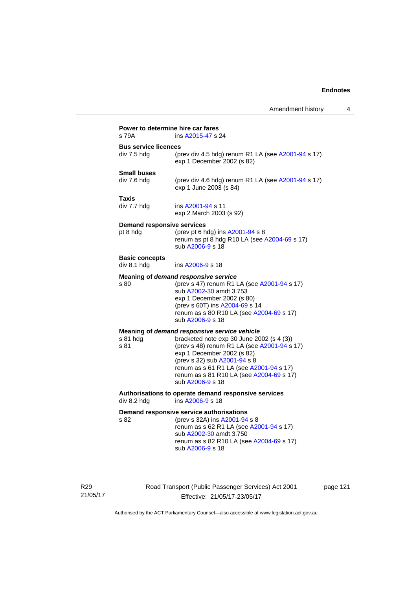| s 79A                                | ins A2015-47 s 24                                                                                                                                                                                                                                                 |
|--------------------------------------|-------------------------------------------------------------------------------------------------------------------------------------------------------------------------------------------------------------------------------------------------------------------|
| <b>Bus service licences</b>          |                                                                                                                                                                                                                                                                   |
| div 7.5 hdg                          | (prev div 4.5 hdg) renum R1 LA (see A2001-94 s 17)<br>exp 1 December 2002 (s 82)                                                                                                                                                                                  |
| <b>Small buses</b>                   |                                                                                                                                                                                                                                                                   |
| div 7.6 hdg                          | (prev div 4.6 hdg) renum R1 LA (see A2001-94 s 17)<br>exp 1 June 2003 (s 84)                                                                                                                                                                                      |
| <b>Taxis</b>                         |                                                                                                                                                                                                                                                                   |
| div 7.7 hdg                          | ins A2001-94 s 11<br>exp 2 March 2003 (s 92)                                                                                                                                                                                                                      |
| <b>Demand responsive services</b>    |                                                                                                                                                                                                                                                                   |
| pt 8 hdg                             | (prev pt 6 hdg) ins A2001-94 s 8<br>renum as pt 8 hdg R10 LA (see A2004-69 s 17)<br>sub A2006-9 s 18                                                                                                                                                              |
| <b>Basic concepts</b><br>div 8.1 hdg | ins A2006-9 s 18                                                                                                                                                                                                                                                  |
|                                      |                                                                                                                                                                                                                                                                   |
| s 80                                 | Meaning of demand responsive service<br>(prev s 47) renum R1 LA (see A2001-94 s 17)<br>sub A2002-30 amdt 3.753<br>exp 1 December 2002 (s 80)<br>(prev s 60T) ins A2004-69 s 14<br>renum as s 80 R10 LA (see A2004-69 s 17)<br>sub A2006-9 s 18                    |
|                                      | Meaning of demand responsive service vehicle                                                                                                                                                                                                                      |
| s 81 hdg<br>s 81                     | bracketed note exp 30 June 2002 (s 4 (3))<br>(prev s 48) renum R1 LA (see A2001-94 s 17)<br>exp 1 December 2002 (s 82)<br>(prev s 32) sub A2001-94 s 8<br>renum as s 61 R1 LA (see A2001-94 s 17)<br>renum as s 81 R10 LA (see A2004-69 s 17)<br>sub A2006-9 s 18 |
| div 8.2 hdg                          | Authorisations to operate demand responsive services<br>ins A2006-9 s 18                                                                                                                                                                                          |
| s 82                                 | Demand responsive service authorisations<br>(prev s 32A) ins A2001-94 s 8<br>renum as s 62 R1 LA (see A2001-94 s 17)<br>sub A2002-30 amdt 3.750<br>renum as s 82 R10 LA (see A2004-69 s 17)<br>sub A2006-9 s 18                                                   |

R29 21/05/17 Road Transport (Public Passenger Services) Act 2001 Effective: 21/05/17-23/05/17

page 121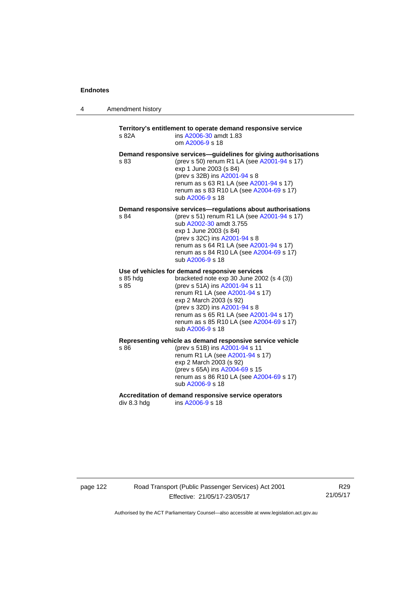| 4 | Amendment history |  |
|---|-------------------|--|
|---|-------------------|--|

## **Territory's entitlement to operate demand responsive service**  s 82A ins [A2006-30](http://www.legislation.act.gov.au/a/2006-30) amdt 1.83 om [A2006-9](http://www.legislation.act.gov.au/a/2006-9) s 18 **Demand responsive services—guidelines for giving authorisations**  s 83 (prev s 50) renum R1 LA (see [A2001-94](http://www.legislation.act.gov.au/a/2001-94) s 17) exp 1 June 2003 (s 84) (prev s 32B) ins [A2001-94](http://www.legislation.act.gov.au/a/2001-94) s 8 renum as s 63 R1 LA (see [A2001-94](http://www.legislation.act.gov.au/a/2001-94) s 17) renum as s 83 R10 LA (see [A2004-69](http://www.legislation.act.gov.au/a/2004-69) s 17) sub [A2006-9](http://www.legislation.act.gov.au/a/2006-9) s 18 **Demand responsive services—regulations about authorisations**  s 84 (prev s 51) renum R1 LA (see [A2001-94](http://www.legislation.act.gov.au/a/2001-94) s 17) sub [A2002-30](http://www.legislation.act.gov.au/a/2002-30) amdt 3.755 exp 1 June 2003 (s 84) (prev s 32C) ins [A2001-94](http://www.legislation.act.gov.au/a/2001-94) s 8 renum as s 64 R1 LA (see [A2001-94](http://www.legislation.act.gov.au/a/2001-94) s 17) renum as s 84 R10 LA (see [A2004-69](http://www.legislation.act.gov.au/a/2004-69) s 17) sub [A2006-9](http://www.legislation.act.gov.au/a/2006-9) s 18 **Use of vehicles for demand responsive services**  s 85 hdg bracketed note exp 30 June 2002 (s 4 (3)) s 85 (prev s 51A) ins [A2001-94](http://www.legislation.act.gov.au/a/2001-94) s 11 renum R1 LA (see [A2001-94](http://www.legislation.act.gov.au/a/2001-94) s 17) exp 2 March 2003 (s 92) (prev s 32D) ins [A2001-94](http://www.legislation.act.gov.au/a/2001-94) s 8 renum as s 65 R1 LA (see [A2001-94](http://www.legislation.act.gov.au/a/2001-94) s 17) renum as s 85 R10 LA (see [A2004-69](http://www.legislation.act.gov.au/a/2004-69) s 17) sub [A2006-9](http://www.legislation.act.gov.au/a/2006-9) s 18 **Representing vehicle as demand responsive service vehicle**  (prev s 51B) ins [A2001-94](http://www.legislation.act.gov.au/a/2001-94) s 11 renum R1 LA (see [A2001-94](http://www.legislation.act.gov.au/a/2001-94) s 17) exp 2 March 2003 (s 92) (prev s 65A) ins [A2004-69](http://www.legislation.act.gov.au/a/2004-69) s 15 renum as s 86 R10 LA (see [A2004-69](http://www.legislation.act.gov.au/a/2004-69) s 17) sub [A2006-9](http://www.legislation.act.gov.au/a/2006-9) s 18

Accreditation of demand responsive service operators<br>div 8.3 hdg ins A2006-9 s 18 ins [A2006-9](http://www.legislation.act.gov.au/a/2006-9) s 18

page 122 Road Transport (Public Passenger Services) Act 2001 Effective: 21/05/17-23/05/17

R29 21/05/17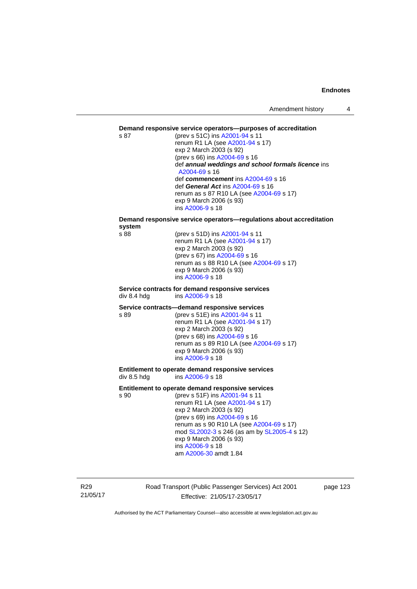#### **Demand responsive service operators—purposes of accreditation**

s 87 (prev s 51C) ins [A2001-94](http://www.legislation.act.gov.au/a/2001-94) s 11 renum R1 LA (see [A2001-94](http://www.legislation.act.gov.au/a/2001-94) s 17) exp 2 March 2003 (s 92) (prev s 66) ins [A2004-69](http://www.legislation.act.gov.au/a/2004-69) s 16 def *annual weddings and school formals licence* ins [A2004-69](http://www.legislation.act.gov.au/a/2004-69) s 16 def *commencement* ins [A2004-69](http://www.legislation.act.gov.au/a/2004-69) s 16 def *General Act* ins [A2004-69](http://www.legislation.act.gov.au/a/2004-69) s 16 renum as s 87 R10 LA (see [A2004-69](http://www.legislation.act.gov.au/a/2004-69) s 17) exp 9 March 2006 (s 93) ins [A2006-9](http://www.legislation.act.gov.au/a/2006-9) s 18

## **Demand responsive service operators—regulations about accreditation system**

(prev s 51D) ins [A2001-94](http://www.legislation.act.gov.au/a/2001-94) s 11 renum R1 LA (see [A2001-94](http://www.legislation.act.gov.au/a/2001-94) s 17) exp 2 March 2003 (s 92) (prev s 67) ins [A2004-69](http://www.legislation.act.gov.au/a/2004-69) s 16 renum as s 88 R10 LA (see [A2004-69](http://www.legislation.act.gov.au/a/2004-69) s 17) exp 9 March 2006 (s 93) ins [A2006-9](http://www.legislation.act.gov.au/a/2006-9) s 18

#### **Service contracts for demand responsive services**  div 8.4 hdg ins [A2006-9](http://www.legislation.act.gov.au/a/2006-9) s 18

#### **Service contracts—demand responsive services**

s 89 (prev s 51E) ins [A2001-94](http://www.legislation.act.gov.au/a/2001-94) s 11 renum R1 LA (see [A2001-94](http://www.legislation.act.gov.au/a/2001-94) s 17) exp 2 March 2003 (s 92) (prev s 68) ins [A2004-69](http://www.legislation.act.gov.au/a/2004-69) s 16 renum as s 89 R10 LA (see [A2004-69](http://www.legislation.act.gov.au/a/2004-69) s 17) exp 9 March 2006 (s 93) ins [A2006-9](http://www.legislation.act.gov.au/a/2006-9) s 18

#### **Entitlement to operate demand responsive services**  div 8.5 hdg ins [A2006-9](http://www.legislation.act.gov.au/a/2006-9) s 18

#### **Entitlement to operate demand responsive services**

s 90 (prev s 51F) ins [A2001-94](http://www.legislation.act.gov.au/a/2001-94) s 11 renum R1 LA (see [A2001-94](http://www.legislation.act.gov.au/a/2001-94) s 17) exp 2 March 2003 (s 92) (prev s 69) ins [A2004-69](http://www.legislation.act.gov.au/a/2004-69) s 16 renum as s 90 R10 LA (see [A2004-69](http://www.legislation.act.gov.au/a/2004-69) s 17) mod [SL2002-3](http://www.legislation.act.gov.au/sl/2002-3) s 246 (as am by [SL2005-4](http://www.legislation.act.gov.au/sl/2005-4) s 12) exp 9 March 2006 (s 93) ins [A2006-9](http://www.legislation.act.gov.au/a/2006-9) s 18 am [A2006-30](http://www.legislation.act.gov.au/a/2006-30) amdt 1.84

R29 21/05/17 Road Transport (Public Passenger Services) Act 2001 Effective: 21/05/17-23/05/17

page 123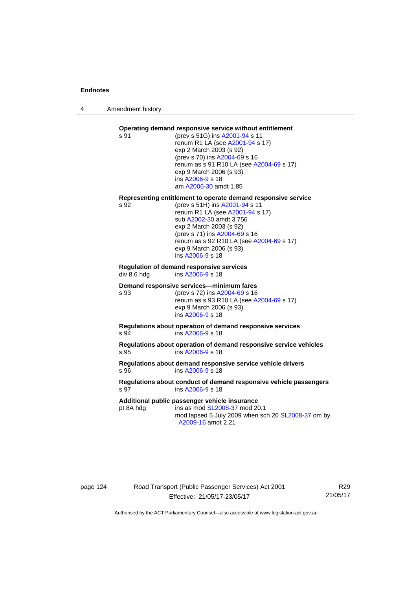4 Amendment history

#### **Operating demand responsive service without entitlement**  s 91 (prev s 51G) ins [A2001-94](http://www.legislation.act.gov.au/a/2001-94) s 11

renum R1 LA (see [A2001-94](http://www.legislation.act.gov.au/a/2001-94) s 17) exp 2 March 2003 (s 92) (prev s 70) ins [A2004-69](http://www.legislation.act.gov.au/a/2004-69) s 16 renum as s 91 R10 LA (see [A2004-69](http://www.legislation.act.gov.au/a/2004-69) s 17) exp 9 March 2006 (s 93) ins [A2006-9](http://www.legislation.act.gov.au/a/2006-9) s 18 am [A2006-30](http://www.legislation.act.gov.au/a/2006-30) amdt 1.85

#### **Representing entitlement to operate demand responsive service**

s 92 (prev s 51H) ins [A2001-94](http://www.legislation.act.gov.au/a/2001-94) s 11 renum R1 LA (see [A2001-94](http://www.legislation.act.gov.au/a/2001-94) s 17) sub [A2002-30](http://www.legislation.act.gov.au/a/2002-30) amdt 3.756 exp 2 March 2003 (s 92) (prev s 71) ins [A2004-69](http://www.legislation.act.gov.au/a/2004-69) s 16 renum as s 92 R10 LA (see [A2004-69](http://www.legislation.act.gov.au/a/2004-69) s 17) exp 9 March 2006 (s 93) ins [A2006-9](http://www.legislation.act.gov.au/a/2006-9) s 18

## **Regulation of demand responsive services**

div 8.6 hdg ins [A2006-9](http://www.legislation.act.gov.au/a/2006-9) s 18

#### **Demand responsive services—minimum fares**

s 93 (prev s 72) ins [A2004-69](http://www.legislation.act.gov.au/a/2004-69) s 16 renum as s 93 R10 LA (see [A2004-69](http://www.legislation.act.gov.au/a/2004-69) s 17) exp 9 March 2006 (s 93) ins [A2006-9](http://www.legislation.act.gov.au/a/2006-9) s 18

**Regulations about operation of demand responsive services**  s 94 ins [A2006-9](http://www.legislation.act.gov.au/a/2006-9) s 18

**Regulations about operation of demand responsive service vehicles**  s 95 ins [A2006-9](http://www.legislation.act.gov.au/a/2006-9) s 18

**Regulations about demand responsive service vehicle drivers**  s 96 ins [A2006-9](http://www.legislation.act.gov.au/a/2006-9) s 18

#### **Regulations about conduct of demand responsive vehicle passengers**  ins [A2006-9](http://www.legislation.act.gov.au/a/2006-9) s 18

**Additional public passenger vehicle insurance** 

pt 8A hdg ins as mod [SL2008-37](http://www.legislation.act.gov.au/sl/2008-37) mod 20.1 mod lapsed 5 July 2009 when sch 20 [SL2008-37](http://www.legislation.act.gov.au/sl/2008-37) om by [A2009-16](http://www.legislation.act.gov.au/a/2009-16) amdt 2.21

## page 124 Road Transport (Public Passenger Services) Act 2001 Effective: 21/05/17-23/05/17

R29 21/05/17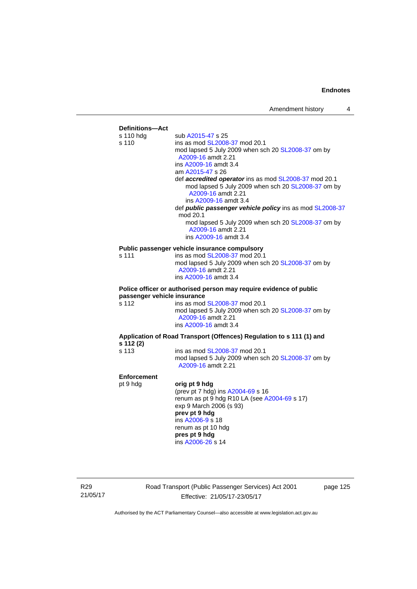

R29 21/05/17 Road Transport (Public Passenger Services) Act 2001 Effective: 21/05/17-23/05/17

page 125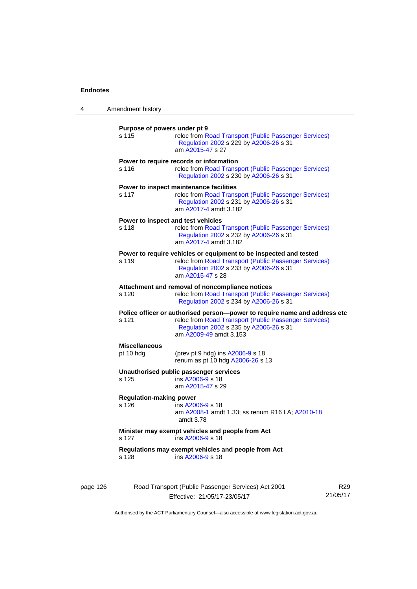| 4        | Amendment history                       |                                                                                                                                                                                                         |                 |
|----------|-----------------------------------------|---------------------------------------------------------------------------------------------------------------------------------------------------------------------------------------------------------|-----------------|
|          | Purpose of powers under pt 9<br>s 115   | reloc from Road Transport (Public Passenger Services)<br>Regulation 2002 s 229 by A2006-26 s 31<br>am A2015-47 s 27                                                                                     |                 |
|          | s 116                                   | Power to require records or information<br>reloc from Road Transport (Public Passenger Services)<br>Regulation 2002 s 230 by A2006-26 s 31                                                              |                 |
|          | s 117                                   | Power to inspect maintenance facilities<br>reloc from Road Transport (Public Passenger Services)<br>Regulation 2002 s 231 by A2006-26 s 31<br>am A2017-4 amdt 3.182                                     |                 |
|          | s 118                                   | Power to inspect and test vehicles<br>reloc from Road Transport (Public Passenger Services)<br>Regulation 2002 s 232 by A2006-26 s 31<br>am A2017-4 amdt 3.182                                          |                 |
|          | s 119                                   | Power to require vehicles or equipment to be inspected and tested<br>reloc from Road Transport (Public Passenger Services)<br>Regulation 2002 s 233 by A2006-26 s 31<br>am A2015-47 s 28                |                 |
|          | s 120                                   | Attachment and removal of noncompliance notices<br>reloc from Road Transport (Public Passenger Services)<br>Regulation 2002 s 234 by A2006-26 s 31                                                      |                 |
|          | s 121                                   | Police officer or authorised person--power to require name and address etc<br>reloc from Road Transport (Public Passenger Services)<br>Regulation 2002 s 235 by A2006-26 s 31<br>am A2009-49 amdt 3.153 |                 |
|          | <b>Miscellaneous</b><br>pt 10 hdg       | (prev pt 9 hdg) ins A2006-9 s 18<br>renum as pt 10 hdg A2006-26 s 13                                                                                                                                    |                 |
|          | s 125                                   | Unauthorised public passenger services<br>ins A2006-9 s 18<br>am A2015-47 s 29                                                                                                                          |                 |
|          | <b>Regulation-making power</b><br>s 126 | ins A2006-9 s 18<br>am A2008-1 amdt 1.33; ss renum R16 LA; A2010-18<br>amdt 3.78                                                                                                                        |                 |
|          | s 127                                   | Minister may exempt vehicles and people from Act<br>ins A2006-9 s 18                                                                                                                                    |                 |
|          | s 128                                   | Regulations may exempt vehicles and people from Act<br>ins A2006-9 s 18                                                                                                                                 |                 |
| page 126 |                                         | Road Transport (Public Passenger Services) Act 2001<br>Effective: 21/05/17-23/05/17                                                                                                                     | R29<br>21/05/17 |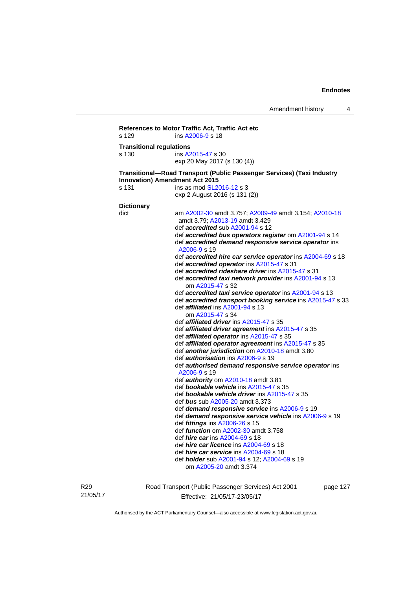```
References to Motor Traffic Act, Traffic Act etc 
s 129 ins A2006-9 s 18 
Transitional regulations 
s 130 ins A2015-47 s 30 
                   exp 20 May 2017 (s 130 (4)) 
Transitional—Road Transport (Public Passenger Services) (Taxi Industry 
Innovation) Amendment Act 2015 
s 131 ins as mod SL2016-12 s 3
                   exp 2 August 2016 (s 131 (2)) 
Dictionary 
dict am A2002-30 amdt 3.757; A2009-49 amdt 3.154; A2010-18
                    amdt 3.79; A2013-19 amdt 3.429 
                    def accredited sub A2001-94 s 12 
                    def accredited bus operators register om A2001-94 s 14 
                    def accredited demand responsive service operator ins 
                    A2006-9 s 19 
                    def accredited hire car service operator ins A2004-69 s 18 
                    def accredited operator ins A2015-47 s 31 
                    def accredited rideshare driver ins A2015-47 s 31 
                    def accredited taxi network provider ins A2001-94 s 13 
                        om A2015-47 s 32 
                    def accredited taxi service operator ins A2001-94 s 13 
                    def accredited transport booking service ins A2015-47 s 33 
                    def affiliated ins A2001-94 s 13 
                       om A2015-47 s 34 
                    def affiliated driver ins A2015-47 s 35 
                    def affiliated driver agreement ins A2015-47 s 35 
                    def affiliated operator ins A2015-47 s 35 
                    def affiliated operator agreement ins A2015-47 s 35 
                    def another jurisdiction om A2010-18 amdt 3.80 
                    def authorisation ins A2006-9 s 19 
                    def authorised demand responsive service operator ins 
                    A2006-9 s 19 
                    def authority om A2010-18 amdt 3.81 
                    def bookable vehicle ins A2015-47 s 35 
                    def bookable vehicle driver ins A2015-47 s 35 
                    def bus sub A2005-20 amdt 3.373 
                    def demand responsive service ins A2006-9 s 19 
                    def demand responsive service vehicle ins A2006-9 s 19 
                    def fittings ins A2006-26 s 15 
                    def function om A2002-30 amdt 3.758 
                    def hire car ins A2004-69 s 18 
                    def hire car licence ins A2004-69 s 18 
                    def hire car service ins A2004-69 s 18 
                    def holder sub A2001-94 s 12; A2004-69 s 19 
                       om A2005-20 amdt 3.374
```
R29 21/05/17 Road Transport (Public Passenger Services) Act 2001 Effective: 21/05/17-23/05/17

page 127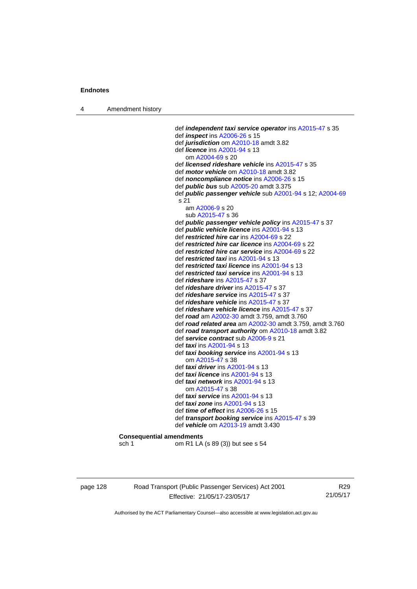4 Amendment history

 def *independent taxi service operator* ins [A2015-47](http://www.legislation.act.gov.au/a/2015-47) s 35 def *inspect* ins [A2006-26](http://www.legislation.act.gov.au/a/2006-26) s 15 def *jurisdiction* om [A2010-18](http://www.legislation.act.gov.au/a/2010-18) amdt 3.82 def *licence* ins [A2001-94](http://www.legislation.act.gov.au/a/2001-94) s 13 om [A2004-69](http://www.legislation.act.gov.au/a/2004-69) s 20 def *licensed rideshare vehicle* ins [A2015-47](http://www.legislation.act.gov.au/a/2015-47) s 35 def *motor vehicle* om [A2010-18](http://www.legislation.act.gov.au/a/2010-18) amdt 3.82 def *noncompliance notice* ins [A2006-26](http://www.legislation.act.gov.au/a/2006-26) s 15 def *public bus* sub [A2005-20](http://www.legislation.act.gov.au/a/2005-20) amdt 3.375 def *public passenger vehicle* sub [A2001-94](http://www.legislation.act.gov.au/a/2001-94) s 12; [A2004-69](http://www.legislation.act.gov.au/a/2004-69) s 21 am [A2006-9](http://www.legislation.act.gov.au/a/2006-9) s 20 sub [A2015-47](http://www.legislation.act.gov.au/a/2015-47) s 36 def *public passenger vehicle policy* ins [A2015-47](http://www.legislation.act.gov.au/a/2015-47) s 37 def *public vehicle licence* ins [A2001-94](http://www.legislation.act.gov.au/a/2001-94) s 13 def *restricted hire car* ins [A2004-69](http://www.legislation.act.gov.au/a/2004-69) s 22 def *restricted hire car licence* ins [A2004-69](http://www.legislation.act.gov.au/a/2004-69) s 22 def *restricted hire car service* ins [A2004-69](http://www.legislation.act.gov.au/a/2004-69) s 22 def *restricted taxi* ins [A2001-94](http://www.legislation.act.gov.au/a/2001-94) s 13 def *restricted taxi licence* ins [A2001-94](http://www.legislation.act.gov.au/a/2001-94) s 13 def *restricted taxi service* ins [A2001-94](http://www.legislation.act.gov.au/a/2001-94) s 13 def *rideshare* ins [A2015-47](http://www.legislation.act.gov.au/a/2015-47) s 37 def *rideshare driver* ins [A2015-47](http://www.legislation.act.gov.au/a/2015-47) s 37 def *rideshare service* ins [A2015-47](http://www.legislation.act.gov.au/a/2015-47) s 37 def *rideshare vehicle* ins [A2015-47](http://www.legislation.act.gov.au/a/2015-47) s 37 def *rideshare vehicle licence* ins [A2015-47](http://www.legislation.act.gov.au/a/2015-47) s 37 def *road* am [A2002-30](http://www.legislation.act.gov.au/a/2002-30) amdt 3.759, amdt 3.760 def *road related area* am [A2002-30](http://www.legislation.act.gov.au/a/2002-30) amdt 3.759, amdt 3.760 def *road transport authority* om [A2010-18](http://www.legislation.act.gov.au/a/2010-18) amdt 3.82 def *service contract* sub [A2006-9](http://www.legislation.act.gov.au/a/2006-9) s 21 def *taxi* ins [A2001-94](http://www.legislation.act.gov.au/a/2001-94) s 13 def *taxi booking service* ins [A2001-94](http://www.legislation.act.gov.au/a/2001-94) s 13 om [A2015-47](http://www.legislation.act.gov.au/a/2015-47) s 38 def *taxi driver* ins [A2001-94](http://www.legislation.act.gov.au/a/2001-94) s 13 def *taxi licence* ins [A2001-94](http://www.legislation.act.gov.au/a/2001-94) s 13 def *taxi network* ins [A2001-94](http://www.legislation.act.gov.au/a/2001-94) s 13 om [A2015-47](http://www.legislation.act.gov.au/a/2015-47) s 38 def *taxi service* ins [A2001-94](http://www.legislation.act.gov.au/a/2001-94) s 13 def *taxi zone* ins [A2001-94](http://www.legislation.act.gov.au/a/2001-94) s 13 def *time of effect* ins [A2006-26](http://www.legislation.act.gov.au/a/2006-26) s 15 def *transport booking service* ins [A2015-47](http://www.legislation.act.gov.au/a/2015-47) s 39 def *vehicle* om [A2013-19](http://www.legislation.act.gov.au/a/2013-19) amdt 3.430 **Consequential amendments**  sch 1 om R1 LA (s 89 (3)) but see s 54

page 128 Road Transport (Public Passenger Services) Act 2001 Effective: 21/05/17-23/05/17

R29 21/05/17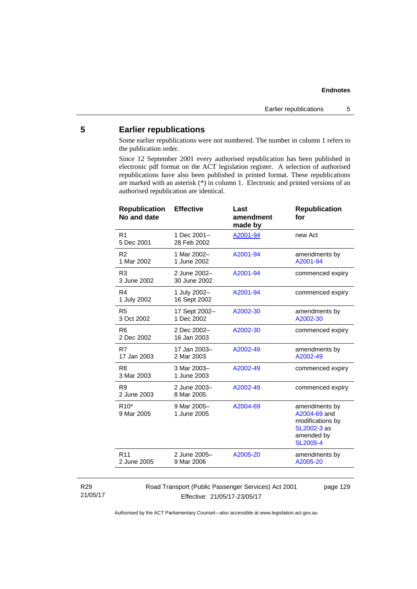## **5 Earlier republications**

Some earlier republications were not numbered. The number in column 1 refers to the publication order.

Since 12 September 2001 every authorised republication has been published in electronic pdf format on the ACT legislation register. A selection of authorised republications have also been published in printed format. These republications are marked with an asterisk (\*) in column 1. Electronic and printed versions of an authorised republication are identical.

| <b>Republication</b><br>No and date | <b>Effective</b>             | Last<br>amendment<br>made by | <b>Republication</b><br>for                                                                       |
|-------------------------------------|------------------------------|------------------------------|---------------------------------------------------------------------------------------------------|
| R <sub>1</sub><br>5 Dec 2001        | 1 Dec 2001-<br>28 Feb 2002   | A2001-94                     | new Act                                                                                           |
| R <sub>2</sub><br>1 Mar 2002        | 1 Mar 2002-<br>1 June 2002   | A2001-94                     | amendments by<br>A2001-94                                                                         |
| R <sub>3</sub><br>3 June 2002       | 2 June 2002-<br>30 June 2002 | A2001-94                     | commenced expiry                                                                                  |
| R <sub>4</sub><br>1 July 2002       | 1 July 2002-<br>16 Sept 2002 | A2001-94                     | commenced expiry                                                                                  |
| R <sub>5</sub><br>3 Oct 2002        | 17 Sept 2002-<br>1 Dec 2002  | A2002-30                     | amendments by<br>A2002-30                                                                         |
| R <sub>6</sub><br>2 Dec 2002        | 2 Dec 2002-<br>16 Jan 2003   | A2002-30                     | commenced expiry                                                                                  |
| R7<br>17 Jan 2003                   | 17 Jan 2003-<br>2 Mar 2003   | A2002-49                     | amendments by<br>A2002-49                                                                         |
| R <sub>8</sub><br>3 Mar 2003        | 3 Mar 2003-<br>1 June 2003   | A2002-49                     | commenced expiry                                                                                  |
| R <sub>9</sub><br>2 June 2003       | 2 June 2003-<br>8 Mar 2005   | A2002-49                     | commenced expiry                                                                                  |
| $R10*$<br>9 Mar 2005                | 9 Mar 2005-<br>1 June 2005   | A2004-69                     | amendments by<br>A2004-69 and<br>modifications by<br>SL2002-3 as<br>amended by<br><b>SL2005-4</b> |
| R <sub>11</sub><br>2 June 2005      | 2 June 2005-<br>9 Mar 2006   | A2005-20                     | amendments by<br>A2005-20                                                                         |
|                                     |                              |                              |                                                                                                   |

#### R29 21/05/17

Road Transport (Public Passenger Services) Act 2001 Effective: 21/05/17-23/05/17

page 129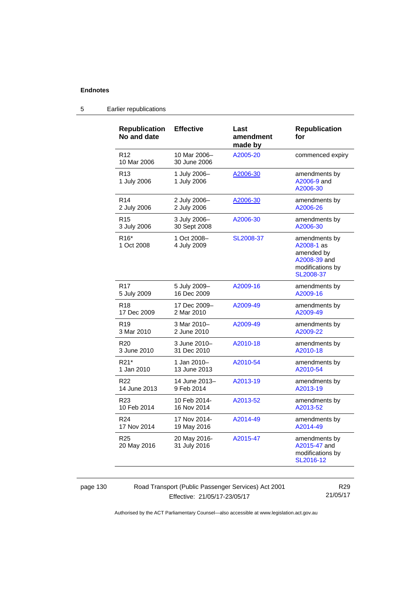| <b>Republication</b><br>No and date | <b>Effective</b>             | Last<br>amendment<br>made by | <b>Republication</b><br>for                                                                |
|-------------------------------------|------------------------------|------------------------------|--------------------------------------------------------------------------------------------|
| R <sub>12</sub><br>10 Mar 2006      | 10 Mar 2006-<br>30 June 2006 | A2005-20                     | commenced expiry                                                                           |
| R <sub>13</sub><br>1 July 2006      | 1 July 2006-<br>1 July 2006  | A2006-30                     | amendments by<br>A2006-9 and<br>A2006-30                                                   |
| R <sub>14</sub>                     | 2 July 2006-                 | A2006-30                     | amendments by                                                                              |
| 2 July 2006                         | 2 July 2006                  |                              | A2006-26                                                                                   |
| R <sub>15</sub>                     | 3 July 2006-                 | A2006-30                     | amendments by                                                                              |
| 3 July 2006                         | 30 Sept 2008                 |                              | A2006-30                                                                                   |
| R <sub>16</sub> *<br>1 Oct 2008     | 1 Oct 2008-<br>4 July 2009   | SL2008-37                    | amendments by<br>A2008-1 as<br>amended by<br>A2008-39 and<br>modifications by<br>SL2008-37 |
| R <sub>17</sub>                     | 5 July 2009-                 | A2009-16                     | amendments by                                                                              |
| 5 July 2009                         | 16 Dec 2009                  |                              | A2009-16                                                                                   |
| R <sub>18</sub>                     | 17 Dec 2009-                 | A2009-49                     | amendments by                                                                              |
| 17 Dec 2009                         | 2 Mar 2010                   |                              | A2009-49                                                                                   |
| R <sub>19</sub>                     | 3 Mar 2010-                  | A2009-49                     | amendments by                                                                              |
| 3 Mar 2010                          | 2 June 2010                  |                              | A2009-22                                                                                   |
| R <sub>20</sub>                     | 3 June 2010-                 | A2010-18                     | amendments by                                                                              |
| 3 June 2010                         | 31 Dec 2010                  |                              | A2010-18                                                                                   |
| R21*                                | 1 Jan 2010–                  | A2010-54                     | amendments by                                                                              |
| 1 Jan 2010                          | 13 June 2013                 |                              | A2010-54                                                                                   |
| R <sub>22</sub>                     | 14 June 2013-                | A2013-19                     | amendments by                                                                              |
| 14 June 2013                        | 9 Feb 2014                   |                              | A2013-19                                                                                   |
| R <sub>23</sub>                     | 10 Feb 2014-                 | A2013-52                     | amendments by                                                                              |
| 10 Feb 2014                         | 16 Nov 2014                  |                              | A2013-52                                                                                   |
| R <sub>24</sub>                     | 17 Nov 2014-                 | A2014-49                     | amendments by                                                                              |
| 17 Nov 2014                         | 19 May 2016                  |                              | A2014-49                                                                                   |
| R <sub>25</sub><br>20 May 2016      | 20 May 2016-<br>31 July 2016 | A2015-47                     | amendments by<br>A2015-47 and<br>modifications by<br>SL2016-12                             |

## 5 Earlier republications

page 130 Road Transport (Public Passenger Services) Act 2001 Effective: 21/05/17-23/05/17

R29 21/05/17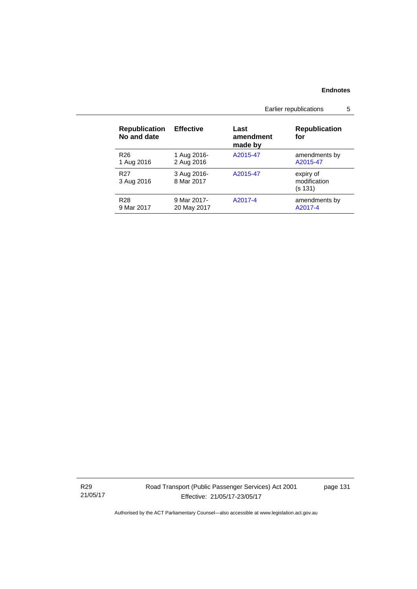|                                     |                            | Earlier republications<br>5  |                                      |
|-------------------------------------|----------------------------|------------------------------|--------------------------------------|
| <b>Republication</b><br>No and date | <b>Effective</b>           | Last<br>amendment<br>made by | <b>Republication</b><br>for          |
| R <sub>26</sub><br>1 Aug 2016       | 1 Aug 2016-<br>2 Aug 2016  | A2015-47                     | amendments by<br>A2015-47            |
| R <sub>27</sub><br>3 Aug 2016       | 3 Aug 2016-<br>8 Mar 2017  | A2015-47                     | expiry of<br>modification<br>(s 131) |
| R <sub>28</sub><br>9 Mar 2017       | 9 Mar 2017-<br>20 May 2017 | A2017-4                      | amendments by<br>A2017-4             |

R29 21/05/17 Road Transport (Public Passenger Services) Act 2001 Effective: 21/05/17-23/05/17

page 131